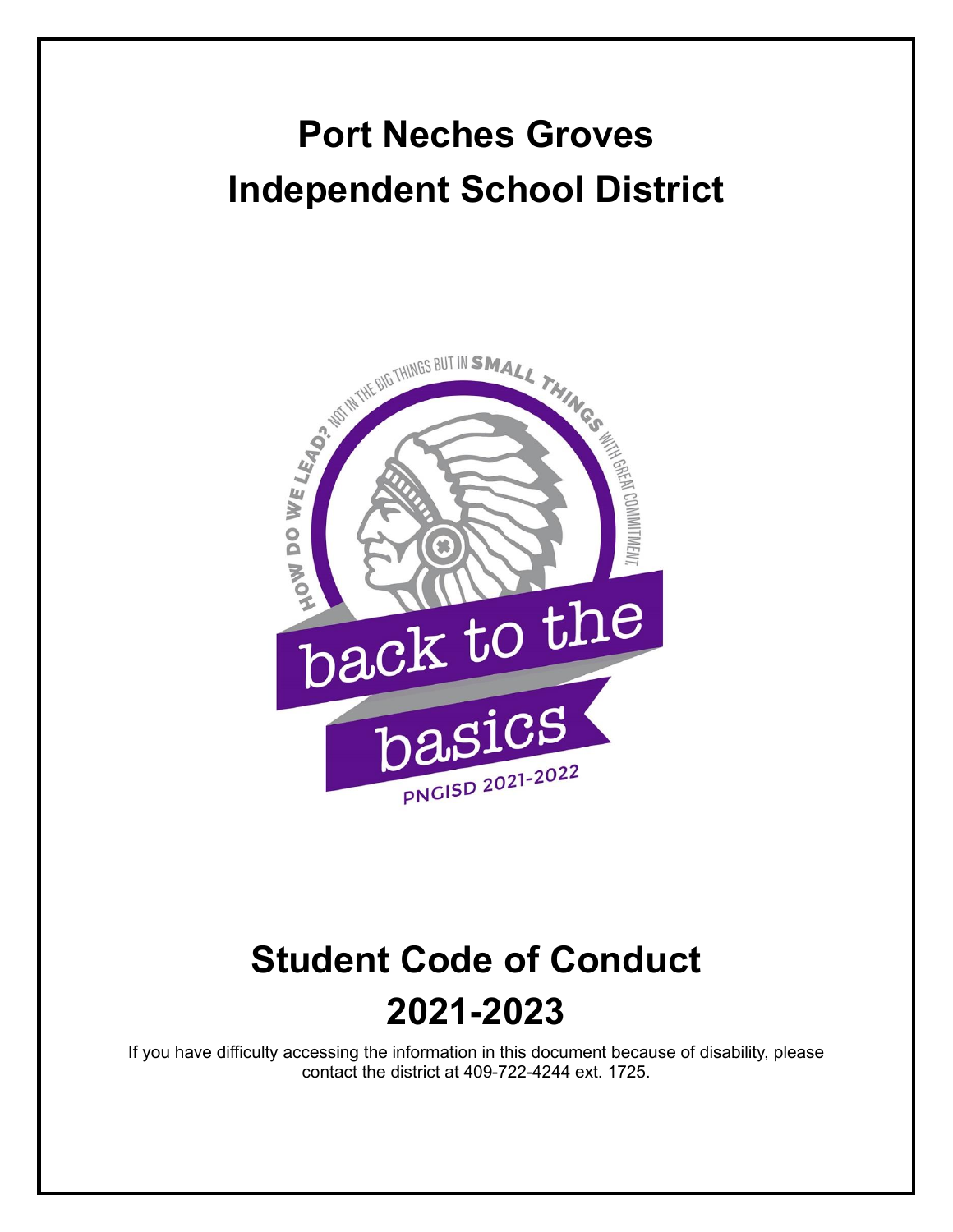# **Port Neches Groves Independent School District**



# **Student Code of Conduct 2021-2023**

If you have difficulty accessing the information in this document because of disability, please contact the district at 409-722-4244 ext. 1725.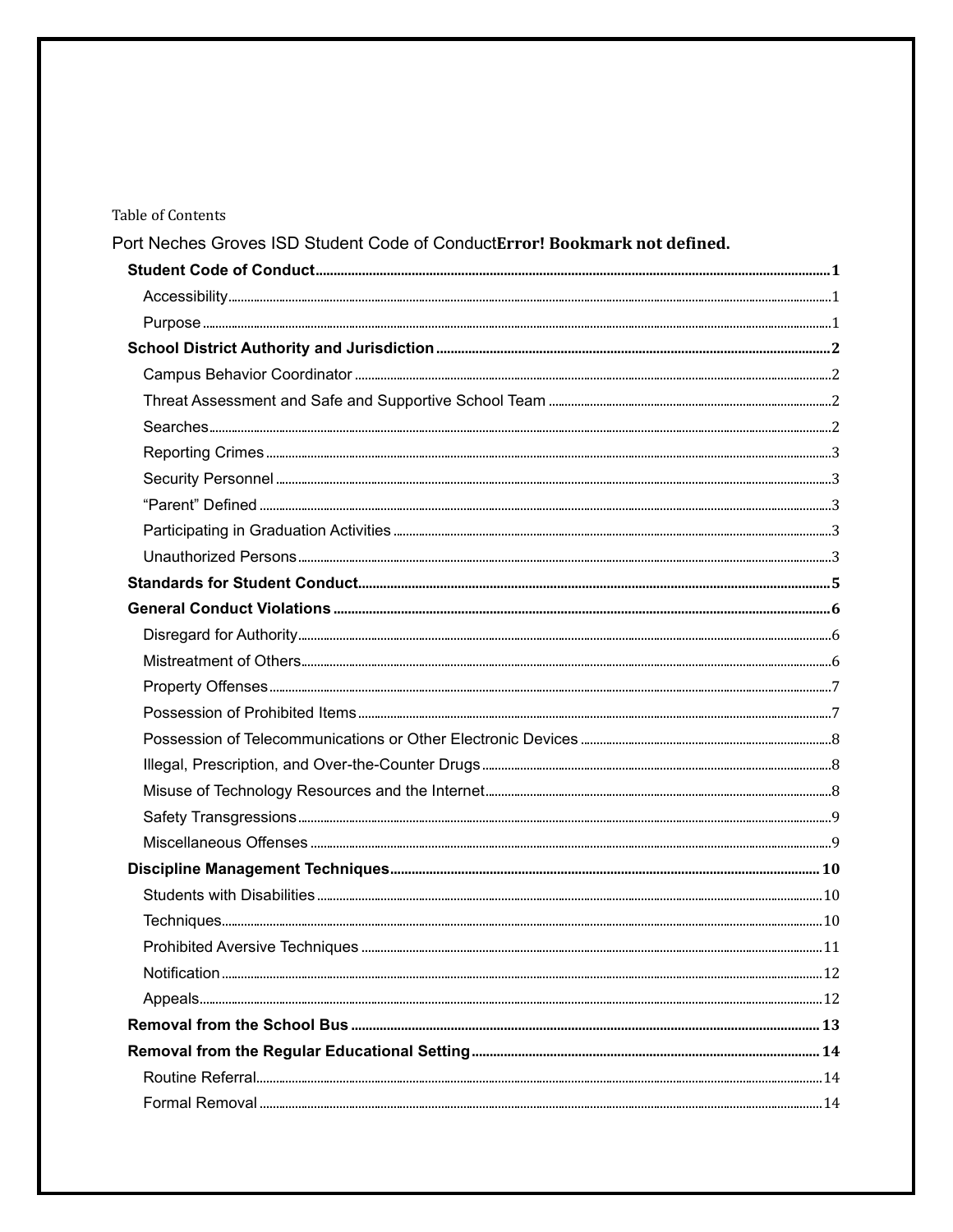## Table of Contents

Port Neches Groves ISD Student Code of ConductError! Bookmark not defined.

| $Purpose. 110000. 111111. 11111. 11111. 11111. 11111. 11111. 11111. 11111. 11111. 11111. 11111. 11111. 11111. 11111. 11111. 11111. 11111. 11111. 11111. 11111. 11111. 11111. 11111. 11111. 11111. 11111. 11111. 11111. 11111. 1111$ |  |
|-------------------------------------------------------------------------------------------------------------------------------------------------------------------------------------------------------------------------------------|--|
|                                                                                                                                                                                                                                     |  |
|                                                                                                                                                                                                                                     |  |
|                                                                                                                                                                                                                                     |  |
|                                                                                                                                                                                                                                     |  |
|                                                                                                                                                                                                                                     |  |
|                                                                                                                                                                                                                                     |  |
|                                                                                                                                                                                                                                     |  |
|                                                                                                                                                                                                                                     |  |
|                                                                                                                                                                                                                                     |  |
|                                                                                                                                                                                                                                     |  |
|                                                                                                                                                                                                                                     |  |
|                                                                                                                                                                                                                                     |  |
|                                                                                                                                                                                                                                     |  |
|                                                                                                                                                                                                                                     |  |
|                                                                                                                                                                                                                                     |  |
|                                                                                                                                                                                                                                     |  |
|                                                                                                                                                                                                                                     |  |
|                                                                                                                                                                                                                                     |  |
|                                                                                                                                                                                                                                     |  |
|                                                                                                                                                                                                                                     |  |
|                                                                                                                                                                                                                                     |  |
|                                                                                                                                                                                                                                     |  |
| $\textcolor{red}{\textbf{Techniques}}\textcolor{blue}{\textbf{quesum}}\textcolor{blue}{\textbf{10}}\textcolor{red}{\textbf{11}}$                                                                                                    |  |
|                                                                                                                                                                                                                                     |  |
|                                                                                                                                                                                                                                     |  |
|                                                                                                                                                                                                                                     |  |
|                                                                                                                                                                                                                                     |  |
|                                                                                                                                                                                                                                     |  |
|                                                                                                                                                                                                                                     |  |
|                                                                                                                                                                                                                                     |  |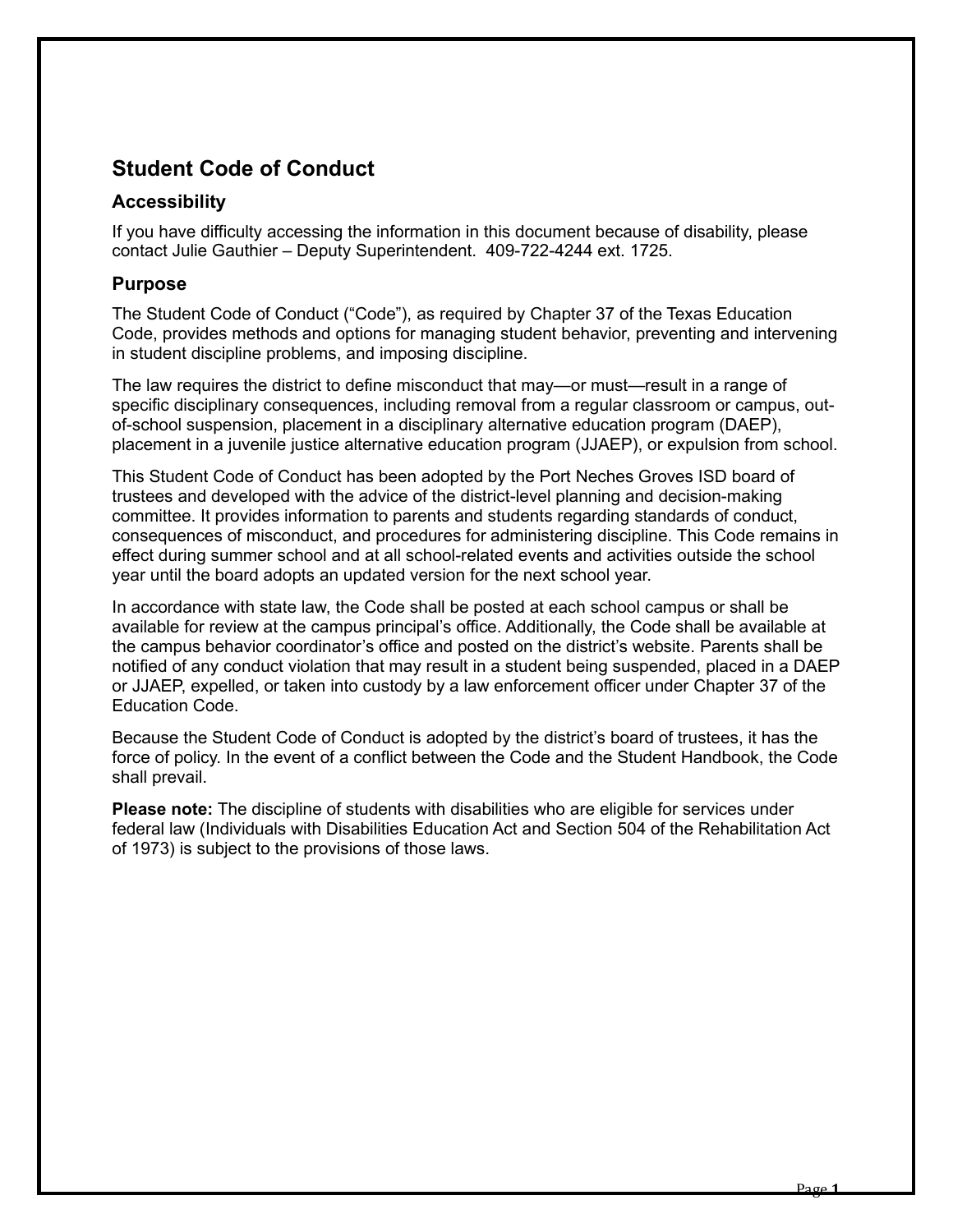# <span id="page-3-0"></span>**Student Code of Conduct**

# <span id="page-3-1"></span>**Accessibility**

If you have difficulty accessing the information in this document because of disability, please contact Julie Gauthier – Deputy Superintendent. 409-722-4244 ext. 1725.

## <span id="page-3-2"></span>**Purpose**

The Student Code of Conduct ("Code"), as required by Chapter 37 of the Texas Education Code, provides methods and options for managing student behavior, preventing and intervening in student discipline problems, and imposing discipline.

The law requires the district to define misconduct that may—or must—result in a range of specific disciplinary consequences, including removal from a regular classroom or campus, outof-school suspension, placement in a disciplinary alternative education program (DAEP), placement in a juvenile justice alternative education program (JJAEP), or expulsion from school.

This Student Code of Conduct has been adopted by the Port Neches Groves ISD board of trustees and developed with the advice of the district-level planning and decision-making committee. It provides information to parents and students regarding standards of conduct, consequences of misconduct, and procedures for administering discipline. This Code remains in effect during summer school and at all school-related events and activities outside the school year until the board adopts an updated version for the next school year.

In accordance with state law, the Code shall be posted at each school campus or shall be available for review at the campus principal's office. Additionally, the Code shall be available at the campus behavior coordinator's office and posted on the district's website. Parents shall be notified of any conduct violation that may result in a student being suspended, placed in a DAEP or JJAEP, expelled, or taken into custody by a law enforcement officer under Chapter 37 of the Education Code.

Because the Student Code of Conduct is adopted by the district's board of trustees, it has the force of policy. In the event of a conflict between the Code and the Student Handbook, the Code shall prevail.

**Please note:** The discipline of students with disabilities who are eligible for services under federal law (Individuals with Disabilities Education Act and Section 504 of the Rehabilitation Act of 1973) is subject to the provisions of those laws.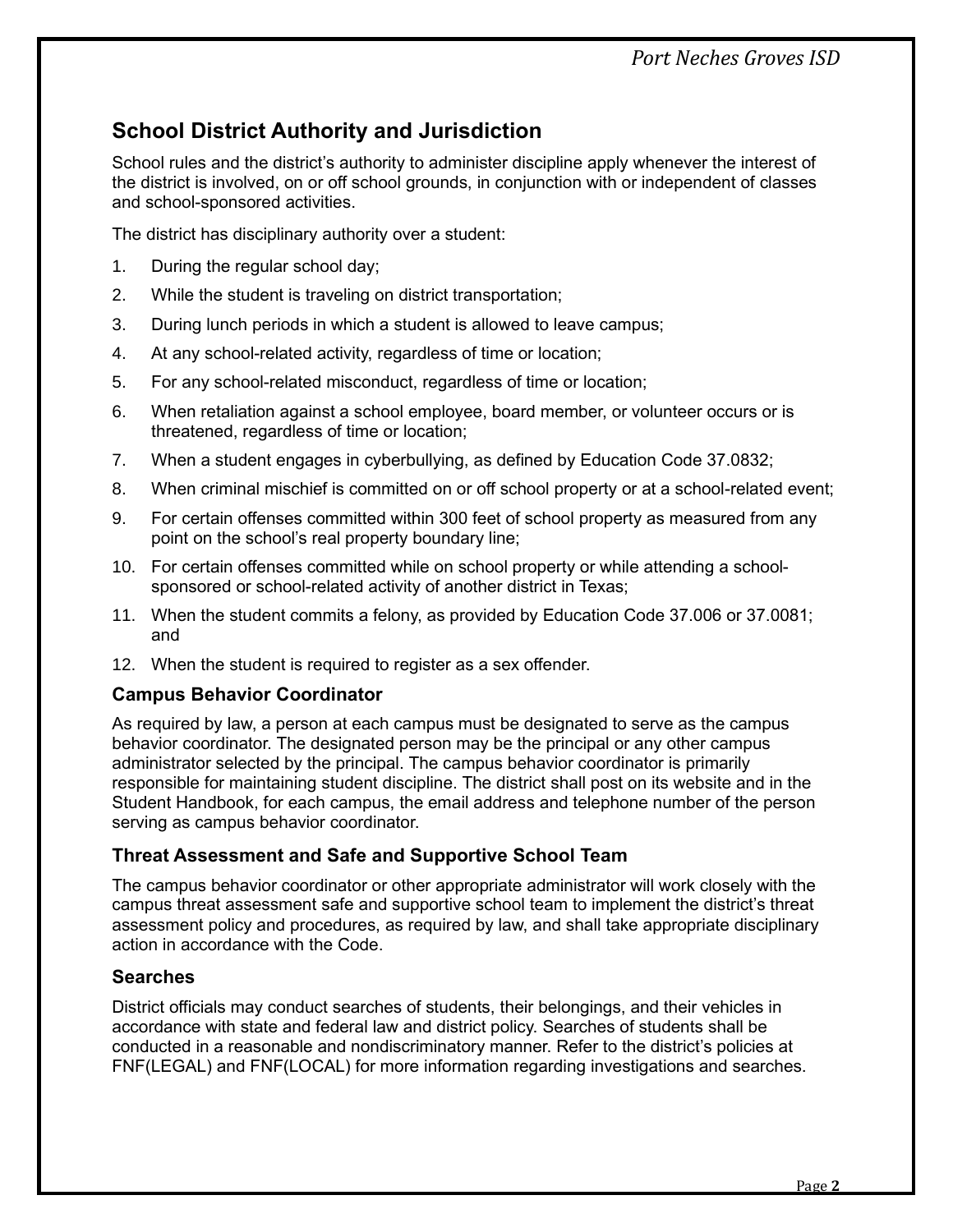# *Port Neches Groves ISD*

# <span id="page-4-0"></span>**School District Authority and Jurisdiction**

School rules and the district's authority to administer discipline apply whenever the interest of the district is involved, on or off school grounds, in conjunction with or independent of classes and school-sponsored activities.

The district has disciplinary authority over a student:

- 1. During the regular school day;
- 2. While the student is traveling on district transportation;
- 3. During lunch periods in which a student is allowed to leave campus;
- 4. At any school-related activity, regardless of time or location;
- 5. For any school-related misconduct, regardless of time or location;
- 6. When retaliation against a school employee, board member, or volunteer occurs or is threatened, regardless of time or location;
- 7. When a student engages in cyberbullying, as defined by Education Code 37.0832;
- 8. When criminal mischief is committed on or off school property or at a school-related event;
- 9. For certain offenses committed within 300 feet of school property as measured from any point on the school's real property boundary line;
- 10. For certain offenses committed while on school property or while attending a schoolsponsored or school-related activity of another district in Texas;
- 11. When the student commits a felony, as provided by Education Code 37.006 or 37.0081; and
- 12. When the student is required to register as a sex offender.

# <span id="page-4-1"></span>**Campus Behavior Coordinator**

As required by law, a person at each campus must be designated to serve as the campus behavior coordinator. The designated person may be the principal or any other campus administrator selected by the principal. The campus behavior coordinator is primarily responsible for maintaining student discipline. The district shall post on its website and in the Student Handbook, for each campus, the email address and telephone number of the person serving as campus behavior coordinator.

# <span id="page-4-2"></span>**Threat Assessment and Safe and Supportive School Team**

The campus behavior coordinator or other appropriate administrator will work closely with the campus threat assessment safe and supportive school team to implement the district's threat assessment policy and procedures, as required by law, and shall take appropriate disciplinary action in accordance with the Code.

# <span id="page-4-3"></span>**Searches**

District officials may conduct searches of students, their belongings, and their vehicles in accordance with state and federal law and district policy. Searches of students shall be conducted in a reasonable and nondiscriminatory manner. Refer to the district's policies at FNF(LEGAL) and FNF(LOCAL) for more information regarding investigations and searches.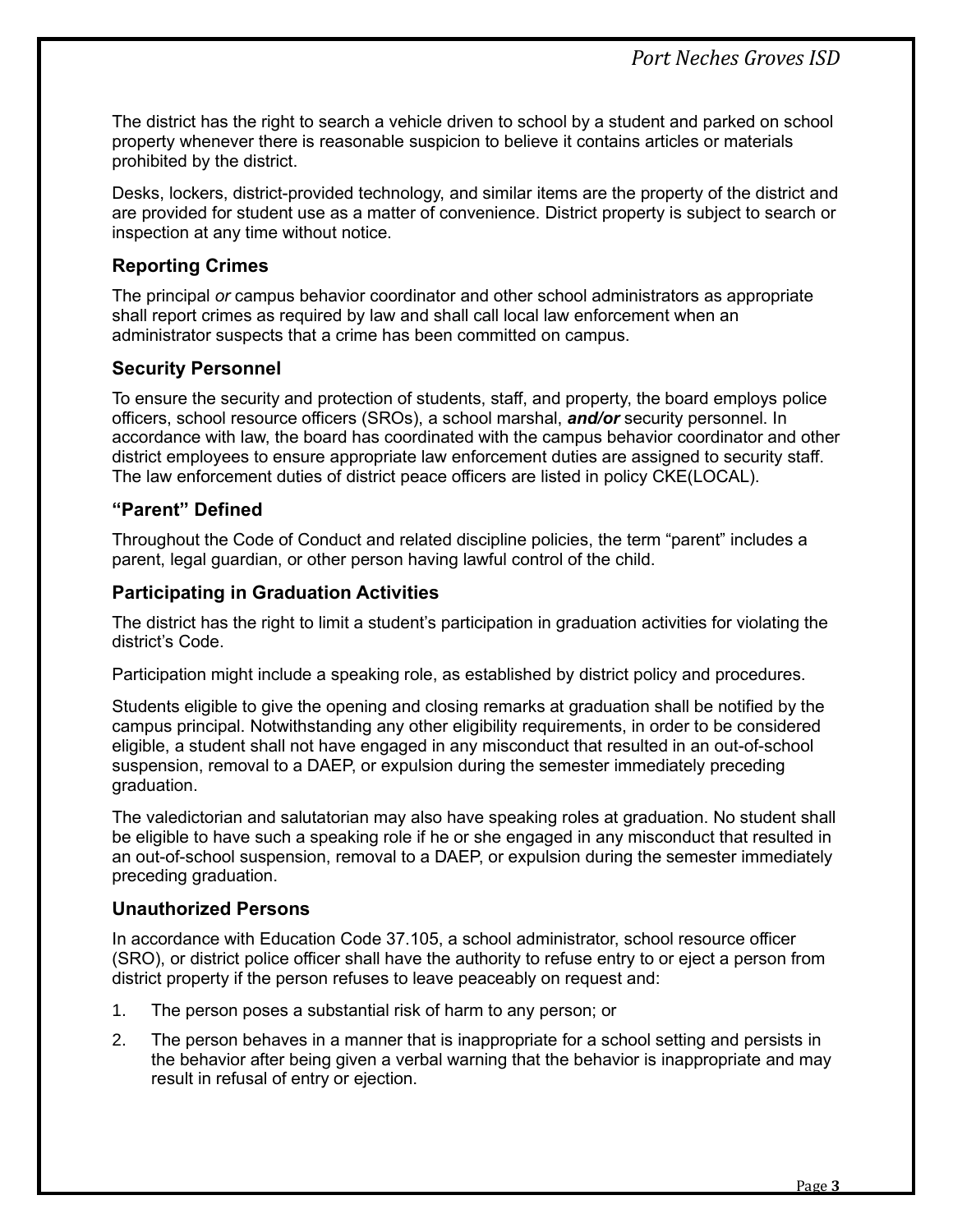The district has the right to search a vehicle driven to school by a student and parked on school property whenever there is reasonable suspicion to believe it contains articles or materials prohibited by the district.

Desks, lockers, district-provided technology, and similar items are the property of the district and are provided for student use as a matter of convenience. District property is subject to search or inspection at any time without notice.

# <span id="page-5-0"></span>**Reporting Crimes**

The principal *or* campus behavior coordinator and other school administrators as appropriate shall report crimes as required by law and shall call local law enforcement when an administrator suspects that a crime has been committed on campus.

# <span id="page-5-1"></span>**Security Personnel**

To ensure the security and protection of students, staff, and property, the board employs police officers, school resource officers (SROs), a school marshal, *and/or* security personnel. In accordance with law, the board has coordinated with the campus behavior coordinator and other district employees to ensure appropriate law enforcement duties are assigned to security staff. The law enforcement duties of district peace officers are listed in policy CKE(LOCAL).

# <span id="page-5-2"></span>**"Parent" Defined**

Throughout the Code of Conduct and related discipline policies, the term "parent" includes a parent, legal guardian, or other person having lawful control of the child.

# <span id="page-5-3"></span>**Participating in Graduation Activities**

The district has the right to limit a student's participation in graduation activities for violating the district's Code.

Participation might include a speaking role, as established by district policy and procedures.

Students eligible to give the opening and closing remarks at graduation shall be notified by the campus principal. Notwithstanding any other eligibility requirements, in order to be considered eligible, a student shall not have engaged in any misconduct that resulted in an out-of-school suspension, removal to a DAEP, or expulsion during the semester immediately preceding graduation.

The valedictorian and salutatorian may also have speaking roles at graduation. No student shall be eligible to have such a speaking role if he or she engaged in any misconduct that resulted in an out-of-school suspension, removal to a DAEP, or expulsion during the semester immediately preceding graduation.

# <span id="page-5-4"></span>**Unauthorized Persons**

In accordance with Education Code 37.105, a school administrator, school resource officer (SRO), or district police officer shall have the authority to refuse entry to or eject a person from district property if the person refuses to leave peaceably on request and:

- 1. The person poses a substantial risk of harm to any person; or
- 2. The person behaves in a manner that is inappropriate for a school setting and persists in the behavior after being given a verbal warning that the behavior is inappropriate and may result in refusal of entry or ejection.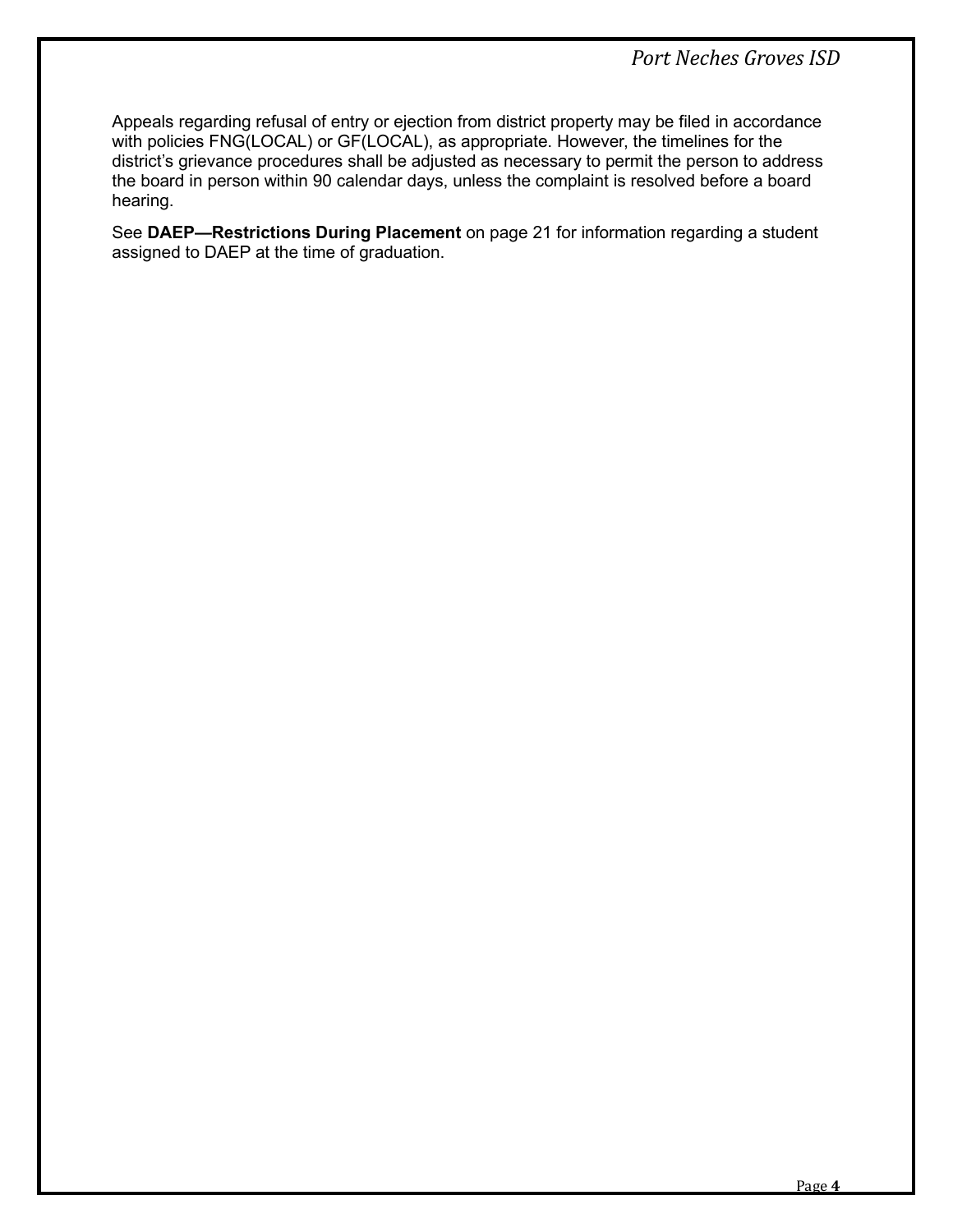Appeals regarding refusal of entry or ejection from district property may be filed in accordance with policies FNG(LOCAL) or GF(LOCAL), as appropriate. However, the timelines for the district's grievance procedures shall be adjusted as necessary to permit the person to address the board in person within 90 calendar days, unless the complaint is resolved before a board hearing.

See **DAEP—Restrictions During Placement** on page [21](#page-23-1) for information regarding a student assigned to DAEP at the time of graduation.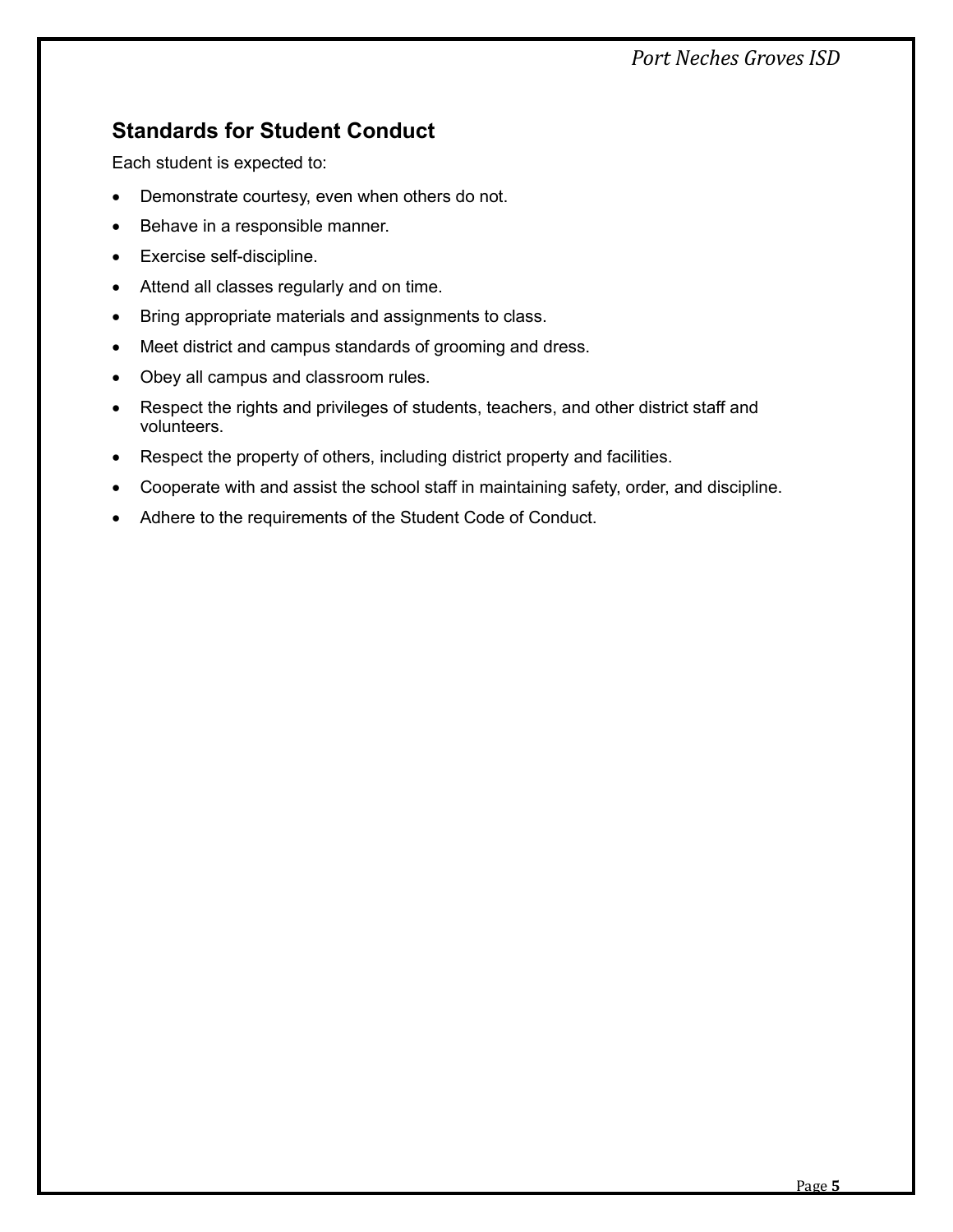# *Port Neches Groves ISD*

# <span id="page-7-0"></span>**Standards for Student Conduct**

Each student is expected to:

- Demonstrate courtesy, even when others do not.
- Behave in a responsible manner.
- Exercise self-discipline.
- Attend all classes regularly and on time.
- Bring appropriate materials and assignments to class.
- Meet district and campus standards of grooming and dress.
- Obey all campus and classroom rules.
- Respect the rights and privileges of students, teachers, and other district staff and volunteers.
- Respect the property of others, including district property and facilities.
- Cooperate with and assist the school staff in maintaining safety, order, and discipline.
- Adhere to the requirements of the Student Code of Conduct.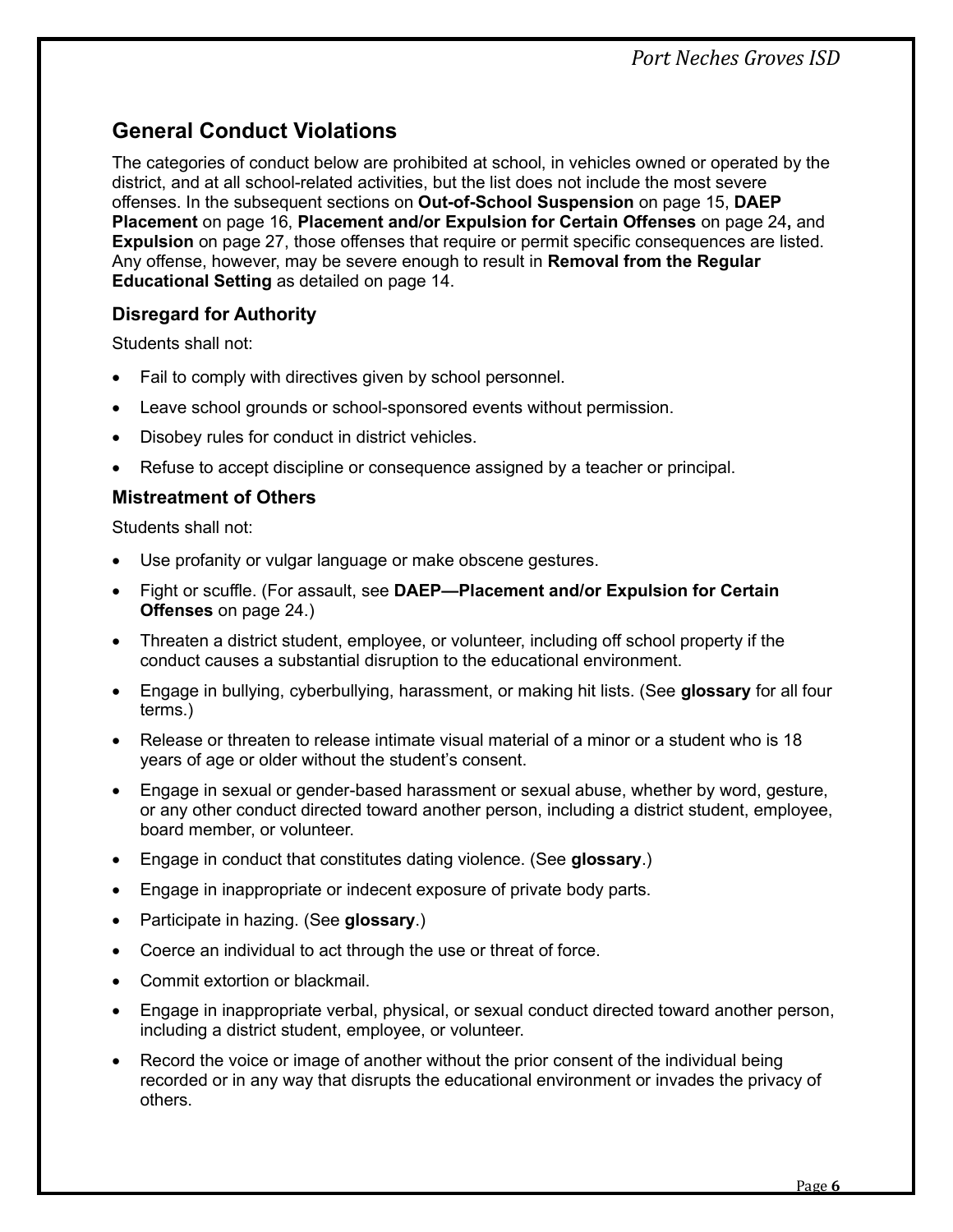# <span id="page-8-0"></span>**General Conduct Violations**

The categories of conduct below are prohibited at school, in vehicles owned or operated by the district, and at all school-related activities, but the list does not include the most severe offenses. In the subsequent sections on **Out-of-School Suspension** on page [15,](#page-17-0) **DAEP Placement** on page [16,](#page-18-1) **Placement and/or Expulsion for Certain Offenses** on page [24](#page-26-0)**,** and **Expulsion** on page [27,](#page-29-0) those offenses that require or permit specific consequences are listed. Any offense, however, may be severe enough to result in **Removal from the Regular Educational Setting** as detailed on page [14.](#page-16-0)

# <span id="page-8-1"></span>**Disregard for Authority**

Students shall not:

- Fail to comply with directives given by school personnel.
- Leave school grounds or school-sponsored events without permission.
- Disobey rules for conduct in district vehicles.
- Refuse to accept discipline or consequence assigned by a teacher or principal.

# <span id="page-8-2"></span>**Mistreatment of Others**

Students shall not:

- Use profanity or vulgar language or make obscene gestures.
- Fight or scuffle. (For assault, see **DAEP—Placement and/or Expulsion for Certain Offenses** on page [24.](#page-26-0))
- Threaten a district student, employee, or volunteer, including off school property if the conduct causes a substantial disruption to the educational environment.
- Engage in bullying, cyberbullying, harassment, or making hit lists. (See **glossary** for all four terms.)
- Release or threaten to release intimate visual material of a minor or a student who is 18 years of age or older without the student's consent.
- Engage in sexual or gender-based harassment or sexual abuse, whether by word, gesture, or any other conduct directed toward another person, including a district student, employee, board member, or volunteer.
- Engage in conduct that constitutes dating violence. (See **glossary**.)
- Engage in inappropriate or indecent exposure of private body parts.
- Participate in hazing. (See **glossary**.)
- Coerce an individual to act through the use or threat of force.
- Commit extortion or blackmail.
- Engage in inappropriate verbal, physical, or sexual conduct directed toward another person, including a district student, employee, or volunteer.
- Record the voice or image of another without the prior consent of the individual being recorded or in any way that disrupts the educational environment or invades the privacy of others.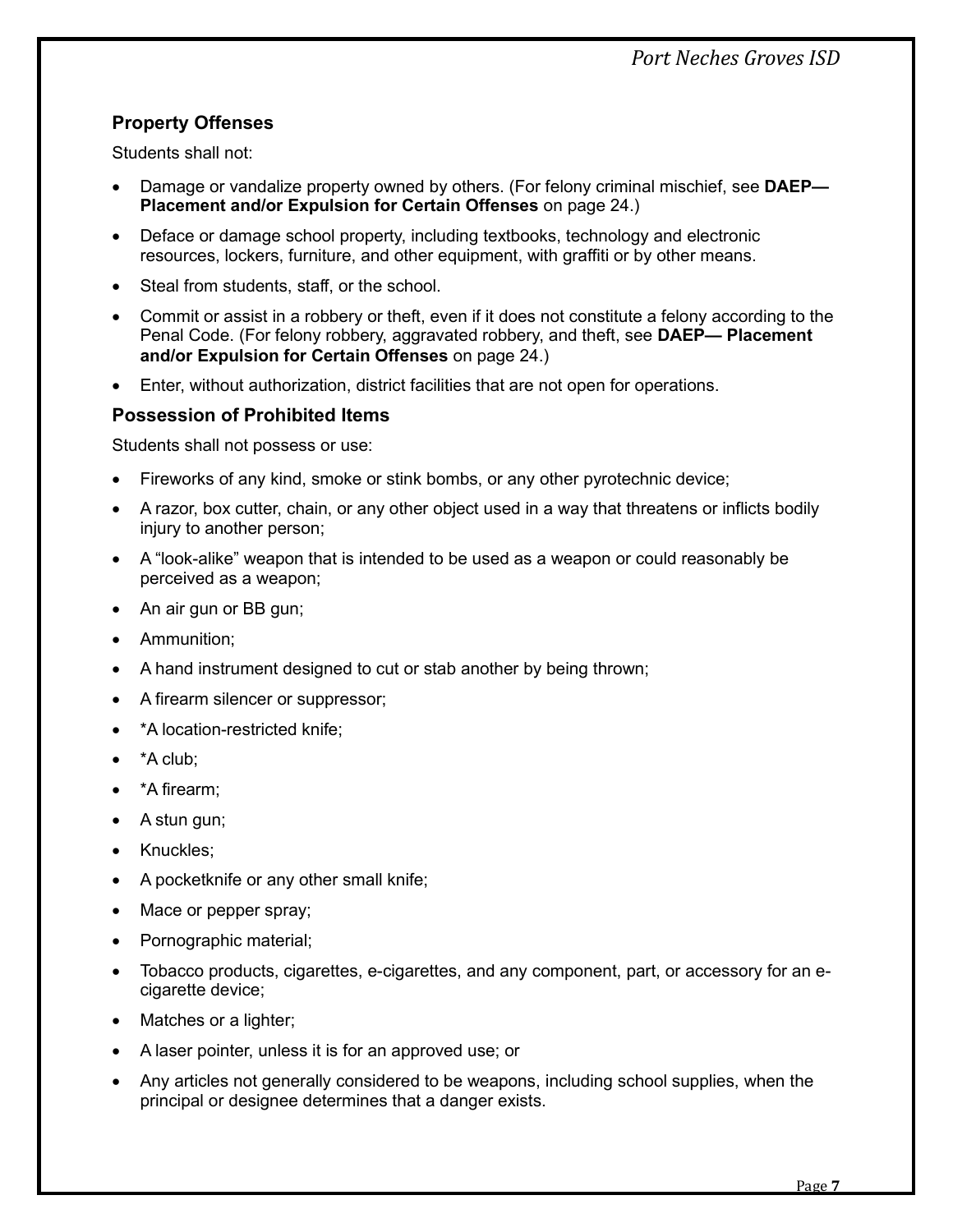# <span id="page-9-0"></span>**Property Offenses**

Students shall not:

- Damage or vandalize property owned by others. (For felony criminal mischief, see **DAEP— Placement and/or Expulsion for Certain Offenses** on page [24.](#page-26-0))
- Deface or damage school property, including textbooks, technology and electronic resources, lockers, furniture, and other equipment, with graffiti or by other means.
- Steal from students, staff, or the school.
- Commit or assist in a robbery or theft, even if it does not constitute a felony according to the Penal Code. (For felony robbery, aggravated robbery, and theft, see **DAEP— Placement and/or Expulsion for Certain Offenses** on page [24.](#page-26-0))
- Enter, without authorization, district facilities that are not open for operations.

## <span id="page-9-1"></span>**Possession of Prohibited Items**

Students shall not possess or use:

- Fireworks of any kind, smoke or stink bombs, or any other pyrotechnic device;
- A razor, box cutter, chain, or any other object used in a way that threatens or inflicts bodily injury to another person;
- A "look-alike" weapon that is intended to be used as a weapon or could reasonably be perceived as a weapon;
- An air gun or BB gun;
- Ammunition;
- A hand instrument designed to cut or stab another by being thrown;
- A firearm silencer or suppressor;
- \*A location-restricted knife:
- \*A club;
- \*A firearm;
- A stun gun;
- Knuckles;
- A pocketknife or any other small knife;
- Mace or pepper spray;
- Pornographic material;
- Tobacco products, cigarettes, e-cigarettes, and any component, part, or accessory for an ecigarette device;
- Matches or a lighter;
- A laser pointer, unless it is for an approved use; or
- Any articles not generally considered to be weapons, including school supplies, when the principal or designee determines that a danger exists.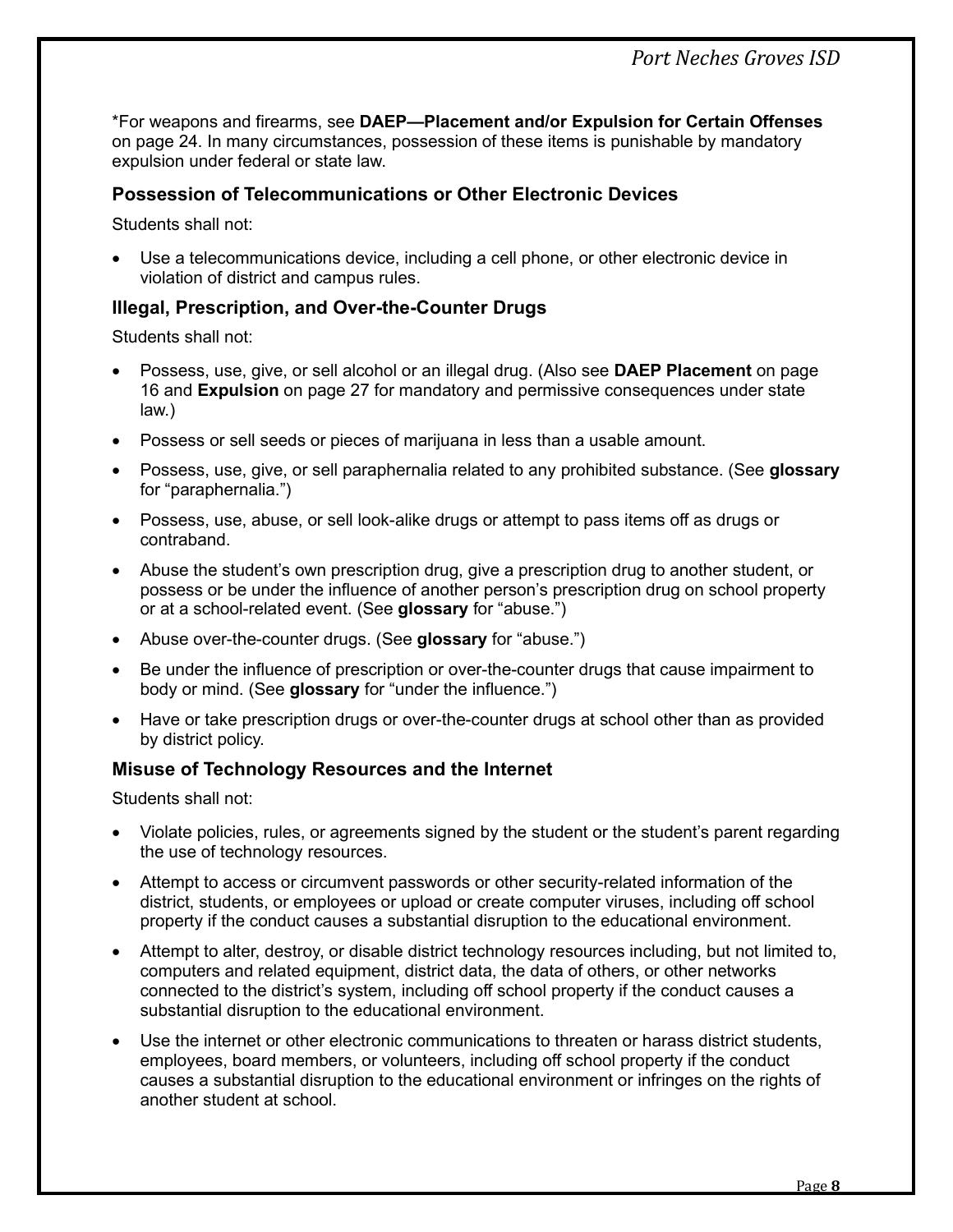\*For weapons and firearms, see **DAEP—Placement and/or Expulsion for Certain Offenses**  on page [24.](#page-26-0) In many circumstances, possession of these items is punishable by mandatory expulsion under federal or state law.

## <span id="page-10-0"></span>**Possession of Telecommunications or Other Electronic Devices**

Students shall not:

• Use a telecommunications device, including a cell phone, or other electronic device in violation of district and campus rules.

## <span id="page-10-1"></span>**Illegal, Prescription, and Over-the-Counter Drugs**

Students shall not:

- Possess, use, give, or sell alcohol or an illegal drug. (Also see **DAEP Placement** on page [16](#page-18-1) and **Expulsion** on page [27](#page-29-0) for mandatory and permissive consequences under state law.)
- Possess or sell seeds or pieces of marijuana in less than a usable amount.
- Possess, use, give, or sell paraphernalia related to any prohibited substance. (See **glossary** for "paraphernalia.")
- Possess, use, abuse, or sell look-alike drugs or attempt to pass items off as drugs or contraband.
- Abuse the student's own prescription drug, give a prescription drug to another student, or possess or be under the influence of another person's prescription drug on school property or at a school-related event. (See **glossary** for "abuse.")
- Abuse over-the-counter drugs. (See **glossary** for "abuse.")
- Be under the influence of prescription or over-the-counter drugs that cause impairment to body or mind. (See **glossary** for "under the influence.")
- Have or take prescription drugs or over-the-counter drugs at school other than as provided by district policy.

#### <span id="page-10-2"></span>**Misuse of Technology Resources and the Internet**

Students shall not:

- Violate policies, rules, or agreements signed by the student or the student's parent regarding the use of technology resources.
- Attempt to access or circumvent passwords or other security-related information of the district, students, or employees or upload or create computer viruses, including off school property if the conduct causes a substantial disruption to the educational environment.
- Attempt to alter, destroy, or disable district technology resources including, but not limited to, computers and related equipment, district data, the data of others, or other networks connected to the district's system, including off school property if the conduct causes a substantial disruption to the educational environment.
- Use the internet or other electronic communications to threaten or harass district students, employees, board members, or volunteers, including off school property if the conduct causes a substantial disruption to the educational environment or infringes on the rights of another student at school.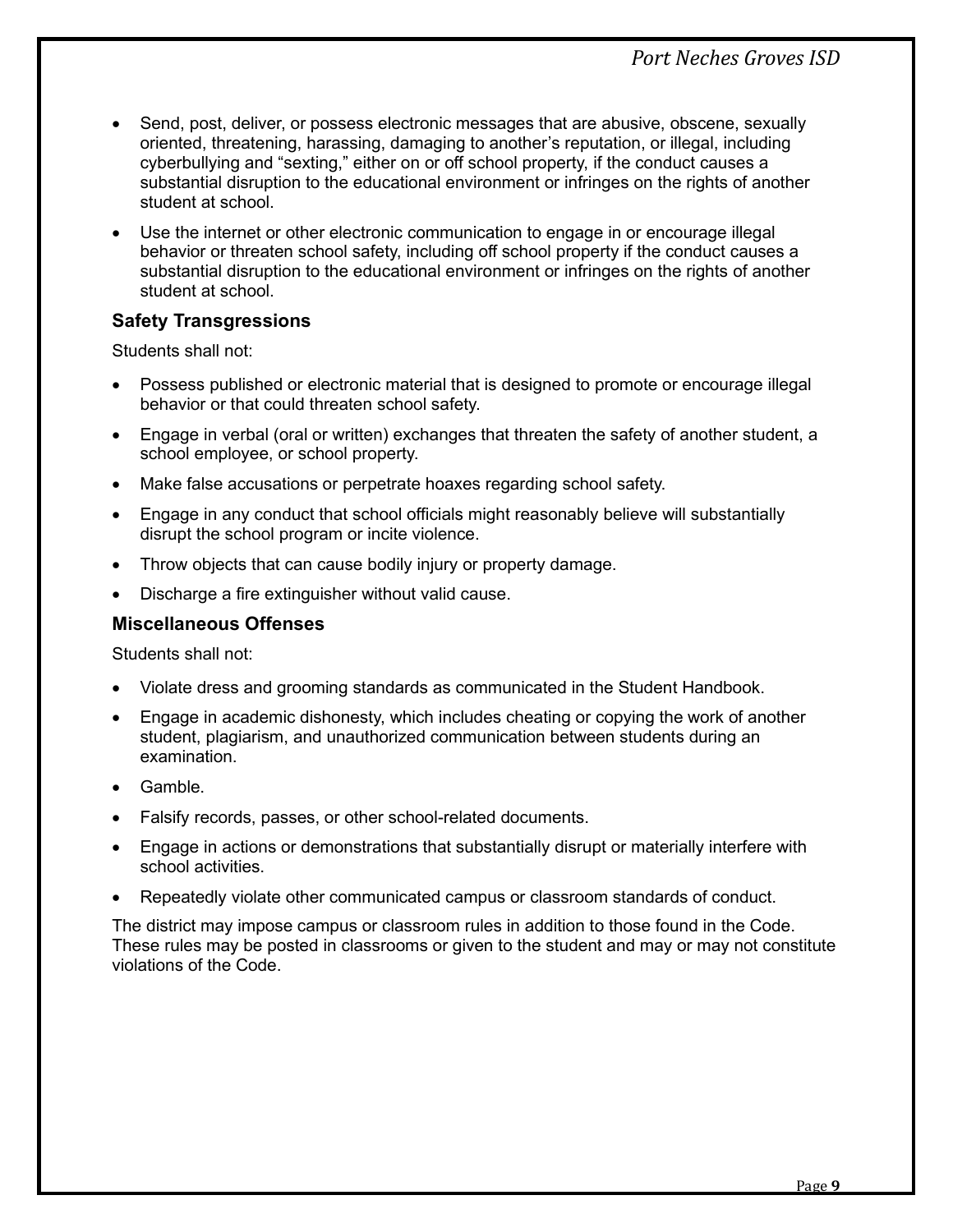- Send, post, deliver, or possess electronic messages that are abusive, obscene, sexually oriented, threatening, harassing, damaging to another's reputation, or illegal, including cyberbullying and "sexting," either on or off school property, if the conduct causes a substantial disruption to the educational environment or infringes on the rights of another student at school.
- Use the internet or other electronic communication to engage in or encourage illegal behavior or threaten school safety, including off school property if the conduct causes a substantial disruption to the educational environment or infringes on the rights of another student at school.

# <span id="page-11-0"></span>**Safety Transgressions**

Students shall not:

- Possess published or electronic material that is designed to promote or encourage illegal behavior or that could threaten school safety.
- Engage in verbal (oral or written) exchanges that threaten the safety of another student, a school employee, or school property.
- Make false accusations or perpetrate hoaxes regarding school safety.
- Engage in any conduct that school officials might reasonably believe will substantially disrupt the school program or incite violence.
- Throw objects that can cause bodily injury or property damage.
- Discharge a fire extinguisher without valid cause.

#### <span id="page-11-1"></span>**Miscellaneous Offenses**

Students shall not:

- Violate dress and grooming standards as communicated in the Student Handbook.
- Engage in academic dishonesty, which includes cheating or copying the work of another student, plagiarism, and unauthorized communication between students during an examination.
- Gamble.
- Falsify records, passes, or other school-related documents.
- Engage in actions or demonstrations that substantially disrupt or materially interfere with school activities.
- Repeatedly violate other communicated campus or classroom standards of conduct.

The district may impose campus or classroom rules in addition to those found in the Code. These rules may be posted in classrooms or given to the student and may or may not constitute violations of the Code.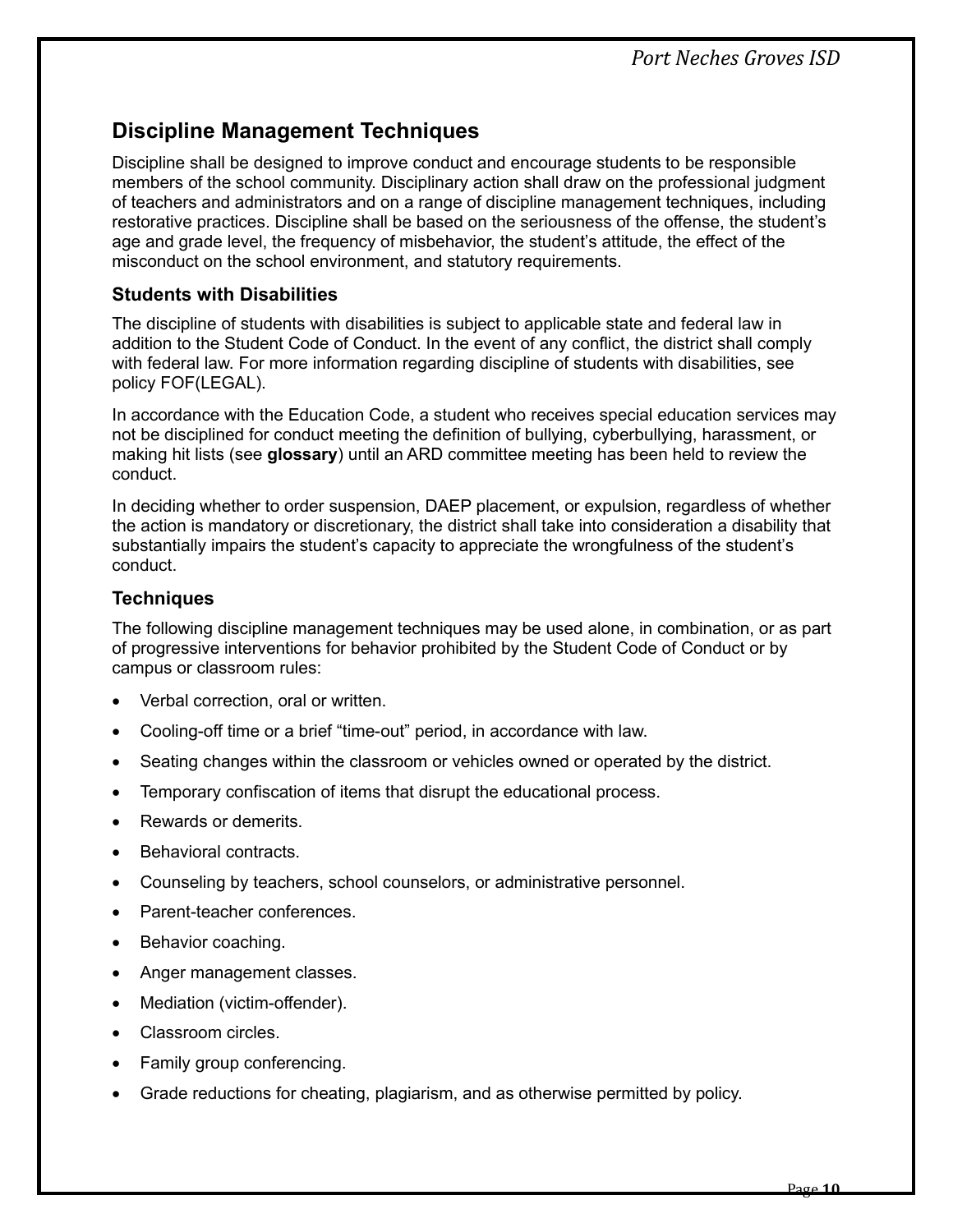# <span id="page-12-0"></span>**Discipline Management Techniques**

Discipline shall be designed to improve conduct and encourage students to be responsible members of the school community. Disciplinary action shall draw on the professional judgment of teachers and administrators and on a range of discipline management techniques, including restorative practices. Discipline shall be based on the seriousness of the offense, the student's age and grade level, the frequency of misbehavior, the student's attitude, the effect of the misconduct on the school environment, and statutory requirements.

# <span id="page-12-1"></span>**Students with Disabilities**

The discipline of students with disabilities is subject to applicable state and federal law in addition to the Student Code of Conduct. In the event of any conflict, the district shall comply with federal law. For more information regarding discipline of students with disabilities, see policy FOF(LEGAL).

In accordance with the Education Code, a student who receives special education services may not be disciplined for conduct meeting the definition of bullying, cyberbullying, harassment, or making hit lists (see **glossary**) until an ARD committee meeting has been held to review the conduct.

In deciding whether to order suspension, DAEP placement, or expulsion, regardless of whether the action is mandatory or discretionary, the district shall take into consideration a disability that substantially impairs the student's capacity to appreciate the wrongfulness of the student's conduct.

# <span id="page-12-2"></span>**Techniques**

The following discipline management techniques may be used alone, in combination, or as part of progressive interventions for behavior prohibited by the Student Code of Conduct or by campus or classroom rules:

- Verbal correction, oral or written.
- Cooling-off time or a brief "time-out" period, in accordance with law.
- Seating changes within the classroom or vehicles owned or operated by the district.
- Temporary confiscation of items that disrupt the educational process.
- Rewards or demerits.
- Behavioral contracts.
- Counseling by teachers, school counselors, or administrative personnel.
- Parent-teacher conferences.
- Behavior coaching.
- Anger management classes.
- Mediation (victim-offender).
- Classroom circles.
- Family group conferencing.
- Grade reductions for cheating, plagiarism, and as otherwise permitted by policy.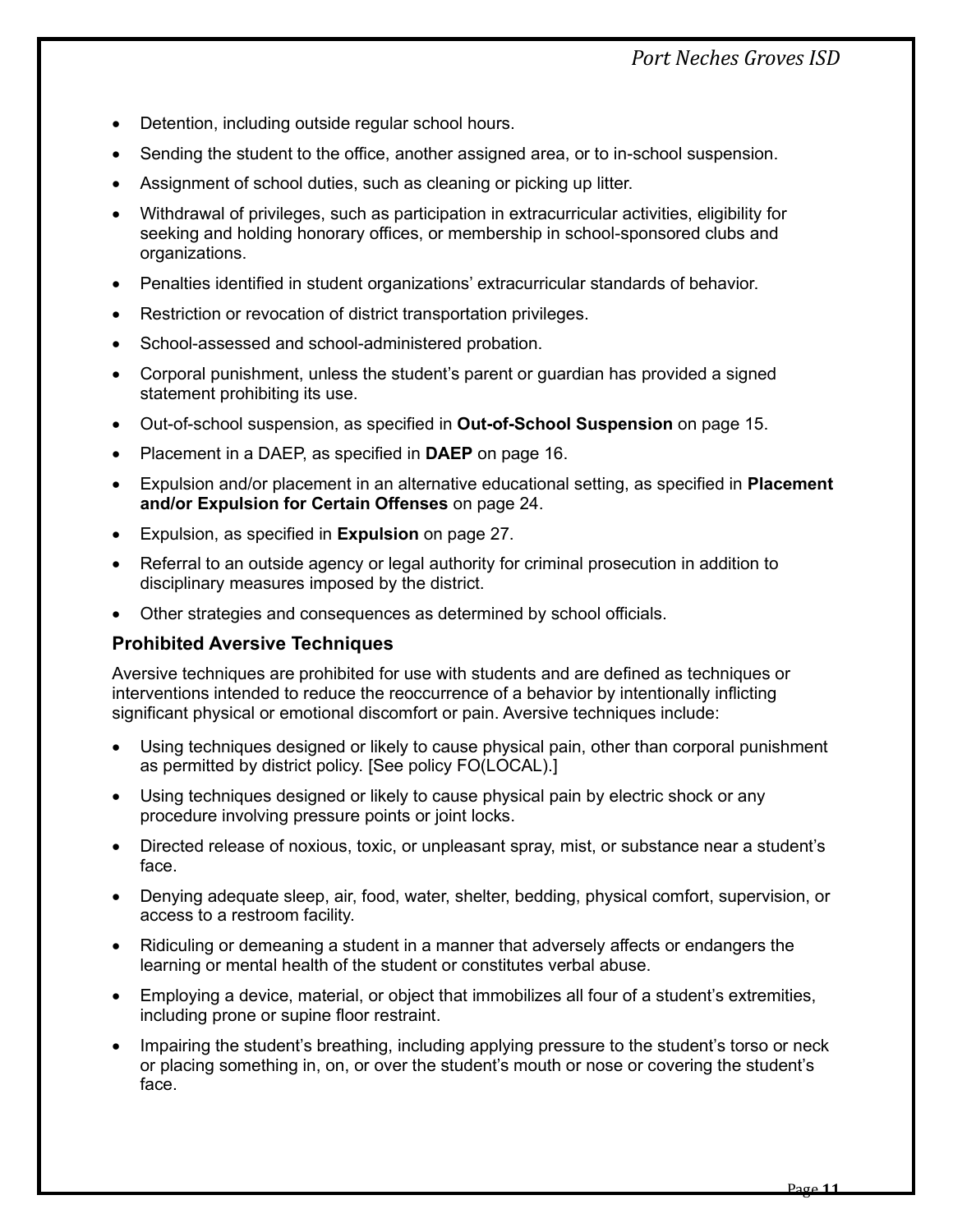# *Port Neches Groves ISD*

- Detention, including outside regular school hours.
- Sending the student to the office, another assigned area, or to in-school suspension.
- Assignment of school duties, such as cleaning or picking up litter.
- Withdrawal of privileges, such as participation in extracurricular activities, eligibility for seeking and holding honorary offices, or membership in school-sponsored clubs and organizations.
- Penalties identified in student organizations' extracurricular standards of behavior.
- Restriction or revocation of district transportation privileges.
- School-assessed and school-administered probation.
- Corporal punishment, unless the student's parent or guardian has provided a signed statement prohibiting its use.
- Out-of-school suspension, as specified in **Out-of-School Suspension** on page [15.](#page-17-0)
- Placement in a DAEP, as specified in **DAEP** on page [16.](#page-18-1)
- Expulsion and/or placement in an alternative educational setting, as specified in **Placement and/or Expulsion for Certain Offenses** on page [24.](#page-26-0)
- Expulsion, as specified in **Expulsion** on page [27.](#page-29-0)
- Referral to an outside agency or legal authority for criminal prosecution in addition to disciplinary measures imposed by the district.
- Other strategies and consequences as determined by school officials.

#### <span id="page-13-0"></span>**Prohibited Aversive Techniques**

Aversive techniques are prohibited for use with students and are defined as techniques or interventions intended to reduce the reoccurrence of a behavior by intentionally inflicting significant physical or emotional discomfort or pain. Aversive techniques include:

- Using techniques designed or likely to cause physical pain, other than corporal punishment as permitted by district policy. [See policy FO(LOCAL).]
- Using techniques designed or likely to cause physical pain by electric shock or any procedure involving pressure points or joint locks.
- Directed release of noxious, toxic, or unpleasant spray, mist, or substance near a student's face.
- Denying adequate sleep, air, food, water, shelter, bedding, physical comfort, supervision, or access to a restroom facility.
- Ridiculing or demeaning a student in a manner that adversely affects or endangers the learning or mental health of the student or constitutes verbal abuse.
- Employing a device, material, or object that immobilizes all four of a student's extremities, including prone or supine floor restraint.
- Impairing the student's breathing, including applying pressure to the student's torso or neck or placing something in, on, or over the student's mouth or nose or covering the student's face.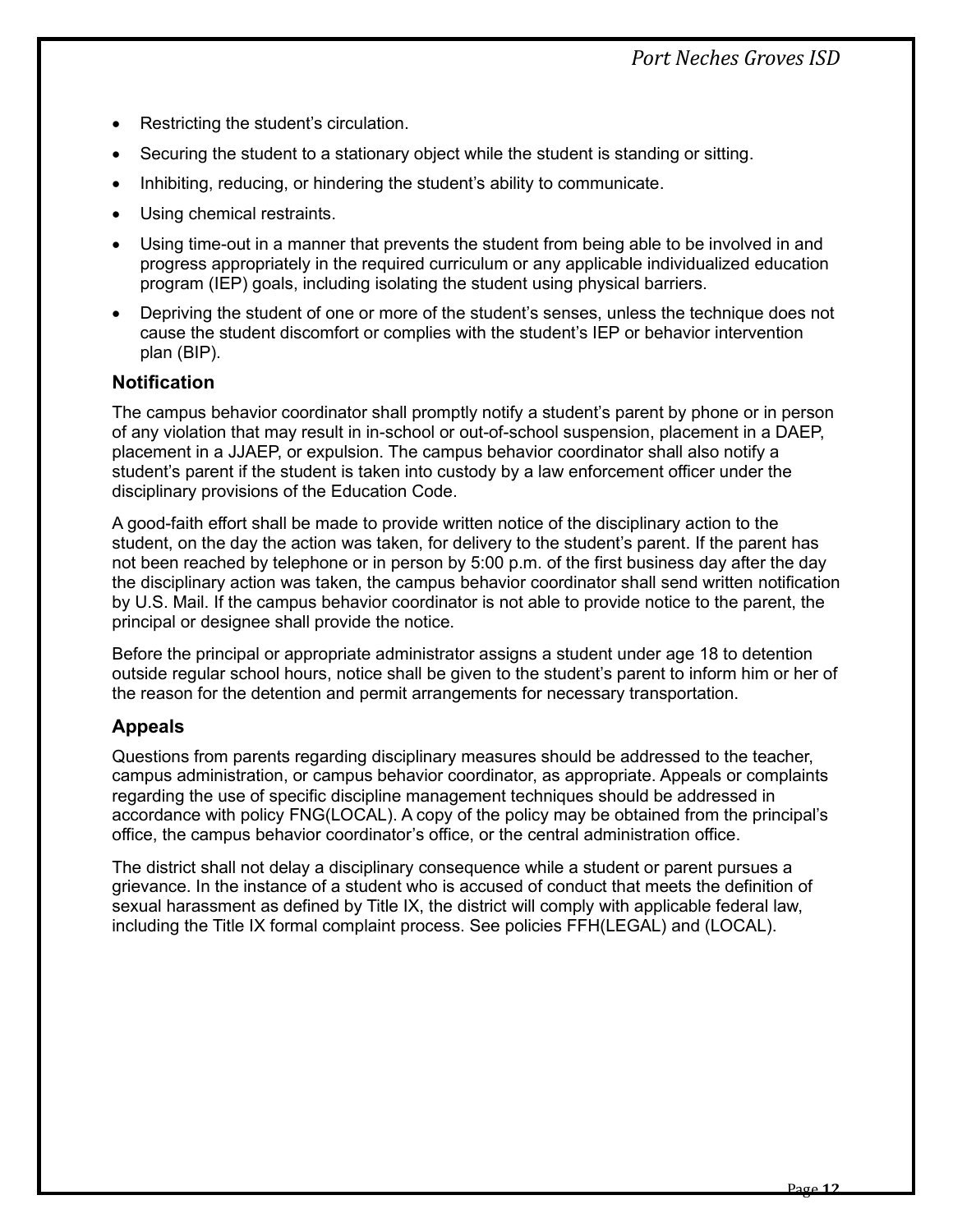- Restricting the student's circulation.
- Securing the student to a stationary object while the student is standing or sitting.
- Inhibiting, reducing, or hindering the student's ability to communicate.
- Using chemical restraints.
- Using time-out in a manner that prevents the student from being able to be involved in and progress appropriately in the required curriculum or any applicable individualized education program (IEP) goals, including isolating the student using physical barriers.
- Depriving the student of one or more of the student's senses, unless the technique does not cause the student discomfort or complies with the student's IEP or behavior intervention plan (BIP).

#### <span id="page-14-0"></span>**Notification**

The campus behavior coordinator shall promptly notify a student's parent by phone or in person of any violation that may result in in-school or out-of-school suspension, placement in a DAEP, placement in a JJAEP, or expulsion. The campus behavior coordinator shall also notify a student's parent if the student is taken into custody by a law enforcement officer under the disciplinary provisions of the Education Code.

A good-faith effort shall be made to provide written notice of the disciplinary action to the student, on the day the action was taken, for delivery to the student's parent. If the parent has not been reached by telephone or in person by 5:00 p.m. of the first business day after the day the disciplinary action was taken, the campus behavior coordinator shall send written notification by U.S. Mail. If the campus behavior coordinator is not able to provide notice to the parent, the principal or designee shall provide the notice.

Before the principal or appropriate administrator assigns a student under age 18 to detention outside regular school hours, notice shall be given to the student's parent to inform him or her of the reason for the detention and permit arrangements for necessary transportation.

#### <span id="page-14-1"></span>**Appeals**

Questions from parents regarding disciplinary measures should be addressed to the teacher, campus administration, or campus behavior coordinator, as appropriate. Appeals or complaints regarding the use of specific discipline management techniques should be addressed in accordance with policy FNG(LOCAL). A copy of the policy may be obtained from the principal's office, the campus behavior coordinator's office, or the central administration office.

The district shall not delay a disciplinary consequence while a student or parent pursues a grievance. In the instance of a student who is accused of conduct that meets the definition of sexual harassment as defined by Title IX, the district will comply with applicable federal law, including the Title IX formal complaint process. See policies FFH(LEGAL) and (LOCAL).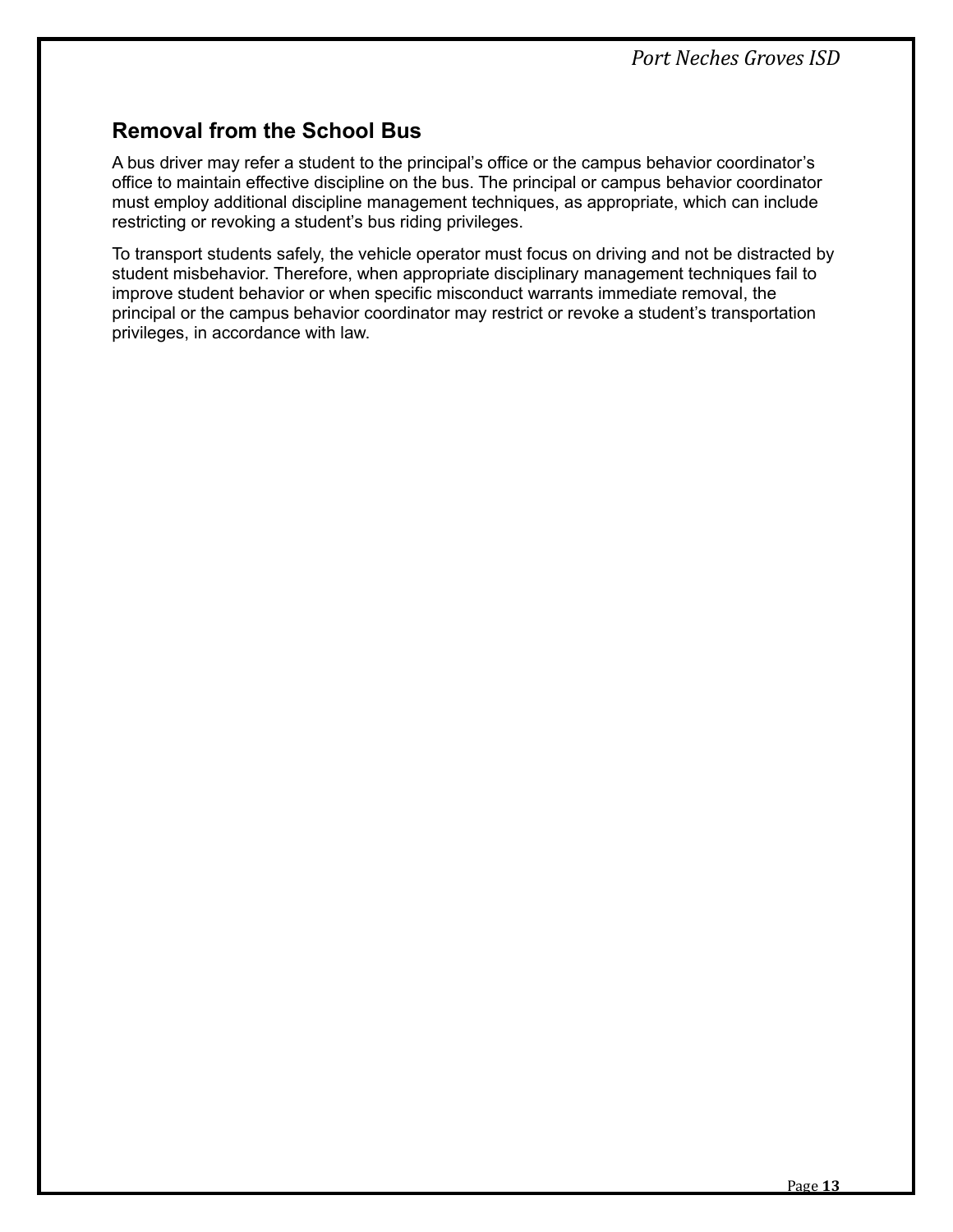# <span id="page-15-0"></span>**Removal from the School Bus**

A bus driver may refer a student to the principal's office or the campus behavior coordinator's office to maintain effective discipline on the bus. The principal or campus behavior coordinator must employ additional discipline management techniques, as appropriate, which can include restricting or revoking a student's bus riding privileges.

To transport students safely, the vehicle operator must focus on driving and not be distracted by student misbehavior. Therefore, when appropriate disciplinary management techniques fail to improve student behavior or when specific misconduct warrants immediate removal, the principal or the campus behavior coordinator may restrict or revoke a student's transportation privileges, in accordance with law.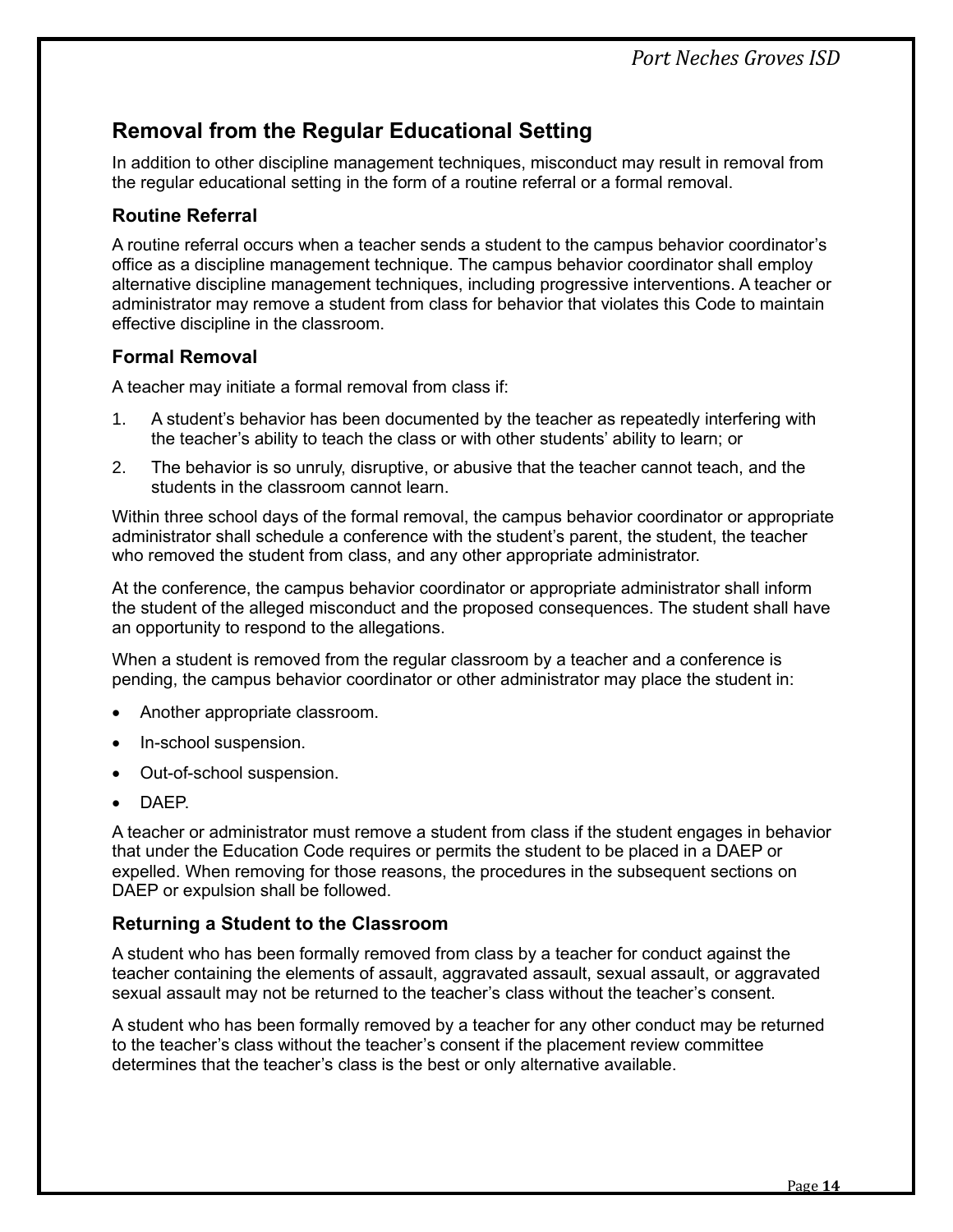# <span id="page-16-0"></span>**Removal from the Regular Educational Setting**

In addition to other discipline management techniques, misconduct may result in removal from the regular educational setting in the form of a routine referral or a formal removal.

# <span id="page-16-1"></span>**Routine Referral**

A routine referral occurs when a teacher sends a student to the campus behavior coordinator's office as a discipline management technique. The campus behavior coordinator shall employ alternative discipline management techniques, including progressive interventions. A teacher or administrator may remove a student from class for behavior that violates this Code to maintain effective discipline in the classroom.

# <span id="page-16-2"></span>**Formal Removal**

A teacher may initiate a formal removal from class if:

- 1. A student's behavior has been documented by the teacher as repeatedly interfering with the teacher's ability to teach the class or with other students' ability to learn; or
- 2. The behavior is so unruly, disruptive, or abusive that the teacher cannot teach, and the students in the classroom cannot learn.

Within three school days of the formal removal, the campus behavior coordinator or appropriate administrator shall schedule a conference with the student's parent, the student, the teacher who removed the student from class, and any other appropriate administrator.

At the conference, the campus behavior coordinator or appropriate administrator shall inform the student of the alleged misconduct and the proposed consequences. The student shall have an opportunity to respond to the allegations.

When a student is removed from the regular classroom by a teacher and a conference is pending, the campus behavior coordinator or other administrator may place the student in:

- Another appropriate classroom.
- In-school suspension.
- Out-of-school suspension.
- DAEP.

A teacher or administrator must remove a student from class if the student engages in behavior that under the Education Code requires or permits the student to be placed in a DAEP or expelled. When removing for those reasons, the procedures in the subsequent sections on DAEP or expulsion shall be followed.

# <span id="page-16-3"></span>**Returning a Student to the Classroom**

A student who has been formally removed from class by a teacher for conduct against the teacher containing the elements of assault, aggravated assault, sexual assault, or aggravated sexual assault may not be returned to the teacher's class without the teacher's consent.

A student who has been formally removed by a teacher for any other conduct may be returned to the teacher's class without the teacher's consent if the placement review committee determines that the teacher's class is the best or only alternative available.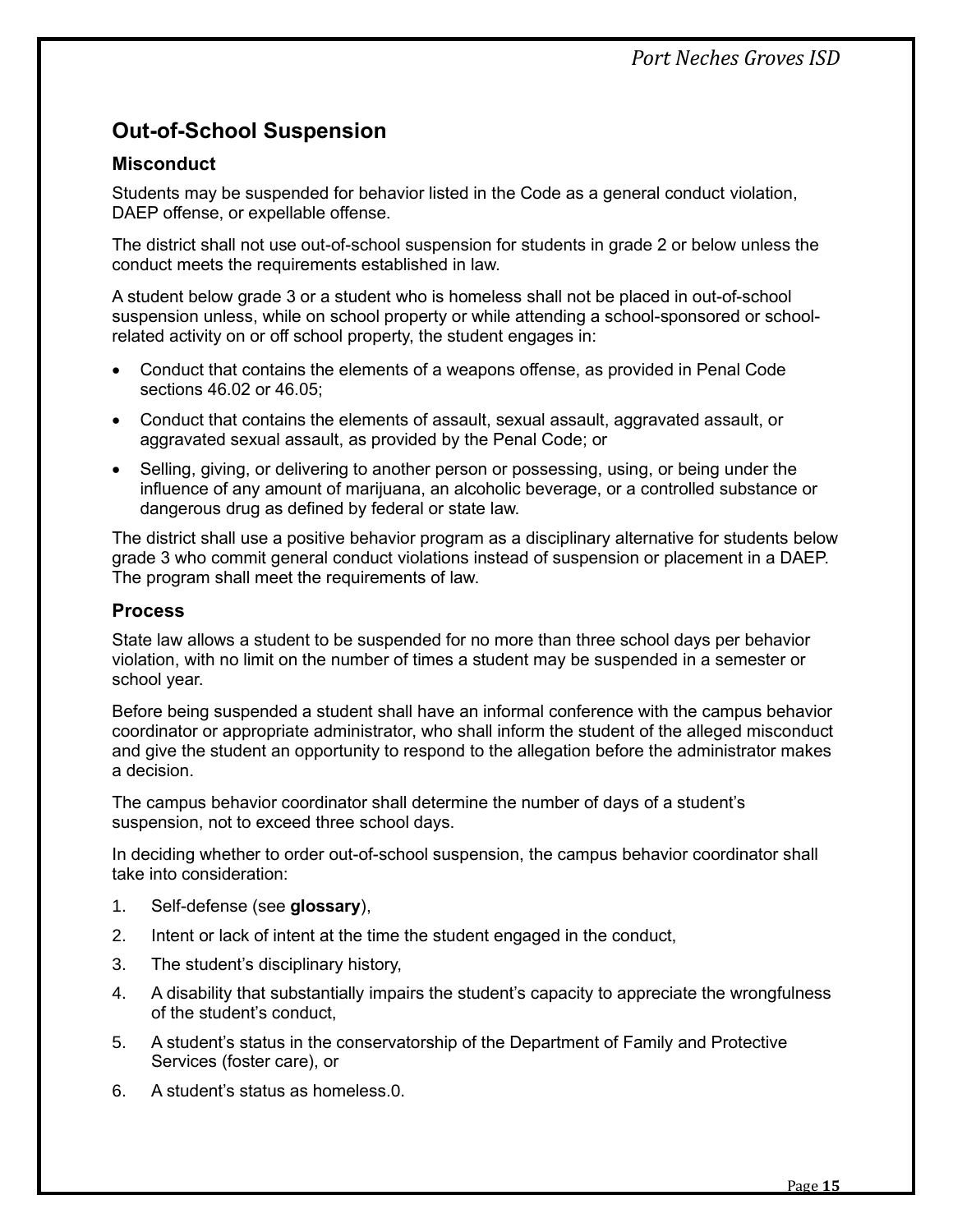# <span id="page-17-0"></span>**Out-of-School Suspension**

# <span id="page-17-1"></span>**Misconduct**

Students may be suspended for behavior listed in the Code as a general conduct violation, DAEP offense, or expellable offense.

The district shall not use out-of-school suspension for students in grade 2 or below unless the conduct meets the requirements established in law.

A student below grade 3 or a student who is homeless shall not be placed in out-of-school suspension unless, while on school property or while attending a school-sponsored or schoolrelated activity on or off school property, the student engages in:

- Conduct that contains the elements of a weapons offense, as provided in Penal Code sections 46.02 or 46.05;
- Conduct that contains the elements of assault, sexual assault, aggravated assault, or aggravated sexual assault, as provided by the Penal Code; or
- Selling, giving, or delivering to another person or possessing, using, or being under the influence of any amount of marijuana, an alcoholic beverage, or a controlled substance or dangerous drug as defined by federal or state law.

The district shall use a positive behavior program as a disciplinary alternative for students below grade 3 who commit general conduct violations instead of suspension or placement in a DAEP. The program shall meet the requirements of law.

# <span id="page-17-2"></span>**Process**

State law allows a student to be suspended for no more than three school days per behavior violation, with no limit on the number of times a student may be suspended in a semester or school year.

Before being suspended a student shall have an informal conference with the campus behavior coordinator or appropriate administrator, who shall inform the student of the alleged misconduct and give the student an opportunity to respond to the allegation before the administrator makes a decision.

The campus behavior coordinator shall determine the number of days of a student's suspension, not to exceed three school days.

In deciding whether to order out-of-school suspension, the campus behavior coordinator shall take into consideration:

- 1. Self-defense (see **glossary**),
- 2. Intent or lack of intent at the time the student engaged in the conduct,
- 3. The student's disciplinary history,
- 4. A disability that substantially impairs the student's capacity to appreciate the wrongfulness of the student's conduct,
- 5. A student's status in the conservatorship of the Department of Family and Protective Services (foster care), or
- 6. A student's status as homeless.0.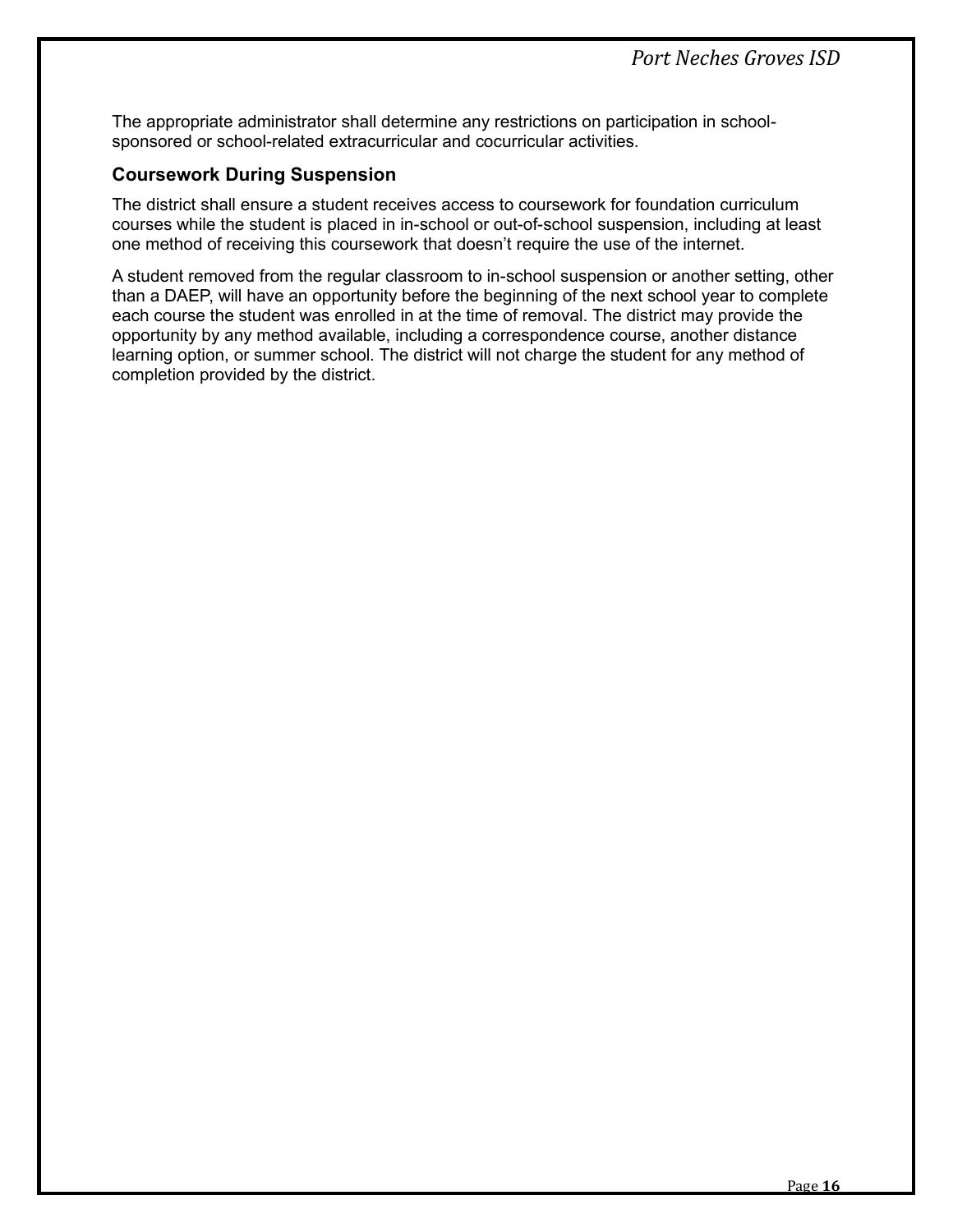The appropriate administrator shall determine any restrictions on participation in schoolsponsored or school-related extracurricular and cocurricular activities.

## <span id="page-18-0"></span>**Coursework During Suspension**

The district shall ensure a student receives access to coursework for foundation curriculum courses while the student is placed in in-school or out-of-school suspension, including at least one method of receiving this coursework that doesn't require the use of the internet.

<span id="page-18-1"></span>A student removed from the regular classroom to in-school suspension or another setting, other than a DAEP, will have an opportunity before the beginning of the next school year to complete each course the student was enrolled in at the time of removal. The district may provide the opportunity by any method available, including a correspondence course, another distance learning option, or summer school. The district will not charge the student for any method of completion provided by the district.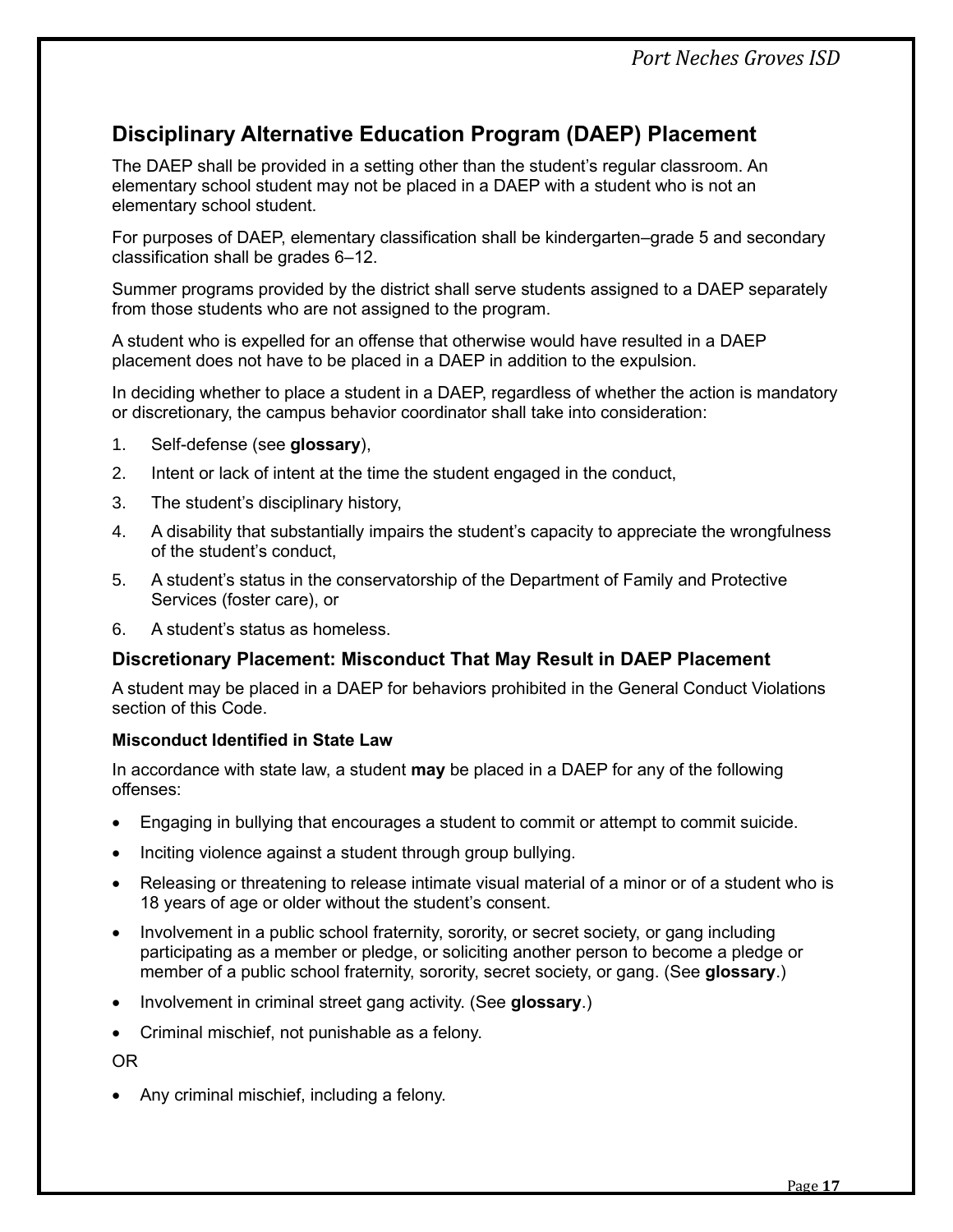*Port Neches Groves ISD*

# <span id="page-19-0"></span>**Disciplinary Alternative Education Program (DAEP) Placement**

The DAEP shall be provided in a setting other than the student's regular classroom. An elementary school student may not be placed in a DAEP with a student who is not an elementary school student.

For purposes of DAEP, elementary classification shall be kindergarten–grade 5 and secondary classification shall be grades 6–12.

Summer programs provided by the district shall serve students assigned to a DAEP separately from those students who are not assigned to the program.

A student who is expelled for an offense that otherwise would have resulted in a DAEP placement does not have to be placed in a DAEP in addition to the expulsion.

In deciding whether to place a student in a DAEP, regardless of whether the action is mandatory or discretionary, the campus behavior coordinator shall take into consideration:

- 1. Self-defense (see **glossary**),
- 2. Intent or lack of intent at the time the student engaged in the conduct,
- 3. The student's disciplinary history,
- 4. A disability that substantially impairs the student's capacity to appreciate the wrongfulness of the student's conduct,
- 5. A student's status in the conservatorship of the Department of Family and Protective Services (foster care), or
- 6. A student's status as homeless.

# <span id="page-19-1"></span>**Discretionary Placement: Misconduct That May Result in DAEP Placement**

A student may be placed in a DAEP for behaviors prohibited in the General Conduct Violations section of this Code.

#### **Misconduct Identified in State Law**

In accordance with state law, a student **may** be placed in a DAEP for any of the following offenses:

- Engaging in bullying that encourages a student to commit or attempt to commit suicide.
- Inciting violence against a student through group bullying.
- Releasing or threatening to release intimate visual material of a minor or of a student who is 18 years of age or older without the student's consent.
- Involvement in a public school fraternity, sorority, or secret society, or gang including participating as a member or pledge, or soliciting another person to become a pledge or member of a public school fraternity, sorority, secret society, or gang. (See **glossary**.)
- Involvement in criminal street gang activity. (See **glossary**.)
- Criminal mischief, not punishable as a felony.

OR

• Any criminal mischief, including a felony.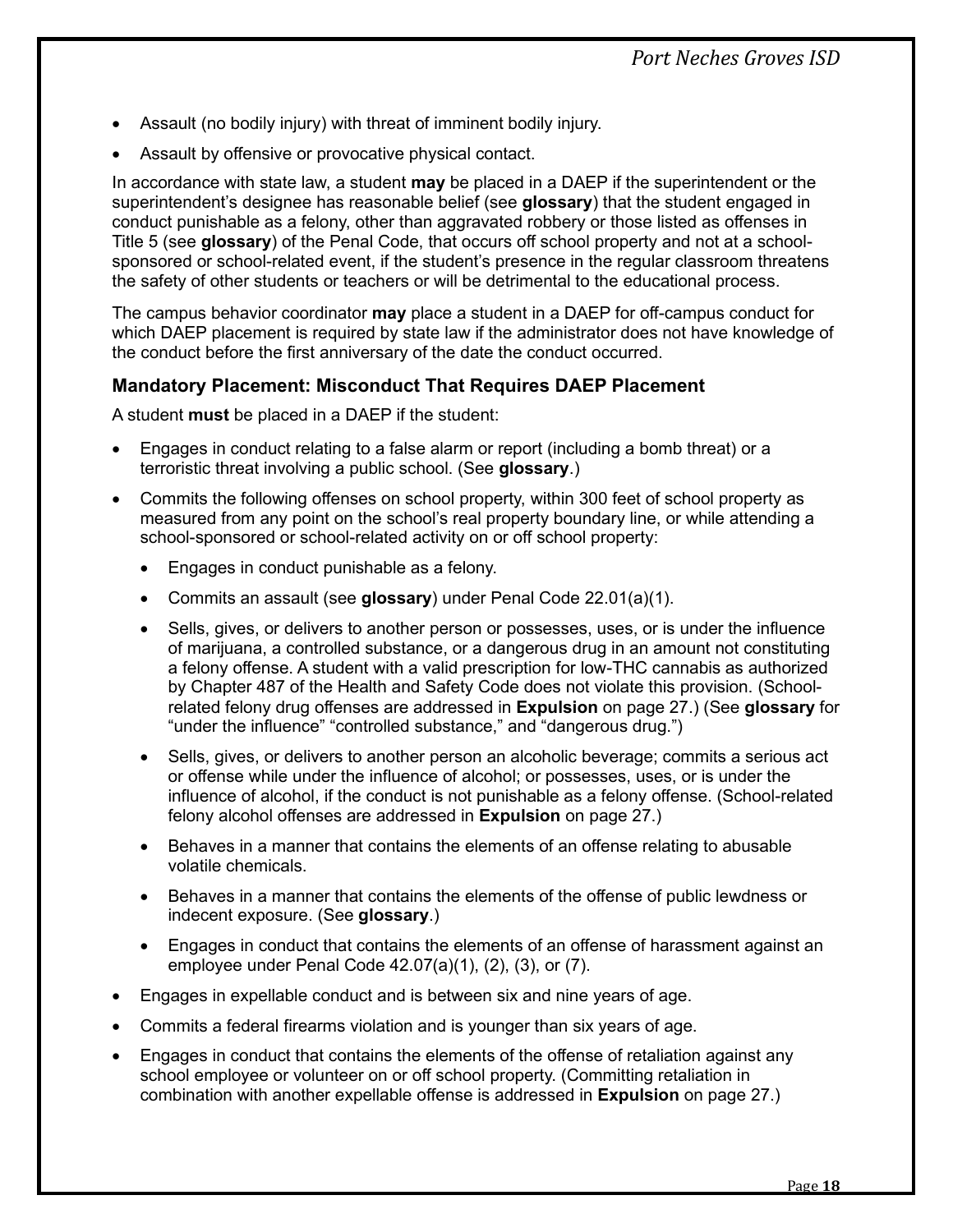- Assault (no bodily injury) with threat of imminent bodily injury.
- Assault by offensive or provocative physical contact.

In accordance with state law, a student **may** be placed in a DAEP if the superintendent or the superintendent's designee has reasonable belief (see **glossary**) that the student engaged in conduct punishable as a felony, other than aggravated robbery or those listed as offenses in Title 5 (see **glossary**) of the Penal Code, that occurs off school property and not at a schoolsponsored or school-related event, if the student's presence in the regular classroom threatens the safety of other students or teachers or will be detrimental to the educational process.

The campus behavior coordinator **may** place a student in a DAEP for off-campus conduct for which DAEP placement is required by state law if the administrator does not have knowledge of the conduct before the first anniversary of the date the conduct occurred.

## <span id="page-20-0"></span>**Mandatory Placement: Misconduct That Requires DAEP Placement**

A student **must** be placed in a DAEP if the student:

- Engages in conduct relating to a false alarm or report (including a bomb threat) or a terroristic threat involving a public school. (See **glossary**.)
- Commits the following offenses on school property, within 300 feet of school property as measured from any point on the school's real property boundary line, or while attending a school-sponsored or school-related activity on or off school property:
	- Engages in conduct punishable as a felony.
	- Commits an assault (see **glossary**) under Penal Code 22.01(a)(1).
	- Sells, gives, or delivers to another person or possesses, uses, or is under the influence of marijuana, a controlled substance, or a dangerous drug in an amount not constituting a felony offense. A student with a valid prescription for low-THC cannabis as authorized by Chapter 487 of the Health and Safety Code does not violate this provision. (Schoolrelated felony drug offenses are addressed in **Expulsion** on page [27.](#page-29-0)) (See **glossary** for "under the influence" "controlled substance," and "dangerous drug.")
	- Sells, gives, or delivers to another person an alcoholic beverage; commits a serious act or offense while under the influence of alcohol; or possesses, uses, or is under the influence of alcohol, if the conduct is not punishable as a felony offense. (School-related felony alcohol offenses are addressed in **Expulsion** on page [27.](#page-29-0))
	- Behaves in a manner that contains the elements of an offense relating to abusable volatile chemicals.
	- Behaves in a manner that contains the elements of the offense of public lewdness or indecent exposure. (See **glossary**.)
	- Engages in conduct that contains the elements of an offense of harassment against an employee under Penal Code 42.07(a)(1), (2), (3), or (7).
- Engages in expellable conduct and is between six and nine years of age.
- Commits a federal firearms violation and is younger than six years of age.
- Engages in conduct that contains the elements of the offense of retaliation against any school employee or volunteer on or off school property. (Committing retaliation in combination with another expellable offense is addressed in **Expulsion** on page [27.](#page-29-0))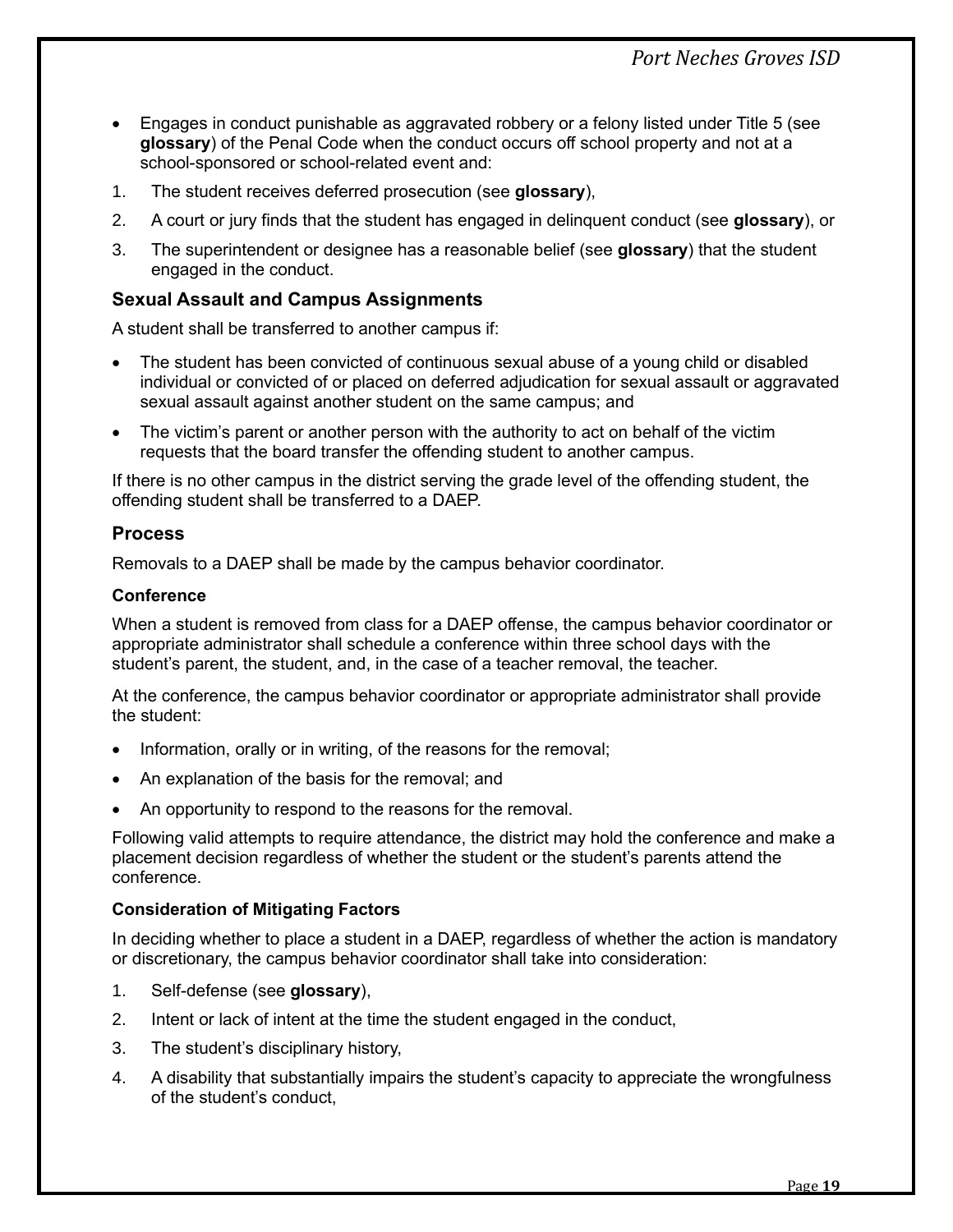- Engages in conduct punishable as aggravated robbery or a felony listed under Title 5 (see **glossary**) of the Penal Code when the conduct occurs off school property and not at a school-sponsored or school-related event and:
- 1. The student receives deferred prosecution (see **glossary**),
- 2. A court or jury finds that the student has engaged in delinquent conduct (see **glossary**), or
- 3. The superintendent or designee has a reasonable belief (see **glossary**) that the student engaged in the conduct.

# <span id="page-21-0"></span>**Sexual Assault and Campus Assignments**

A student shall be transferred to another campus if:

- The student has been convicted of continuous sexual abuse of a young child or disabled individual or convicted of or placed on deferred adjudication for sexual assault or aggravated sexual assault against another student on the same campus; and
- The victim's parent or another person with the authority to act on behalf of the victim requests that the board transfer the offending student to another campus.

If there is no other campus in the district serving the grade level of the offending student, the offending student shall be transferred to a DAEP.

## <span id="page-21-1"></span>**Process**

Removals to a DAEP shall be made by the campus behavior coordinator.

#### **Conference**

When a student is removed from class for a DAEP offense, the campus behavior coordinator or appropriate administrator shall schedule a conference within three school days with the student's parent, the student, and, in the case of a teacher removal, the teacher.

At the conference, the campus behavior coordinator or appropriate administrator shall provide the student:

- Information, orally or in writing, of the reasons for the removal;
- An explanation of the basis for the removal; and
- An opportunity to respond to the reasons for the removal.

Following valid attempts to require attendance, the district may hold the conference and make a placement decision regardless of whether the student or the student's parents attend the conference.

#### **Consideration of Mitigating Factors**

In deciding whether to place a student in a DAEP, regardless of whether the action is mandatory or discretionary, the campus behavior coordinator shall take into consideration:

- 1. Self-defense (see **glossary**),
- 2. Intent or lack of intent at the time the student engaged in the conduct,
- 3. The student's disciplinary history,
- 4. A disability that substantially impairs the student's capacity to appreciate the wrongfulness of the student's conduct,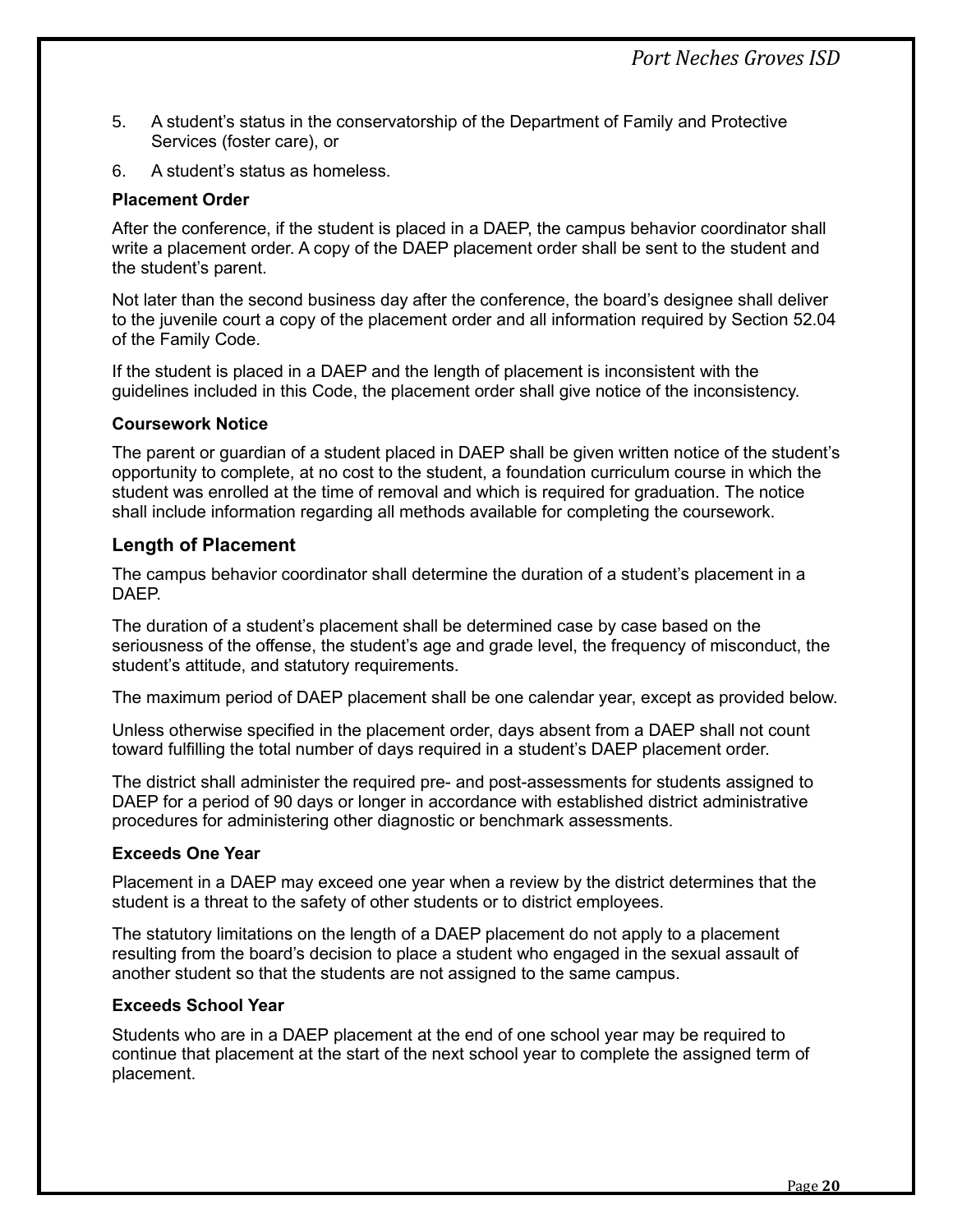- 5. A student's status in the conservatorship of the Department of Family and Protective Services (foster care), or
- 6. A student's status as homeless.

#### **Placement Order**

After the conference, if the student is placed in a DAEP, the campus behavior coordinator shall write a placement order. A copy of the DAEP placement order shall be sent to the student and the student's parent.

Not later than the second business day after the conference, the board's designee shall deliver to the juvenile court a copy of the placement order and all information required by Section 52.04 of the Family Code.

If the student is placed in a DAEP and the length of placement is inconsistent with the guidelines included in this Code, the placement order shall give notice of the inconsistency.

#### **Coursework Notice**

The parent or guardian of a student placed in DAEP shall be given written notice of the student's opportunity to complete, at no cost to the student, a foundation curriculum course in which the student was enrolled at the time of removal and which is required for graduation. The notice shall include information regarding all methods available for completing the coursework.

#### <span id="page-22-0"></span>**Length of Placement**

The campus behavior coordinator shall determine the duration of a student's placement in a **DAFP** 

The duration of a student's placement shall be determined case by case based on the seriousness of the offense, the student's age and grade level, the frequency of misconduct, the student's attitude, and statutory requirements.

The maximum period of DAEP placement shall be one calendar year, except as provided below.

Unless otherwise specified in the placement order, days absent from a DAEP shall not count toward fulfilling the total number of days required in a student's DAEP placement order.

The district shall administer the required pre- and post-assessments for students assigned to DAEP for a period of 90 days or longer in accordance with established district administrative procedures for administering other diagnostic or benchmark assessments.

#### **Exceeds One Year**

Placement in a DAEP may exceed one year when a review by the district determines that the student is a threat to the safety of other students or to district employees.

The statutory limitations on the length of a DAEP placement do not apply to a placement resulting from the board's decision to place a student who engaged in the sexual assault of another student so that the students are not assigned to the same campus.

#### **Exceeds School Year**

Students who are in a DAEP placement at the end of one school year may be required to continue that placement at the start of the next school year to complete the assigned term of placement.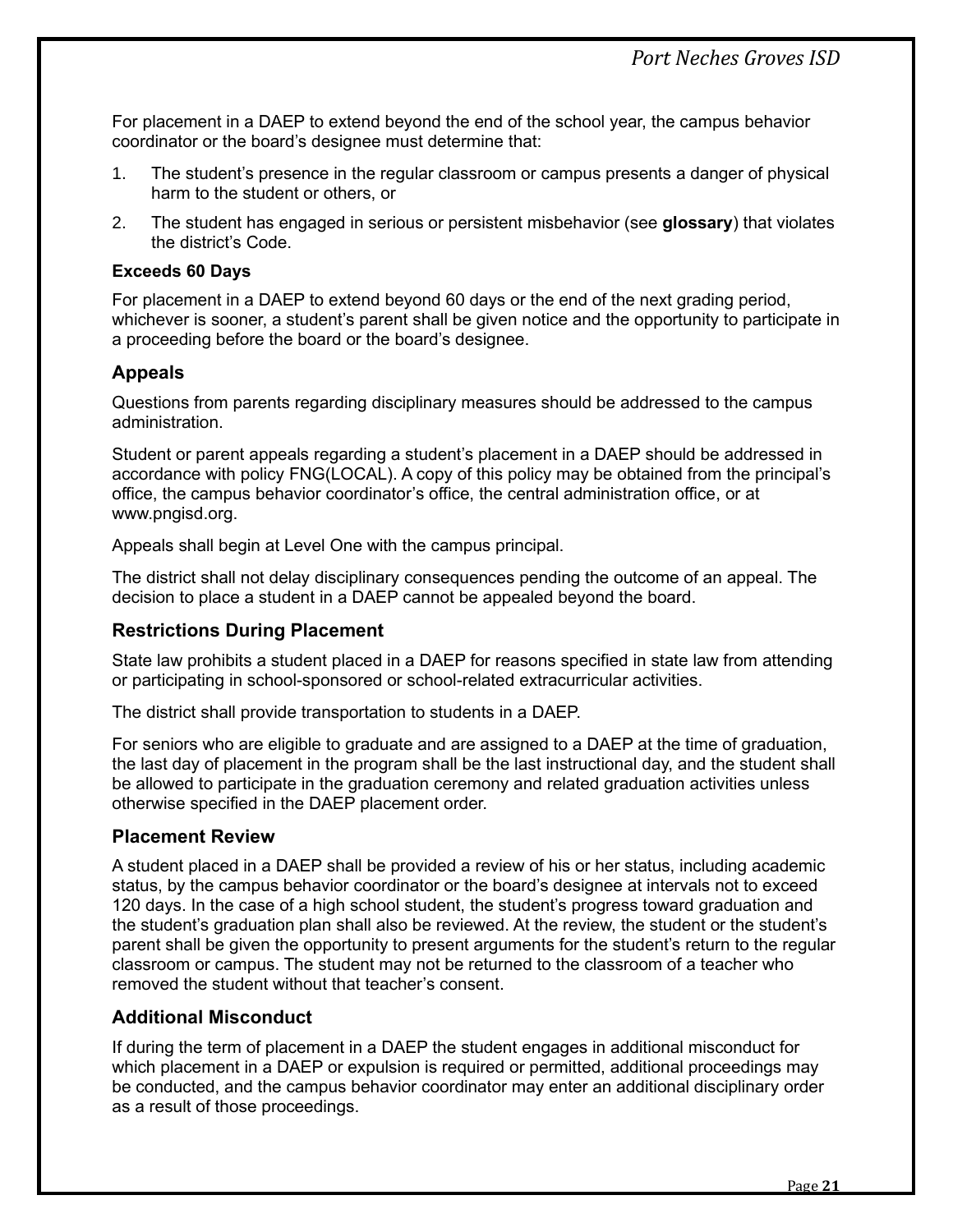For placement in a DAEP to extend beyond the end of the school year, the campus behavior coordinator or the board's designee must determine that:

- 1. The student's presence in the regular classroom or campus presents a danger of physical harm to the student or others, or
- 2. The student has engaged in serious or persistent misbehavior (see **glossary**) that violates the district's Code.

#### **Exceeds 60 Days**

For placement in a DAEP to extend beyond 60 days or the end of the next grading period, whichever is sooner, a student's parent shall be given notice and the opportunity to participate in a proceeding before the board or the board's designee.

# <span id="page-23-0"></span>**Appeals**

Questions from parents regarding disciplinary measures should be addressed to the campus administration.

Student or parent appeals regarding a student's placement in a DAEP should be addressed in accordance with policy FNG(LOCAL). A copy of this policy may be obtained from the principal's office, the campus behavior coordinator's office, the central administration office, or at www.pngisd.org.

Appeals shall begin at Level One with the campus principal.

The district shall not delay disciplinary consequences pending the outcome of an appeal. The decision to place a student in a DAEP cannot be appealed beyond the board.

#### <span id="page-23-1"></span>**Restrictions During Placement**

State law prohibits a student placed in a DAEP for reasons specified in state law from attending or participating in school-sponsored or school-related extracurricular activities.

The district shall provide transportation to students in a DAEP.

For seniors who are eligible to graduate and are assigned to a DAEP at the time of graduation, the last day of placement in the program shall be the last instructional day, and the student shall be allowed to participate in the graduation ceremony and related graduation activities unless otherwise specified in the DAEP placement order.

#### <span id="page-23-2"></span>**Placement Review**

A student placed in a DAEP shall be provided a review of his or her status, including academic status, by the campus behavior coordinator or the board's designee at intervals not to exceed 120 days. In the case of a high school student, the student's progress toward graduation and the student's graduation plan shall also be reviewed. At the review, the student or the student's parent shall be given the opportunity to present arguments for the student's return to the regular classroom or campus. The student may not be returned to the classroom of a teacher who removed the student without that teacher's consent.

#### <span id="page-23-3"></span>**Additional Misconduct**

If during the term of placement in a DAEP the student engages in additional misconduct for which placement in a DAEP or expulsion is required or permitted, additional proceedings may be conducted, and the campus behavior coordinator may enter an additional disciplinary order as a result of those proceedings.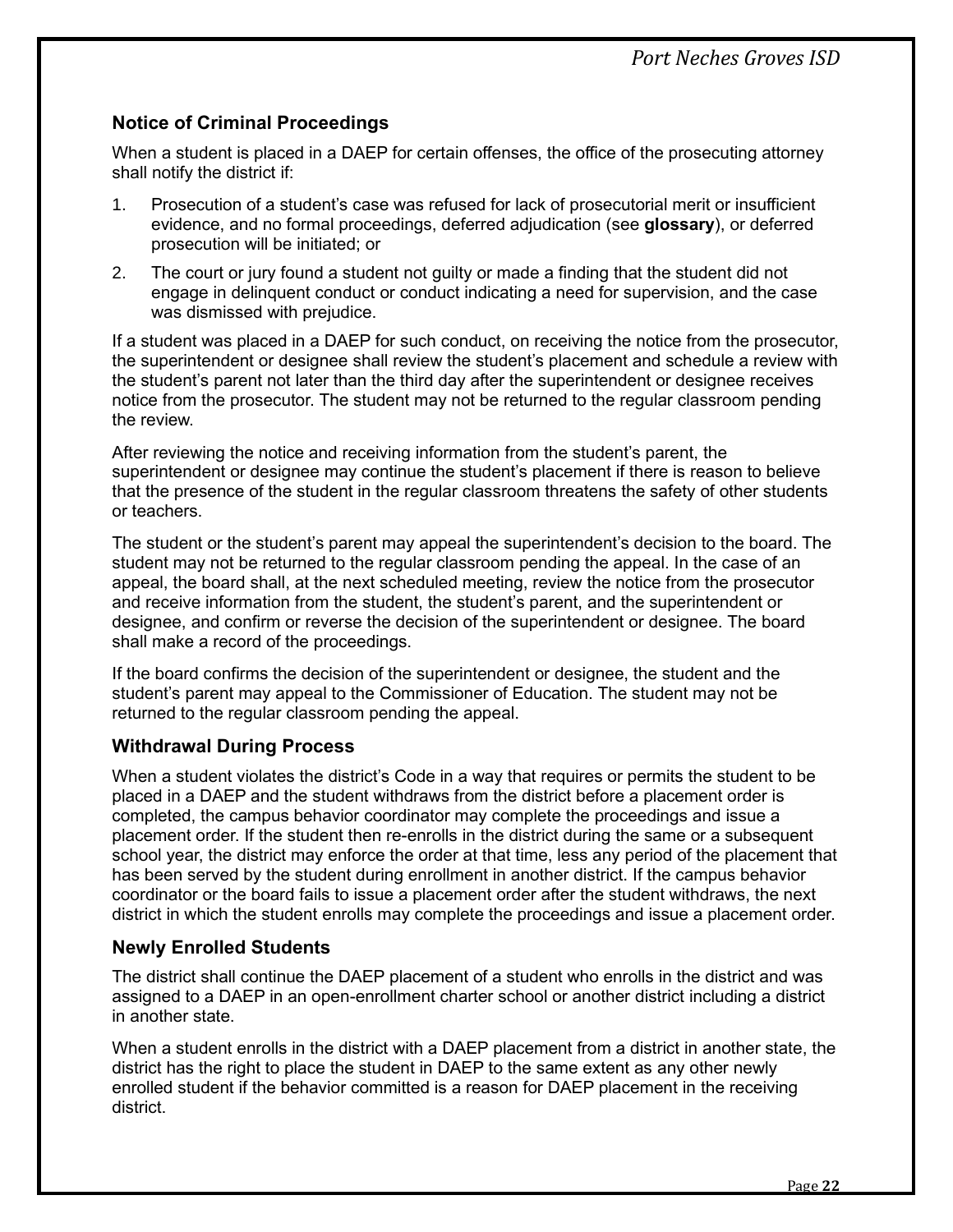# <span id="page-24-0"></span>**Notice of Criminal Proceedings**

When a student is placed in a DAEP for certain offenses, the office of the prosecuting attorney shall notify the district if:

- 1. Prosecution of a student's case was refused for lack of prosecutorial merit or insufficient evidence, and no formal proceedings, deferred adjudication (see **glossary**), or deferred prosecution will be initiated; or
- 2. The court or jury found a student not guilty or made a finding that the student did not engage in delinquent conduct or conduct indicating a need for supervision, and the case was dismissed with prejudice.

If a student was placed in a DAEP for such conduct, on receiving the notice from the prosecutor, the superintendent or designee shall review the student's placement and schedule a review with the student's parent not later than the third day after the superintendent or designee receives notice from the prosecutor. The student may not be returned to the regular classroom pending the review.

After reviewing the notice and receiving information from the student's parent, the superintendent or designee may continue the student's placement if there is reason to believe that the presence of the student in the regular classroom threatens the safety of other students or teachers.

The student or the student's parent may appeal the superintendent's decision to the board. The student may not be returned to the regular classroom pending the appeal. In the case of an appeal, the board shall, at the next scheduled meeting, review the notice from the prosecutor and receive information from the student, the student's parent, and the superintendent or designee, and confirm or reverse the decision of the superintendent or designee. The board shall make a record of the proceedings.

If the board confirms the decision of the superintendent or designee, the student and the student's parent may appeal to the Commissioner of Education. The student may not be returned to the regular classroom pending the appeal.

# <span id="page-24-1"></span>**Withdrawal During Process**

When a student violates the district's Code in a way that requires or permits the student to be placed in a DAEP and the student withdraws from the district before a placement order is completed, the campus behavior coordinator may complete the proceedings and issue a placement order. If the student then re-enrolls in the district during the same or a subsequent school year, the district may enforce the order at that time, less any period of the placement that has been served by the student during enrollment in another district. If the campus behavior coordinator or the board fails to issue a placement order after the student withdraws, the next district in which the student enrolls may complete the proceedings and issue a placement order.

#### <span id="page-24-2"></span>**Newly Enrolled Students**

The district shall continue the DAEP placement of a student who enrolls in the district and was assigned to a DAEP in an open-enrollment charter school or another district including a district in another state.

When a student enrolls in the district with a DAEP placement from a district in another state, the district has the right to place the student in DAEP to the same extent as any other newly enrolled student if the behavior committed is a reason for DAEP placement in the receiving district.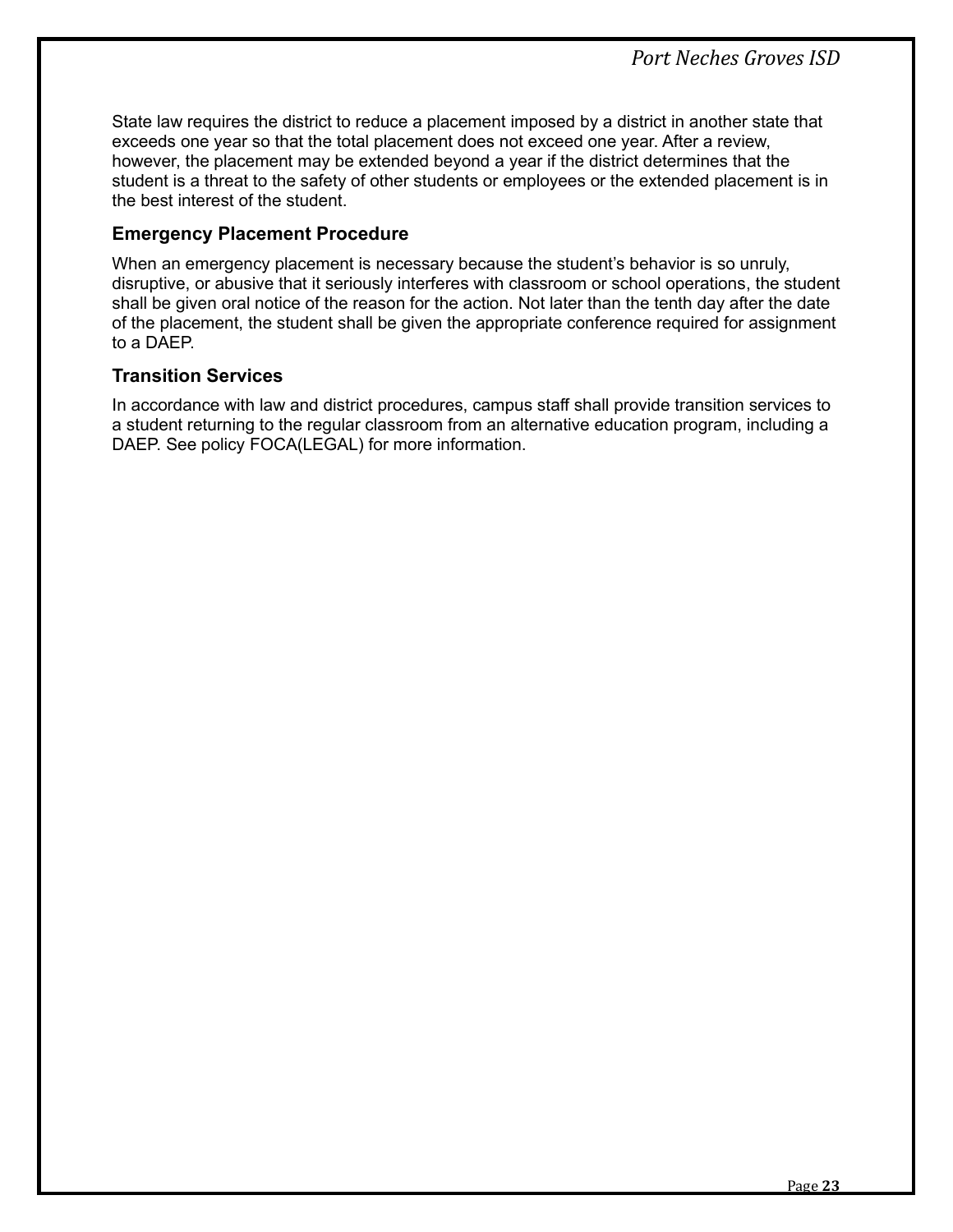State law requires the district to reduce a placement imposed by a district in another state that exceeds one year so that the total placement does not exceed one year. After a review, however, the placement may be extended beyond a year if the district determines that the student is a threat to the safety of other students or employees or the extended placement is in the best interest of the student.

## <span id="page-25-0"></span>**Emergency Placement Procedure**

When an emergency placement is necessary because the student's behavior is so unruly, disruptive, or abusive that it seriously interferes with classroom or school operations, the student shall be given oral notice of the reason for the action. Not later than the tenth day after the date of the placement, the student shall be given the appropriate conference required for assignment to a DAEP.

## <span id="page-25-1"></span>**Transition Services**

In accordance with law and district procedures, campus staff shall provide transition services to a student returning to the regular classroom from an alternative education program, including a DAEP. See policy FOCA(LEGAL) for more information.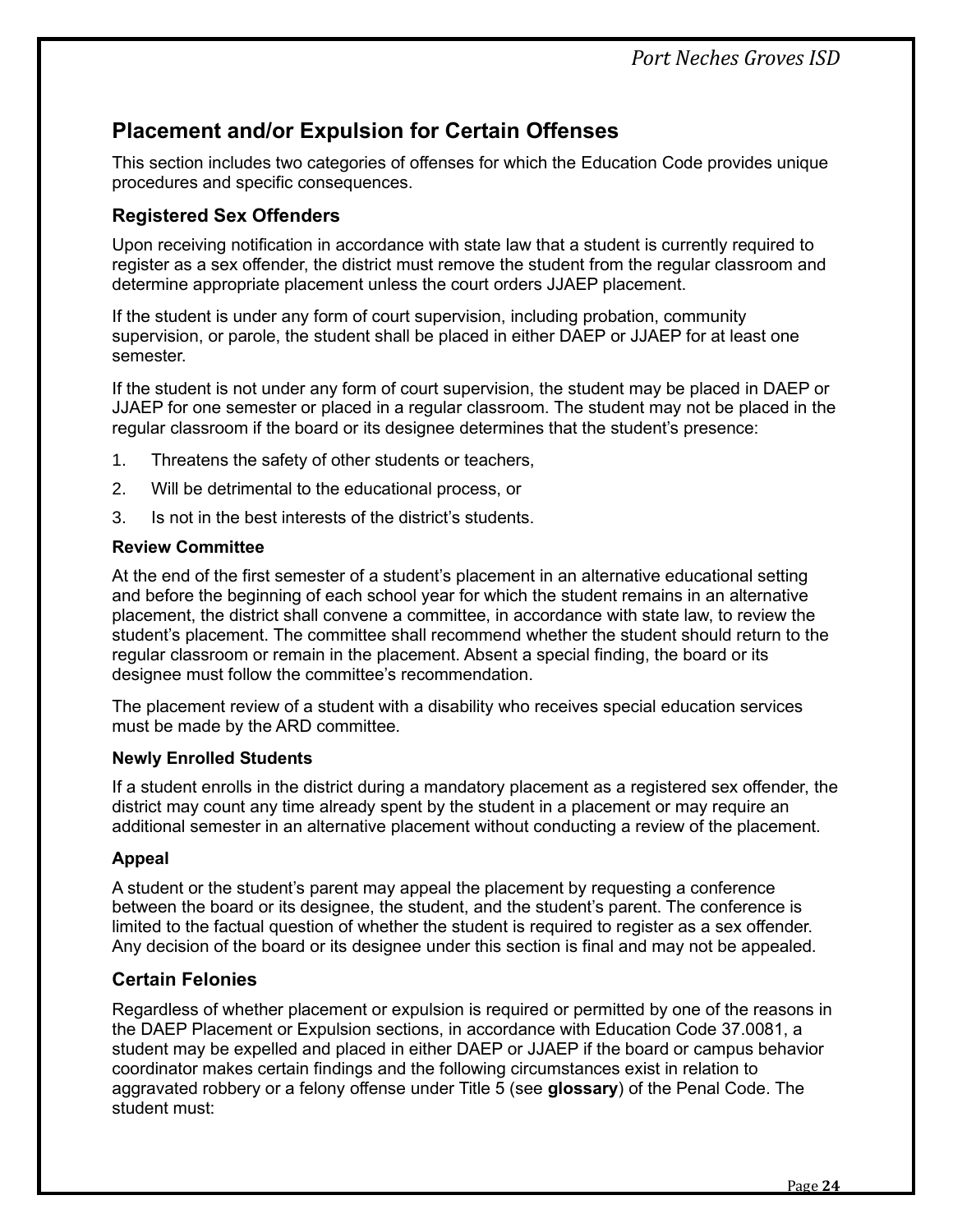# <span id="page-26-0"></span>**Placement and/or Expulsion for Certain Offenses**

This section includes two categories of offenses for which the Education Code provides unique procedures and specific consequences.

# <span id="page-26-1"></span>**Registered Sex Offenders**

Upon receiving notification in accordance with state law that a student is currently required to register as a sex offender, the district must remove the student from the regular classroom and determine appropriate placement unless the court orders JJAEP placement.

If the student is under any form of court supervision, including probation, community supervision, or parole, the student shall be placed in either DAEP or JJAEP for at least one semester.

If the student is not under any form of court supervision, the student may be placed in DAEP or JJAEP for one semester or placed in a regular classroom. The student may not be placed in the regular classroom if the board or its designee determines that the student's presence:

- 1. Threatens the safety of other students or teachers,
- 2. Will be detrimental to the educational process, or
- 3. Is not in the best interests of the district's students.

#### **Review Committee**

At the end of the first semester of a student's placement in an alternative educational setting and before the beginning of each school year for which the student remains in an alternative placement, the district shall convene a committee, in accordance with state law, to review the student's placement. The committee shall recommend whether the student should return to the regular classroom or remain in the placement. Absent a special finding, the board or its designee must follow the committee's recommendation.

The placement review of a student with a disability who receives special education services must be made by the ARD committee.

#### **Newly Enrolled Students**

If a student enrolls in the district during a mandatory placement as a registered sex offender, the district may count any time already spent by the student in a placement or may require an additional semester in an alternative placement without conducting a review of the placement.

#### **Appeal**

A student or the student's parent may appeal the placement by requesting a conference between the board or its designee, the student, and the student's parent. The conference is limited to the factual question of whether the student is required to register as a sex offender. Any decision of the board or its designee under this section is final and may not be appealed.

# <span id="page-26-2"></span>**Certain Felonies**

Regardless of whether placement or expulsion is required or permitted by one of the reasons in the DAEP Placement or Expulsion sections, in accordance with Education Code 37.0081, a student may be expelled and placed in either DAEP or JJAEP if the board or campus behavior coordinator makes certain findings and the following circumstances exist in relation to aggravated robbery or a felony offense under Title 5 (see **glossary**) of the Penal Code. The student must: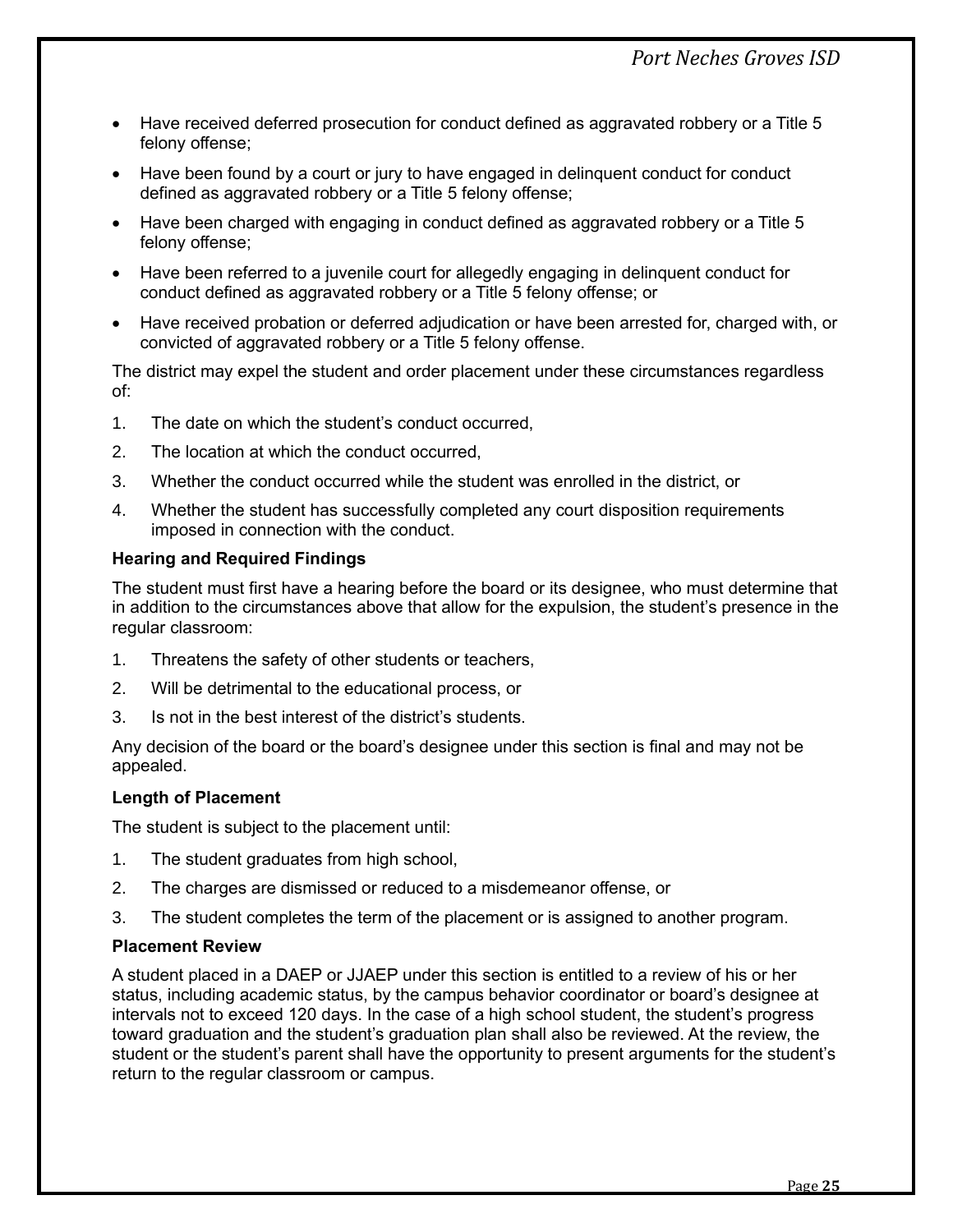- Have received deferred prosecution for conduct defined as aggravated robbery or a Title 5 felony offense;
- Have been found by a court or jury to have engaged in delinguent conduct for conduct defined as aggravated robbery or a Title 5 felony offense;
- Have been charged with engaging in conduct defined as aggravated robbery or a Title 5 felony offense;
- Have been referred to a juvenile court for allegedly engaging in delinquent conduct for conduct defined as aggravated robbery or a Title 5 felony offense; or
- Have received probation or deferred adjudication or have been arrested for, charged with, or convicted of aggravated robbery or a Title 5 felony offense.

The district may expel the student and order placement under these circumstances regardless of:

- 1. The date on which the student's conduct occurred,
- 2. The location at which the conduct occurred,
- 3. Whether the conduct occurred while the student was enrolled in the district, or
- 4. Whether the student has successfully completed any court disposition requirements imposed in connection with the conduct.

#### **Hearing and Required Findings**

The student must first have a hearing before the board or its designee, who must determine that in addition to the circumstances above that allow for the expulsion, the student's presence in the regular classroom:

- 1. Threatens the safety of other students or teachers,
- 2. Will be detrimental to the educational process, or
- 3. Is not in the best interest of the district's students.

Any decision of the board or the board's designee under this section is final and may not be appealed.

#### **Length of Placement**

The student is subject to the placement until:

- 1. The student graduates from high school,
- 2. The charges are dismissed or reduced to a misdemeanor offense, or
- 3. The student completes the term of the placement or is assigned to another program.

#### **Placement Review**

A student placed in a DAEP or JJAEP under this section is entitled to a review of his or her status, including academic status, by the campus behavior coordinator or board's designee at intervals not to exceed 120 days. In the case of a high school student, the student's progress toward graduation and the student's graduation plan shall also be reviewed. At the review, the student or the student's parent shall have the opportunity to present arguments for the student's return to the regular classroom or campus.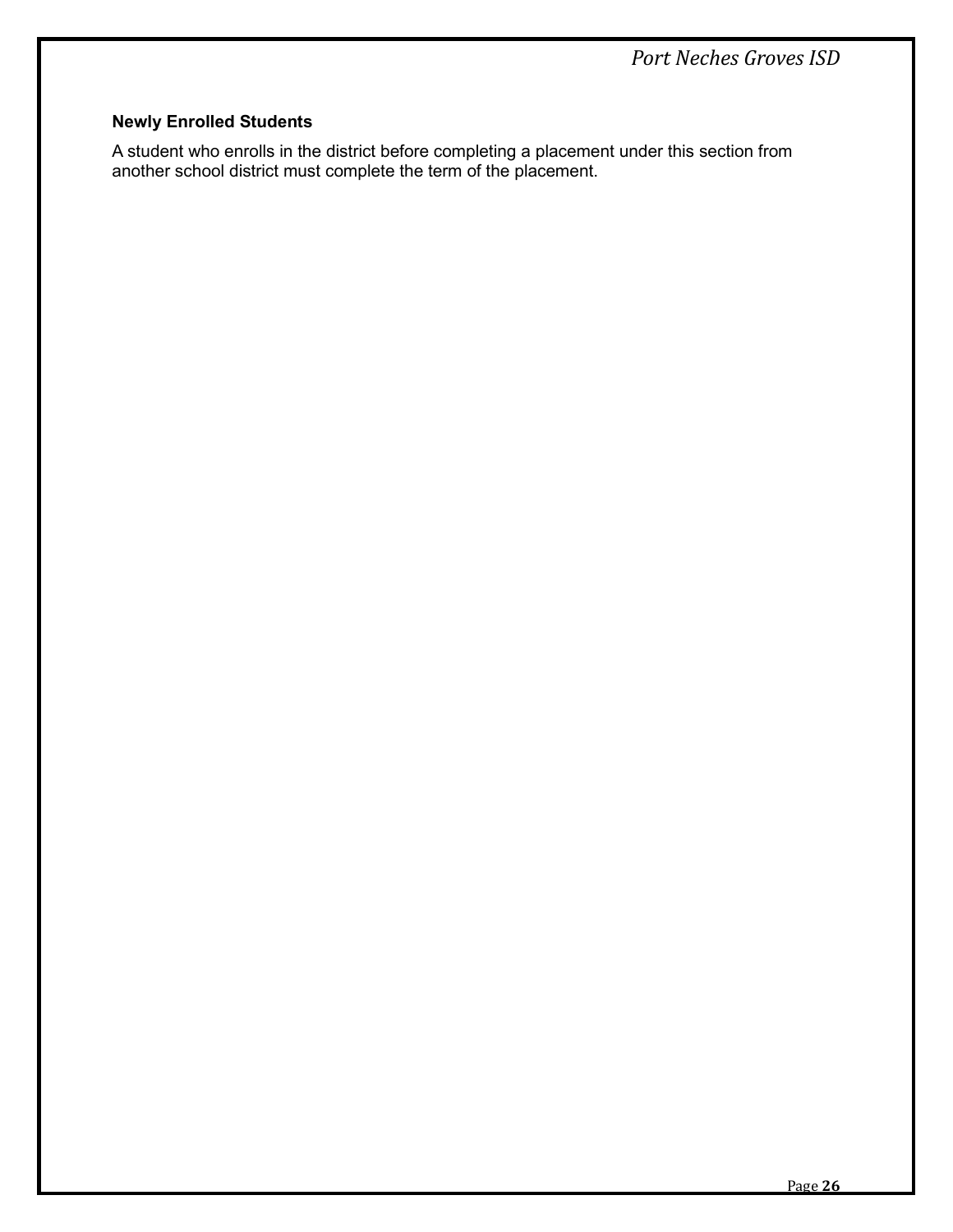# **Newly Enrolled Students**

A student who enrolls in the district before completing a placement under this section from another school district must complete the term of the placement.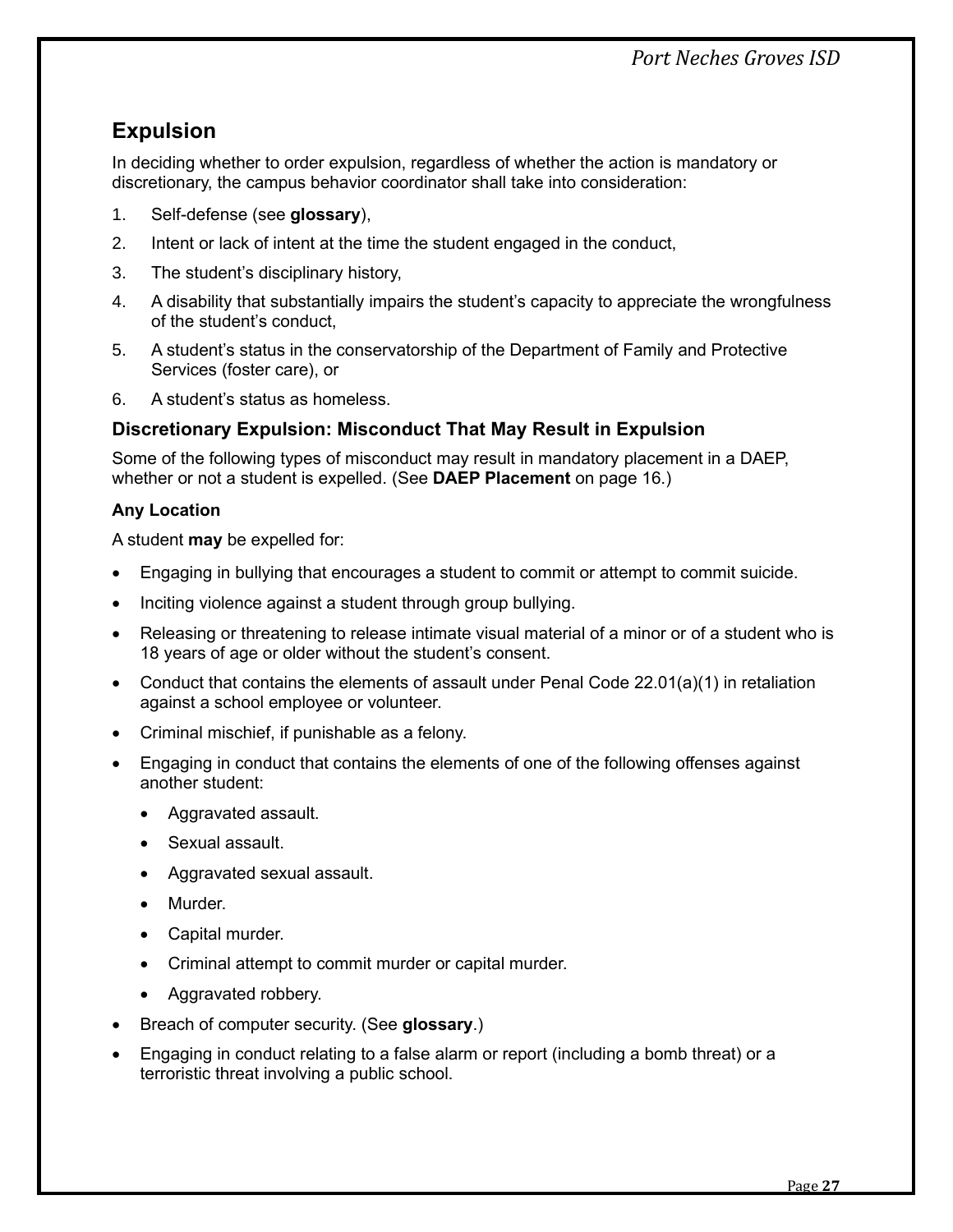# <span id="page-29-0"></span>**Expulsion**

In deciding whether to order expulsion, regardless of whether the action is mandatory or discretionary, the campus behavior coordinator shall take into consideration:

- 1. Self-defense (see **glossary**),
- 2. Intent or lack of intent at the time the student engaged in the conduct,
- 3. The student's disciplinary history,
- 4. A disability that substantially impairs the student's capacity to appreciate the wrongfulness of the student's conduct,
- 5. A student's status in the conservatorship of the Department of Family and Protective Services (foster care), or
- 6. A student's status as homeless.

# <span id="page-29-1"></span>**Discretionary Expulsion: Misconduct That May Result in Expulsion**

Some of the following types of misconduct may result in mandatory placement in a DAEP, whether or not a student is expelled. (See **DAEP Placement** on page [16.](#page-18-1))

## **Any Location**

A student **may** be expelled for:

- Engaging in bullying that encourages a student to commit or attempt to commit suicide.
- Inciting violence against a student through group bullying.
- Releasing or threatening to release intimate visual material of a minor or of a student who is 18 years of age or older without the student's consent.
- Conduct that contains the elements of assault under Penal Code 22.01(a)(1) in retaliation against a school employee or volunteer.
- Criminal mischief, if punishable as a felony.
- Engaging in conduct that contains the elements of one of the following offenses against another student:
	- Aggravated assault.
	- Sexual assault.
	- Aggravated sexual assault.
	- Murder.
	- Capital murder.
	- Criminal attempt to commit murder or capital murder.
	- Aggravated robbery.
- Breach of computer security. (See **glossary**.)
- Engaging in conduct relating to a false alarm or report (including a bomb threat) or a terroristic threat involving a public school.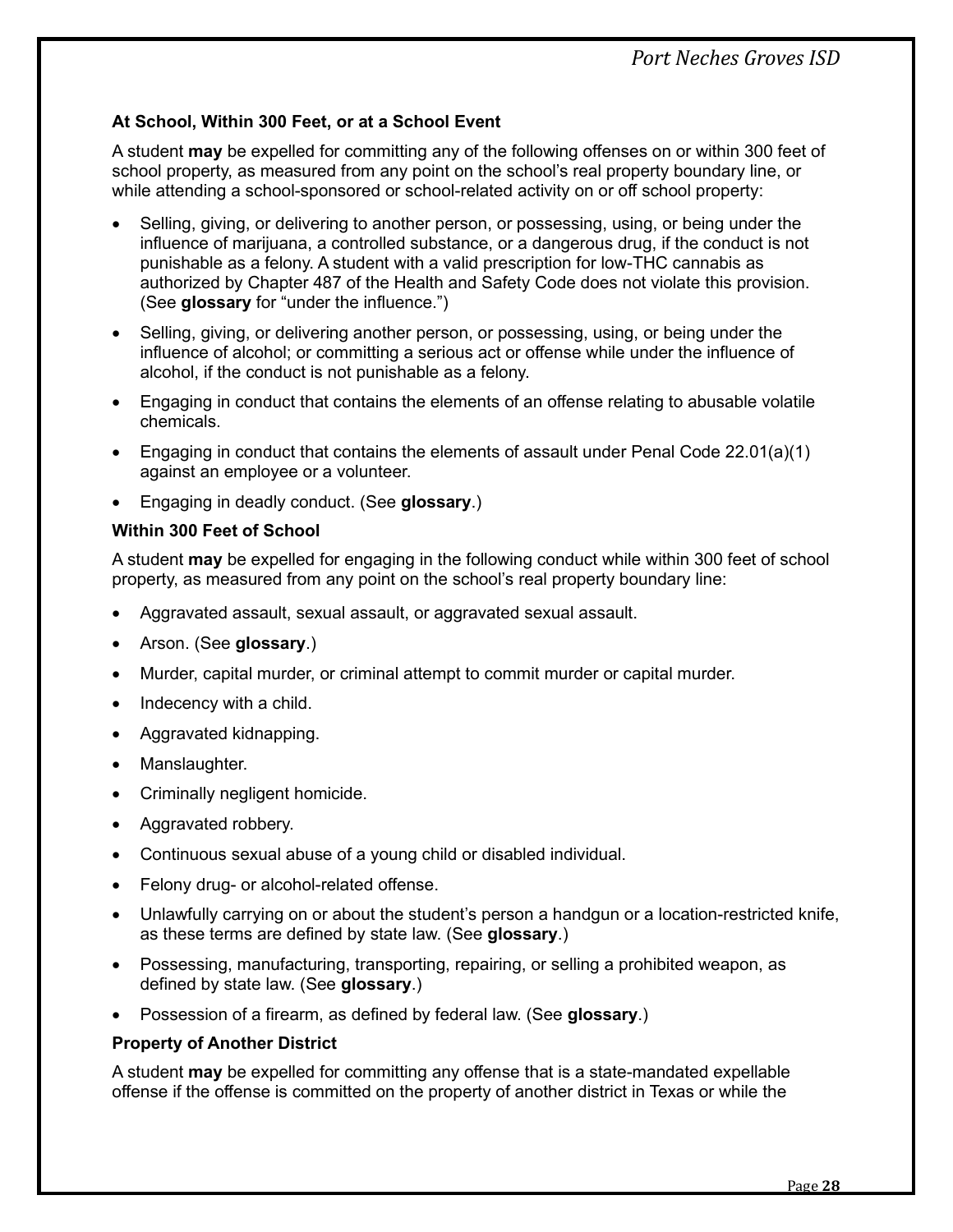## **At School, Within 300 Feet, or at a School Event**

A student **may** be expelled for committing any of the following offenses on or within 300 feet of school property, as measured from any point on the school's real property boundary line, or while attending a school-sponsored or school-related activity on or off school property:

- Selling, giving, or delivering to another person, or possessing, using, or being under the influence of marijuana, a controlled substance, or a dangerous drug, if the conduct is not punishable as a felony. A student with a valid prescription for low-THC cannabis as authorized by Chapter 487 of the Health and Safety Code does not violate this provision. (See **glossary** for "under the influence.")
- Selling, giving, or delivering another person, or possessing, using, or being under the influence of alcohol; or committing a serious act or offense while under the influence of alcohol, if the conduct is not punishable as a felony.
- Engaging in conduct that contains the elements of an offense relating to abusable volatile chemicals.
- Engaging in conduct that contains the elements of assault under Penal Code 22.01(a)(1) against an employee or a volunteer.
- Engaging in deadly conduct. (See **glossary**.)

#### **Within 300 Feet of School**

A student **may** be expelled for engaging in the following conduct while within 300 feet of school property, as measured from any point on the school's real property boundary line:

- Aggravated assault, sexual assault, or aggravated sexual assault.
- Arson. (See **glossary**.)
- Murder, capital murder, or criminal attempt to commit murder or capital murder.
- Indecency with a child.
- Aggravated kidnapping.
- Manslaughter.
- Criminally negligent homicide.
- Aggravated robbery.
- Continuous sexual abuse of a young child or disabled individual.
- Felony drug- or alcohol-related offense.
- Unlawfully carrying on or about the student's person a handgun or a location-restricted knife, as these terms are defined by state law. (See **glossary**.)
- Possessing, manufacturing, transporting, repairing, or selling a prohibited weapon, as defined by state law. (See **glossary**.)
- Possession of a firearm, as defined by federal law. (See **glossary**.)

#### **Property of Another District**

A student **may** be expelled for committing any offense that is a state-mandated expellable offense if the offense is committed on the property of another district in Texas or while the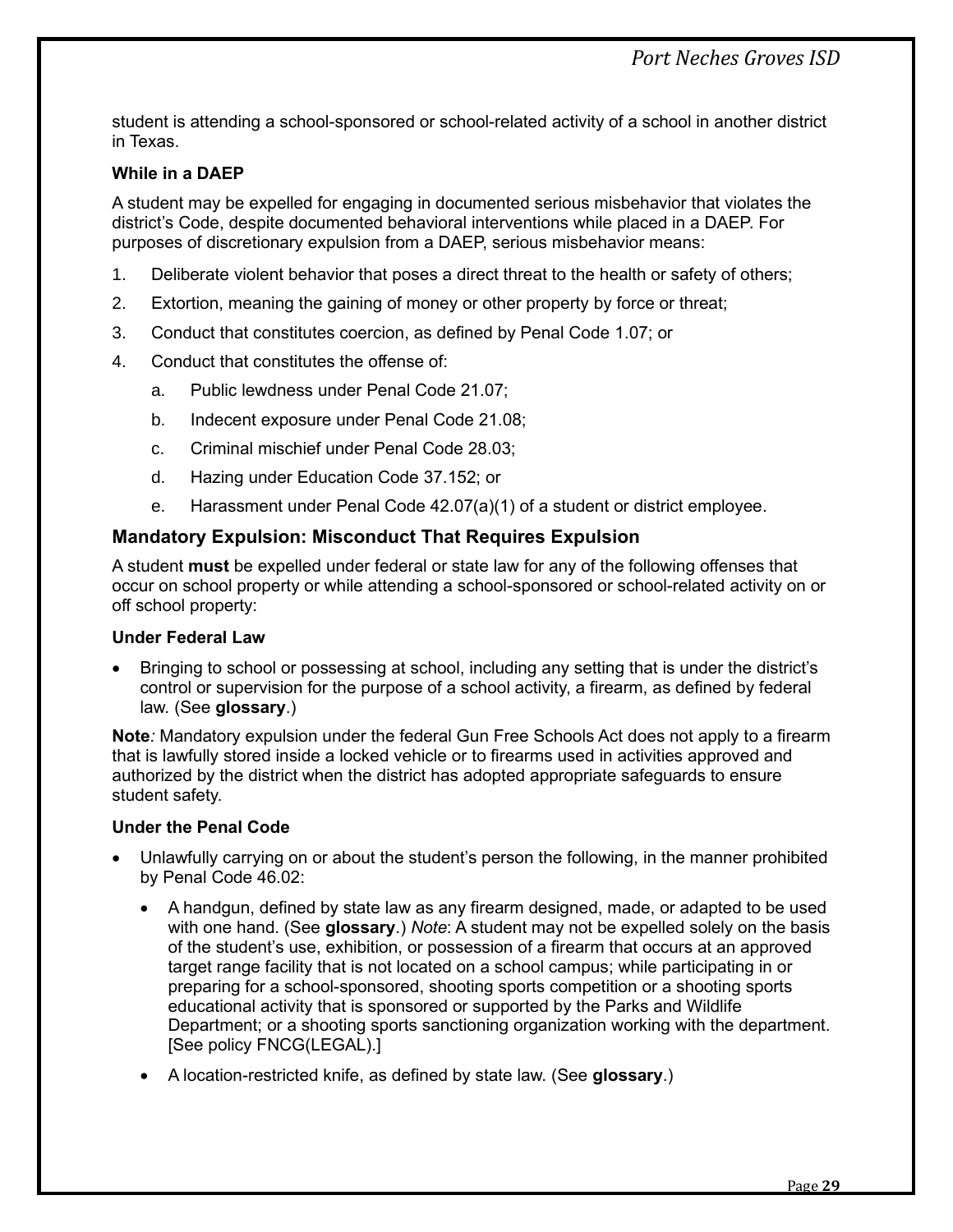student is attending a school-sponsored or school-related activity of a school in another district in Texas.

#### **While in a DAEP**

A student may be expelled for engaging in documented serious misbehavior that violates the district's Code, despite documented behavioral interventions while placed in a DAEP. For purposes of discretionary expulsion from a DAEP, serious misbehavior means:

- 1. Deliberate violent behavior that poses a direct threat to the health or safety of others;
- 2. Extortion, meaning the gaining of money or other property by force or threat;
- 3. Conduct that constitutes coercion, as defined by Penal Code 1.07; or
- 4. Conduct that constitutes the offense of:
	- a. Public lewdness under Penal Code 21.07;
	- b. Indecent exposure under Penal Code 21.08;
	- c. Criminal mischief under Penal Code 28.03;
	- d. Hazing under Education Code 37.152; or
	- e. Harassment under Penal Code 42.07(a)(1) of a student or district employee.

#### <span id="page-31-0"></span>**Mandatory Expulsion: Misconduct That Requires Expulsion**

A student **must** be expelled under federal or state law for any of the following offenses that occur on school property or while attending a school-sponsored or school-related activity on or off school property:

#### **Under Federal Law**

• Bringing to school or possessing at school, including any setting that is under the district's control or supervision for the purpose of a school activity, a firearm, as defined by federal law. (See **glossary**.)

**Note***:* Mandatory expulsion under the federal Gun Free Schools Act does not apply to a firearm that is lawfully stored inside a locked vehicle or to firearms used in activities approved and authorized by the district when the district has adopted appropriate safeguards to ensure student safety.

#### **Under the Penal Code**

- Unlawfully carrying on or about the student's person the following, in the manner prohibited by Penal Code 46.02:
	- A handgun, defined by state law as any firearm designed, made, or adapted to be used with one hand. (See **glossary**.) *Note*: A student may not be expelled solely on the basis of the student's use, exhibition, or possession of a firearm that occurs at an approved target range facility that is not located on a school campus; while participating in or preparing for a school-sponsored, shooting sports competition or a shooting sports educational activity that is sponsored or supported by the Parks and Wildlife Department; or a shooting sports sanctioning organization working with the department. [See policy FNCG(LEGAL).]
	- A location-restricted knife, as defined by state law. (See **glossary**.)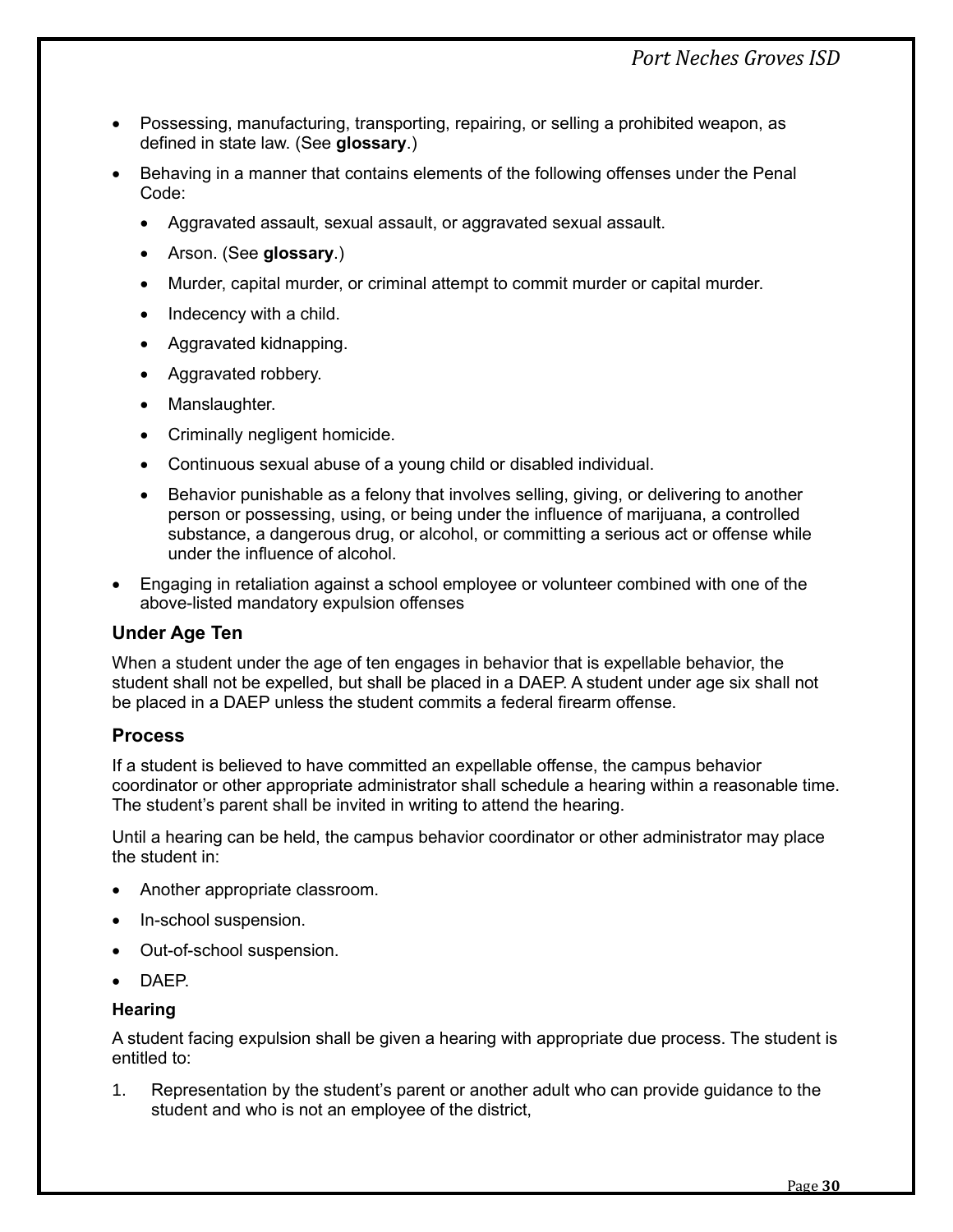- Possessing, manufacturing, transporting, repairing, or selling a prohibited weapon, as defined in state law. (See **glossary**.)
- Behaving in a manner that contains elements of the following offenses under the Penal Code:
	- Aggravated assault, sexual assault, or aggravated sexual assault.
	- Arson. (See **glossary**.)
	- Murder, capital murder, or criminal attempt to commit murder or capital murder.
	- Indecency with a child.
	- Aggravated kidnapping.
	- Aggravated robbery.
	- Manslaughter.
	- Criminally negligent homicide.
	- Continuous sexual abuse of a young child or disabled individual.
	- Behavior punishable as a felony that involves selling, giving, or delivering to another person or possessing, using, or being under the influence of marijuana, a controlled substance, a dangerous drug, or alcohol, or committing a serious act or offense while under the influence of alcohol.
- Engaging in retaliation against a school employee or volunteer combined with one of the above-listed mandatory expulsion offenses

# <span id="page-32-0"></span>**Under Age Ten**

When a student under the age of ten engages in behavior that is expellable behavior, the student shall not be expelled, but shall be placed in a DAEP. A student under age six shall not be placed in a DAEP unless the student commits a federal firearm offense.

# <span id="page-32-1"></span>**Process**

If a student is believed to have committed an expellable offense, the campus behavior coordinator or other appropriate administrator shall schedule a hearing within a reasonable time. The student's parent shall be invited in writing to attend the hearing.

Until a hearing can be held, the campus behavior coordinator or other administrator may place the student in:

- Another appropriate classroom.
- In-school suspension.
- Out-of-school suspension.
- DAEP.

#### **Hearing**

A student facing expulsion shall be given a hearing with appropriate due process. The student is entitled to:

1. Representation by the student's parent or another adult who can provide guidance to the student and who is not an employee of the district,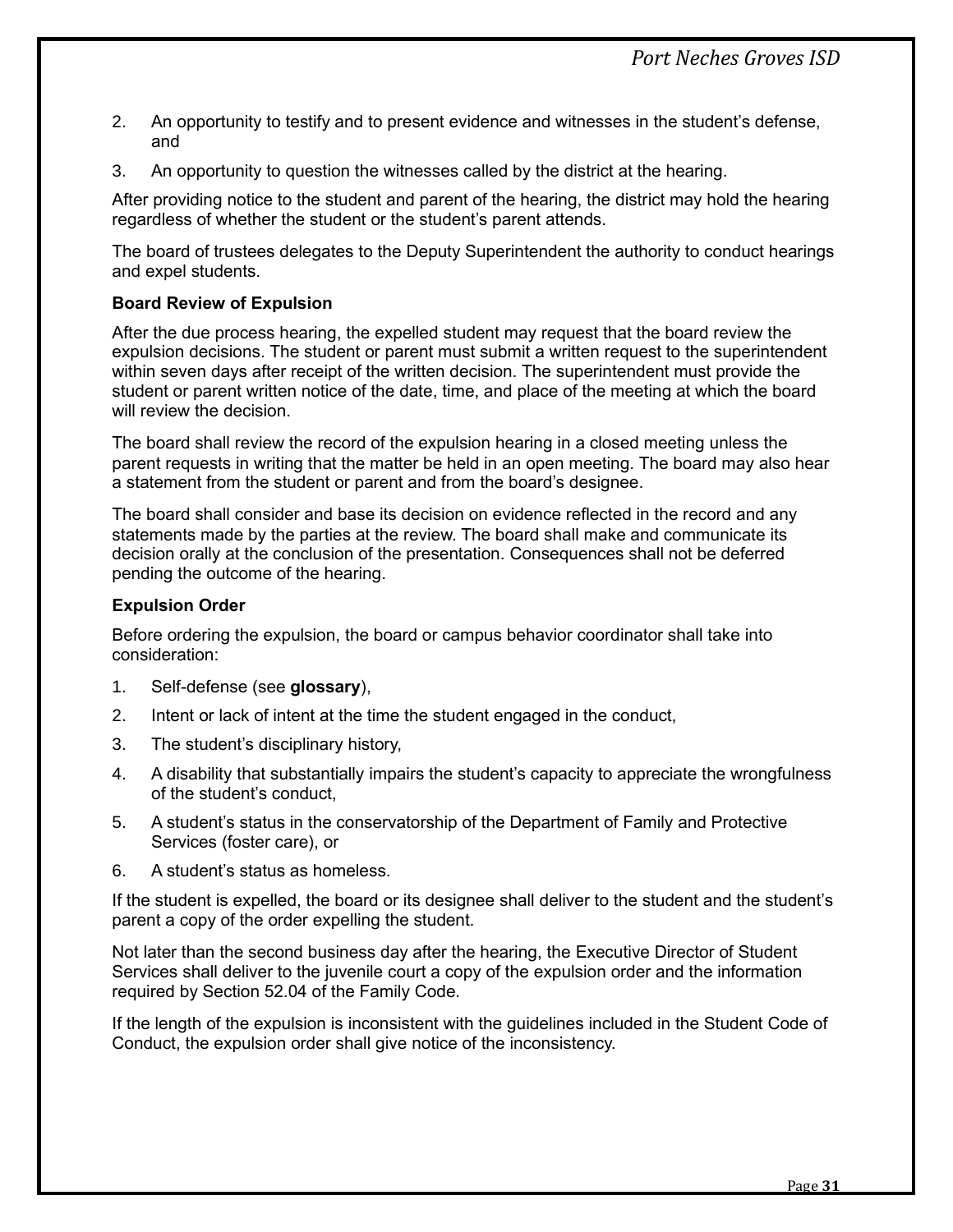- 2. An opportunity to testify and to present evidence and witnesses in the student's defense, and
- 3. An opportunity to question the witnesses called by the district at the hearing.

After providing notice to the student and parent of the hearing, the district may hold the hearing regardless of whether the student or the student's parent attends.

The board of trustees delegates to the Deputy Superintendent the authority to conduct hearings and expel students.

#### **Board Review of Expulsion**

After the due process hearing, the expelled student may request that the board review the expulsion decisions. The student or parent must submit a written request to the superintendent within seven days after receipt of the written decision. The superintendent must provide the student or parent written notice of the date, time, and place of the meeting at which the board will review the decision.

The board shall review the record of the expulsion hearing in a closed meeting unless the parent requests in writing that the matter be held in an open meeting. The board may also hear a statement from the student or parent and from the board's designee.

The board shall consider and base its decision on evidence reflected in the record and any statements made by the parties at the review. The board shall make and communicate its decision orally at the conclusion of the presentation. Consequences shall not be deferred pending the outcome of the hearing.

#### **Expulsion Order**

Before ordering the expulsion, the board or campus behavior coordinator shall take into consideration:

- 1. Self-defense (see **glossary**),
- 2. Intent or lack of intent at the time the student engaged in the conduct,
- 3. The student's disciplinary history,
- 4. A disability that substantially impairs the student's capacity to appreciate the wrongfulness of the student's conduct,
- 5. A student's status in the conservatorship of the Department of Family and Protective Services (foster care), or
- 6. A student's status as homeless.

If the student is expelled, the board or its designee shall deliver to the student and the student's parent a copy of the order expelling the student.

Not later than the second business day after the hearing, the Executive Director of Student Services shall deliver to the juvenile court a copy of the expulsion order and the information required by Section 52.04 of the Family Code.

If the length of the expulsion is inconsistent with the guidelines included in the Student Code of Conduct, the expulsion order shall give notice of the inconsistency.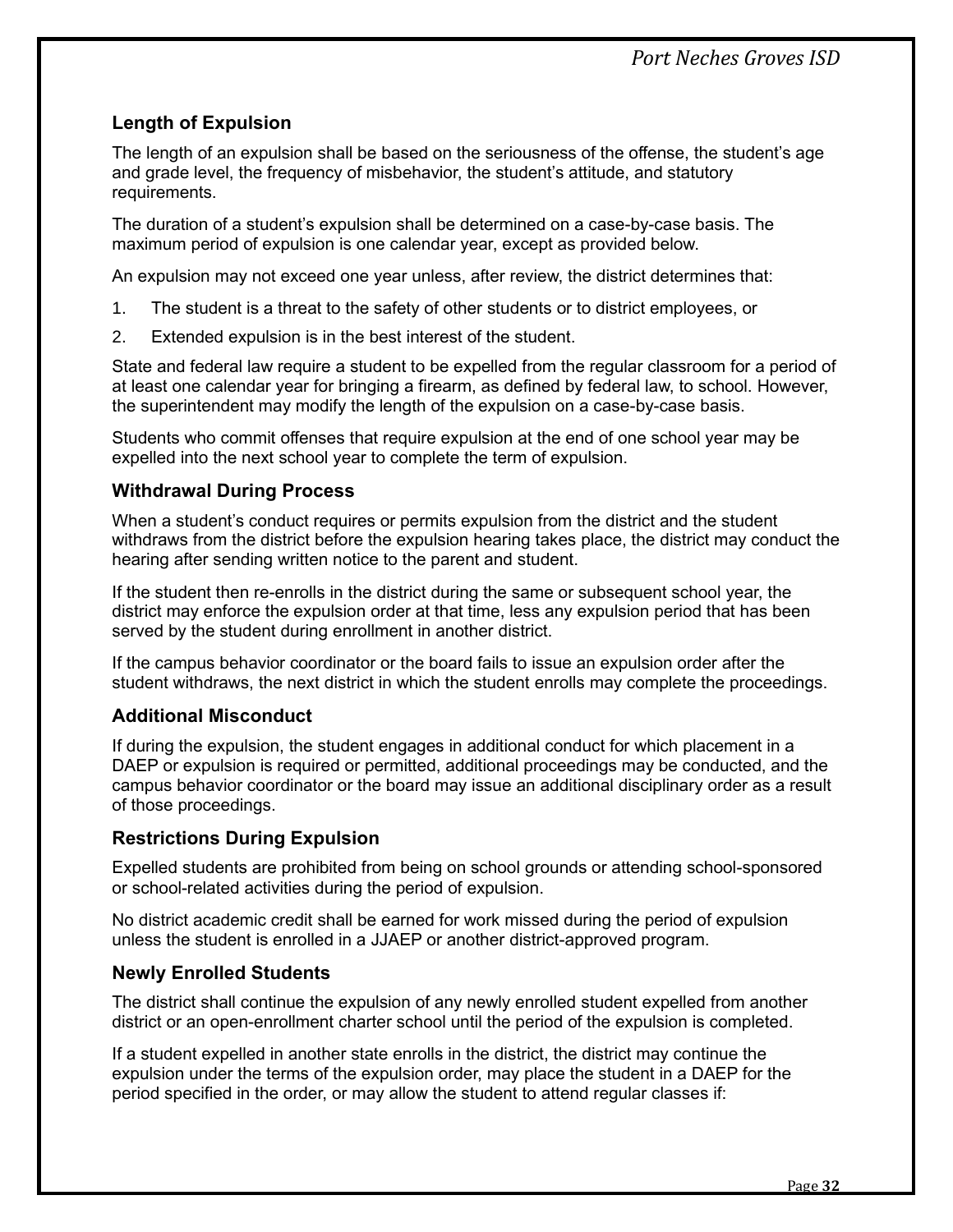# <span id="page-34-0"></span>**Length of Expulsion**

The length of an expulsion shall be based on the seriousness of the offense, the student's age and grade level, the frequency of misbehavior, the student's attitude, and statutory requirements.

The duration of a student's expulsion shall be determined on a case-by-case basis. The maximum period of expulsion is one calendar year, except as provided below.

An expulsion may not exceed one year unless, after review, the district determines that:

- 1. The student is a threat to the safety of other students or to district employees, or
- 2. Extended expulsion is in the best interest of the student.

State and federal law require a student to be expelled from the regular classroom for a period of at least one calendar year for bringing a firearm, as defined by federal law, to school. However, the superintendent may modify the length of the expulsion on a case-by-case basis.

Students who commit offenses that require expulsion at the end of one school year may be expelled into the next school year to complete the term of expulsion.

# <span id="page-34-1"></span>**Withdrawal During Process**

When a student's conduct requires or permits expulsion from the district and the student withdraws from the district before the expulsion hearing takes place, the district may conduct the hearing after sending written notice to the parent and student.

If the student then re-enrolls in the district during the same or subsequent school year, the district may enforce the expulsion order at that time, less any expulsion period that has been served by the student during enrollment in another district.

If the campus behavior coordinator or the board fails to issue an expulsion order after the student withdraws, the next district in which the student enrolls may complete the proceedings.

# <span id="page-34-2"></span>**Additional Misconduct**

If during the expulsion, the student engages in additional conduct for which placement in a DAEP or expulsion is required or permitted, additional proceedings may be conducted, and the campus behavior coordinator or the board may issue an additional disciplinary order as a result of those proceedings.

# <span id="page-34-3"></span>**Restrictions During Expulsion**

Expelled students are prohibited from being on school grounds or attending school-sponsored or school-related activities during the period of expulsion.

No district academic credit shall be earned for work missed during the period of expulsion unless the student is enrolled in a JJAEP or another district-approved program.

# <span id="page-34-4"></span>**Newly Enrolled Students**

The district shall continue the expulsion of any newly enrolled student expelled from another district or an open-enrollment charter school until the period of the expulsion is completed.

If a student expelled in another state enrolls in the district, the district may continue the expulsion under the terms of the expulsion order, may place the student in a DAEP for the period specified in the order, or may allow the student to attend regular classes if: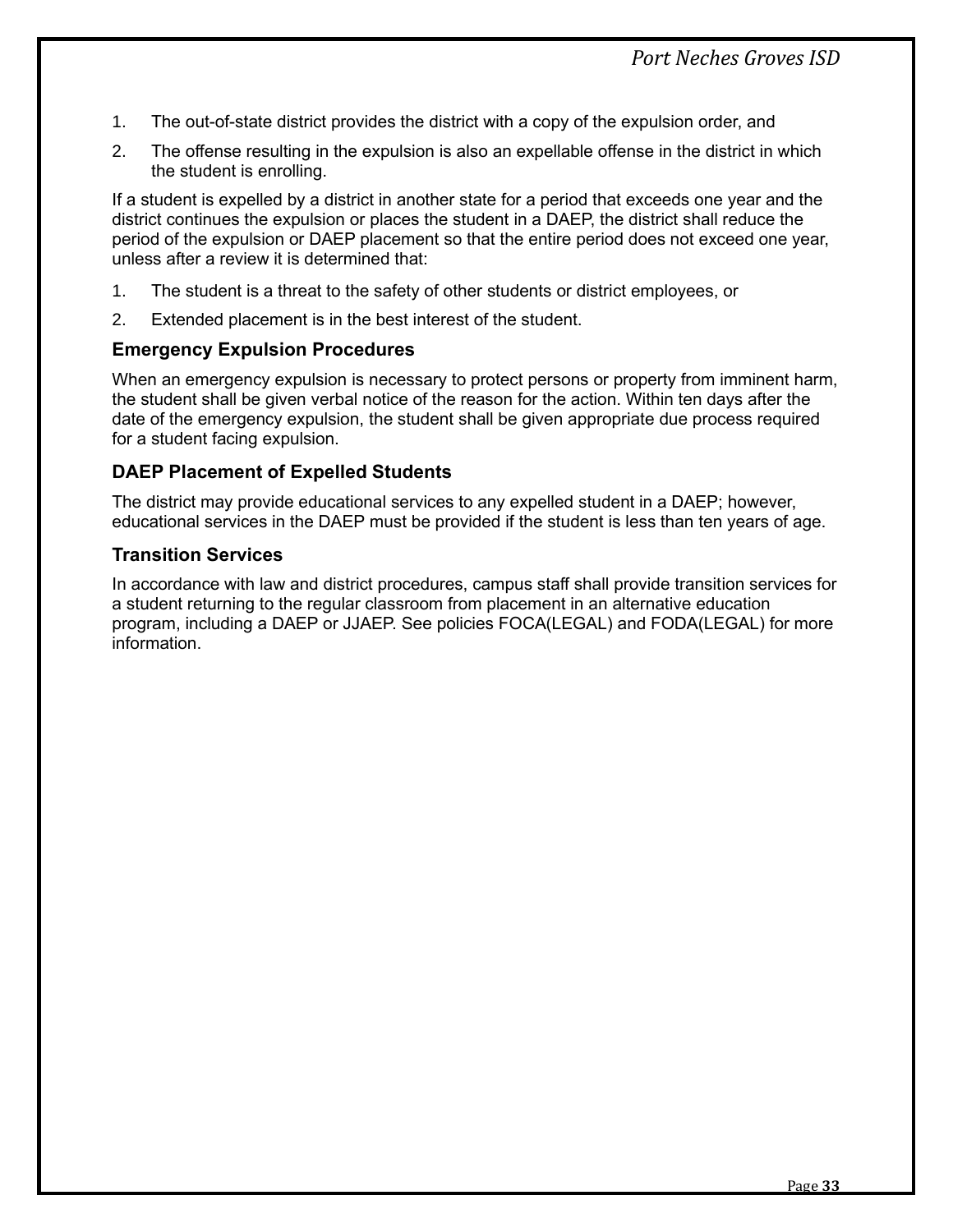- 1. The out-of-state district provides the district with a copy of the expulsion order, and
- 2. The offense resulting in the expulsion is also an expellable offense in the district in which the student is enrolling.

If a student is expelled by a district in another state for a period that exceeds one year and the district continues the expulsion or places the student in a DAEP, the district shall reduce the period of the expulsion or DAEP placement so that the entire period does not exceed one year, unless after a review it is determined that:

- 1. The student is a threat to the safety of other students or district employees, or
- 2. Extended placement is in the best interest of the student.

## <span id="page-35-0"></span>**Emergency Expulsion Procedures**

When an emergency expulsion is necessary to protect persons or property from imminent harm, the student shall be given verbal notice of the reason for the action. Within ten days after the date of the emergency expulsion, the student shall be given appropriate due process required for a student facing expulsion.

## <span id="page-35-1"></span>**DAEP Placement of Expelled Students**

The district may provide educational services to any expelled student in a DAEP; however, educational services in the DAEP must be provided if the student is less than ten years of age.

## <span id="page-35-2"></span>**Transition Services**

In accordance with law and district procedures, campus staff shall provide transition services for a student returning to the regular classroom from placement in an alternative education program, including a DAEP or JJAEP. See policies FOCA(LEGAL) and FODA(LEGAL) for more information.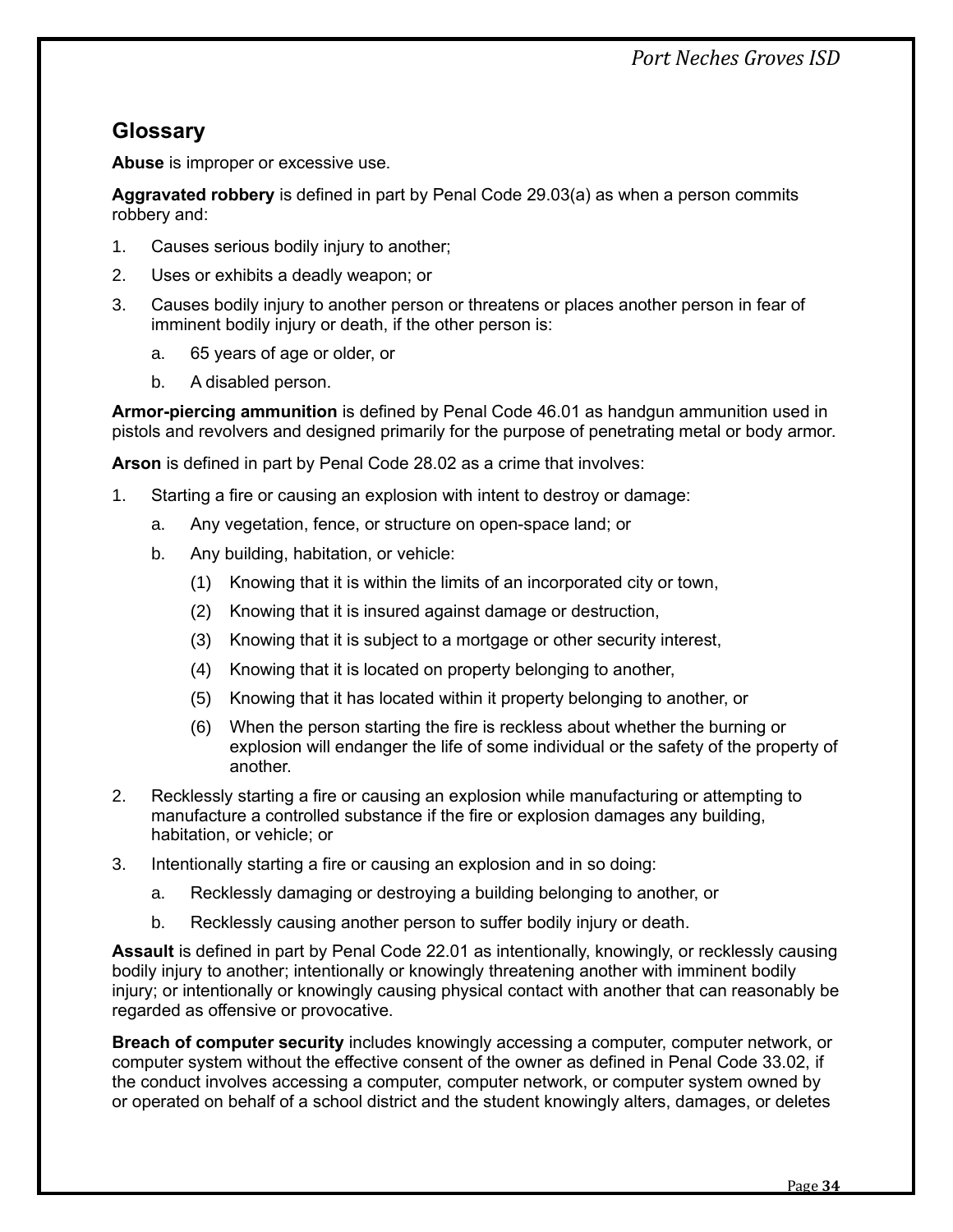# *Port Neches Groves ISD*

# <span id="page-36-0"></span>**Glossary**

**Abuse** is improper or excessive use.

**Aggravated robbery** is defined in part by Penal Code 29.03(a) as when a person commits robbery and:

- 1. Causes serious bodily injury to another;
- 2. Uses or exhibits a deadly weapon; or
- 3. Causes bodily injury to another person or threatens or places another person in fear of imminent bodily injury or death, if the other person is:
	- a. 65 years of age or older, or
	- b. A disabled person.

**Armor-piercing ammunition** is defined by Penal Code 46.01 as handgun ammunition used in pistols and revolvers and designed primarily for the purpose of penetrating metal or body armor.

**Arson** is defined in part by Penal Code 28.02 as a crime that involves:

- 1. Starting a fire or causing an explosion with intent to destroy or damage:
	- a. Any vegetation, fence, or structure on open-space land; or
	- b. Any building, habitation, or vehicle:
		- (1) Knowing that it is within the limits of an incorporated city or town,
		- (2) Knowing that it is insured against damage or destruction,
		- (3) Knowing that it is subject to a mortgage or other security interest,
		- (4) Knowing that it is located on property belonging to another,
		- (5) Knowing that it has located within it property belonging to another, or
		- (6) When the person starting the fire is reckless about whether the burning or explosion will endanger the life of some individual or the safety of the property of another.
- 2. Recklessly starting a fire or causing an explosion while manufacturing or attempting to manufacture a controlled substance if the fire or explosion damages any building, habitation, or vehicle; or
- 3. Intentionally starting a fire or causing an explosion and in so doing:
	- a. Recklessly damaging or destroying a building belonging to another, or
	- b. Recklessly causing another person to suffer bodily injury or death.

**Assault** is defined in part by Penal Code 22.01 as intentionally, knowingly, or recklessly causing bodily injury to another; intentionally or knowingly threatening another with imminent bodily injury; or intentionally or knowingly causing physical contact with another that can reasonably be regarded as offensive or provocative.

**Breach of computer security** includes knowingly accessing a computer, computer network, or computer system without the effective consent of the owner as defined in Penal Code 33.02, if the conduct involves accessing a computer, computer network, or computer system owned by or operated on behalf of a school district and the student knowingly alters, damages, or deletes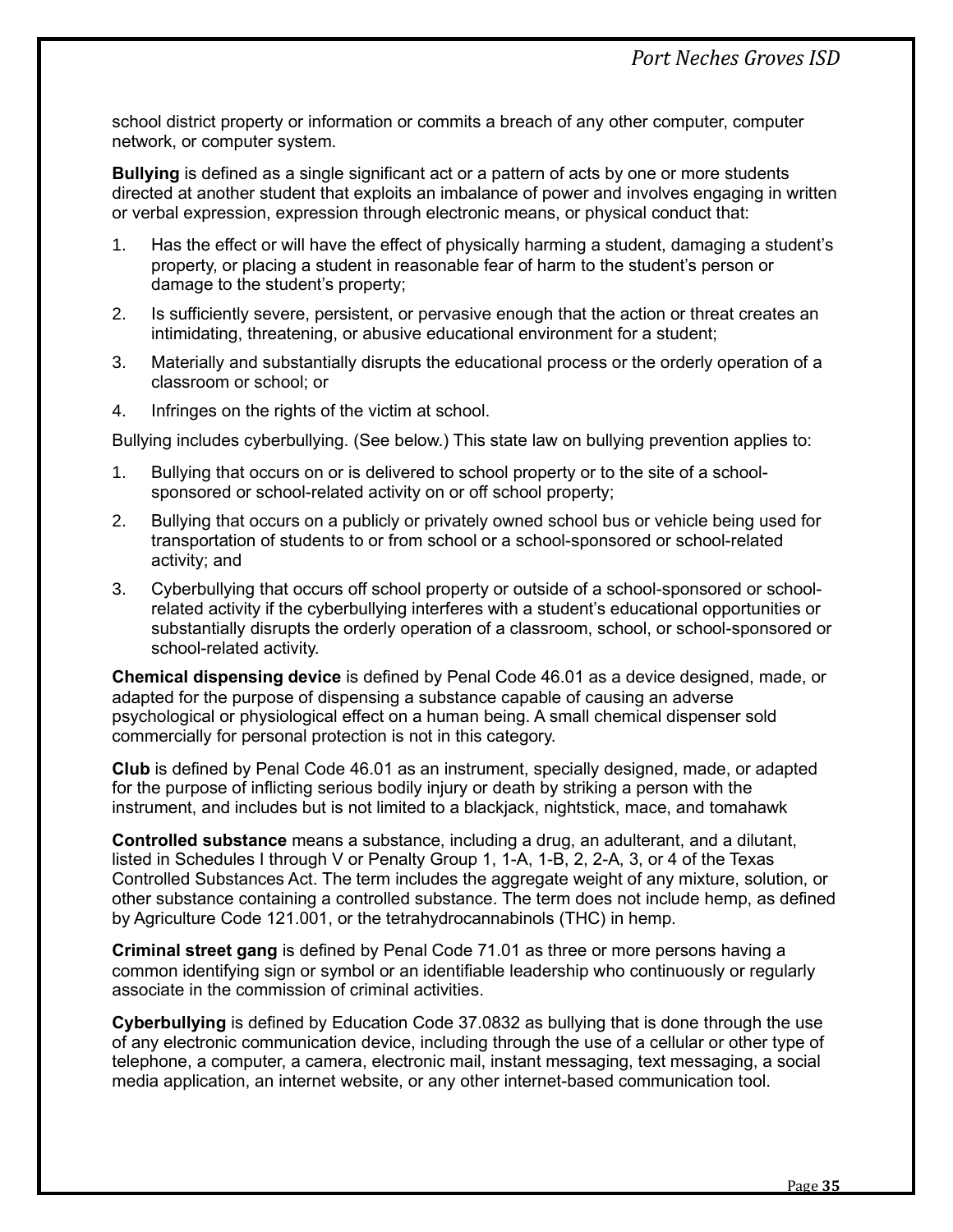school district property or information or commits a breach of any other computer, computer network, or computer system.

**Bullying** is defined as a single significant act or a pattern of acts by one or more students directed at another student that exploits an imbalance of power and involves engaging in written or verbal expression, expression through electronic means, or physical conduct that:

- 1. Has the effect or will have the effect of physically harming a student, damaging a student's property, or placing a student in reasonable fear of harm to the student's person or damage to the student's property;
- 2. Is sufficiently severe, persistent, or pervasive enough that the action or threat creates an intimidating, threatening, or abusive educational environment for a student;
- 3. Materially and substantially disrupts the educational process or the orderly operation of a classroom or school; or
- 4. Infringes on the rights of the victim at school.

Bullying includes cyberbullying. (See below.) This state law on bullying prevention applies to:

- 1. Bullying that occurs on or is delivered to school property or to the site of a schoolsponsored or school-related activity on or off school property;
- 2. Bullying that occurs on a publicly or privately owned school bus or vehicle being used for transportation of students to or from school or a school-sponsored or school-related activity; and
- 3. Cyberbullying that occurs off school property or outside of a school-sponsored or schoolrelated activity if the cyberbullying interferes with a student's educational opportunities or substantially disrupts the orderly operation of a classroom, school, or school-sponsored or school-related activity.

**Chemical dispensing device** is defined by Penal Code 46.01 as a device designed, made, or adapted for the purpose of dispensing a substance capable of causing an adverse psychological or physiological effect on a human being. A small chemical dispenser sold commercially for personal protection is not in this category.

**Club** is defined by Penal Code 46.01 as an instrument, specially designed, made, or adapted for the purpose of inflicting serious bodily injury or death by striking a person with the instrument, and includes but is not limited to a blackjack, nightstick, mace, and tomahawk

**Controlled substance** means a substance, including a drug, an adulterant, and a dilutant, listed in Schedules I through V or Penalty Group 1, 1-A, 1-B, 2, 2-A, 3, or 4 of the Texas Controlled Substances Act. The term includes the aggregate weight of any mixture, solution, or other substance containing a controlled substance. The term does not include hemp, as defined by Agriculture Code 121.001, or the tetrahydrocannabinols (THC) in hemp.

**Criminal street gang** is defined by Penal Code 71.01 as three or more persons having a common identifying sign or symbol or an identifiable leadership who continuously or regularly associate in the commission of criminal activities.

**Cyberbullying** is defined by Education Code 37.0832 as bullying that is done through the use of any electronic communication device, including through the use of a cellular or other type of telephone, a computer, a camera, electronic mail, instant messaging, text messaging, a social media application, an internet website, or any other internet-based communication tool.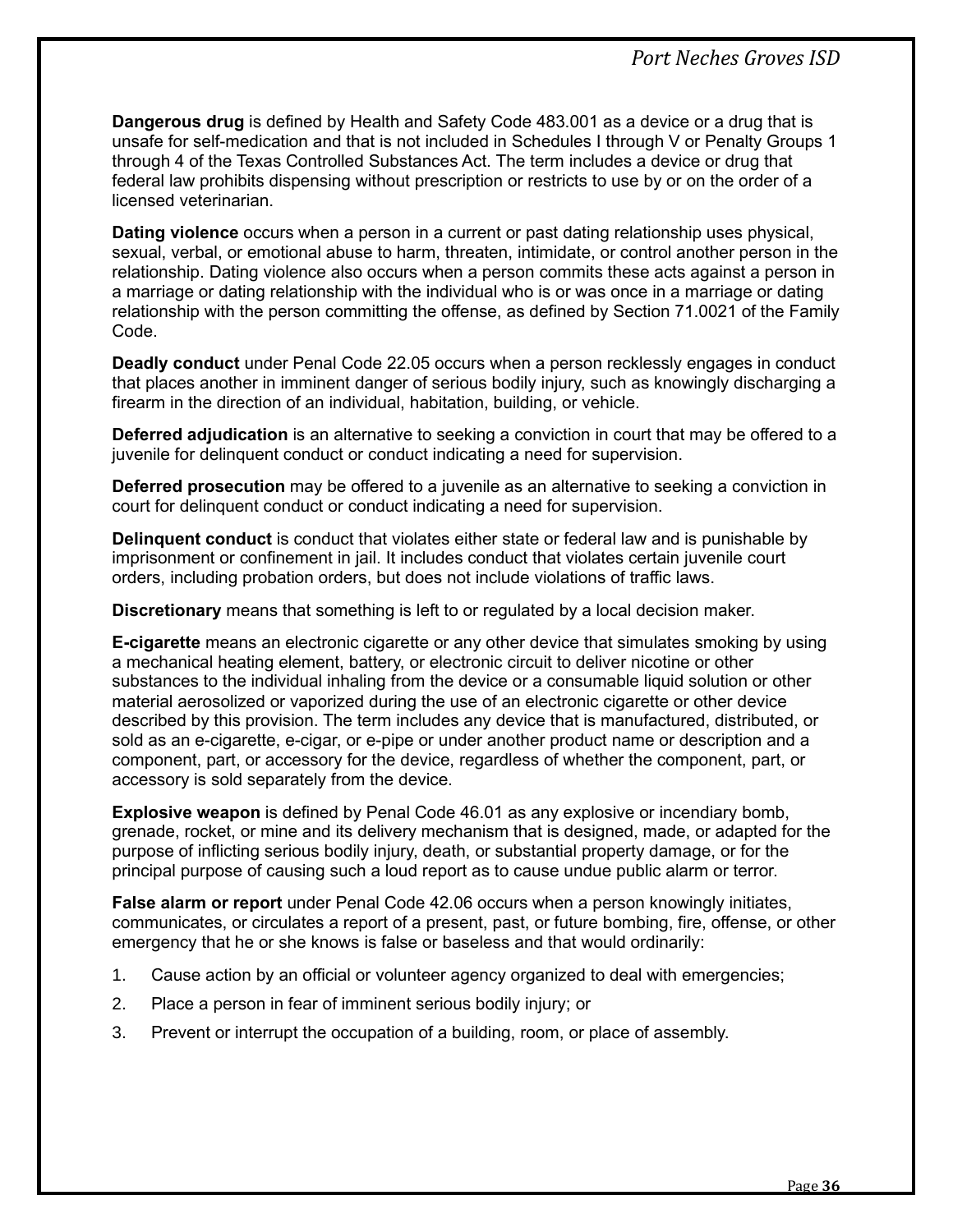**Dangerous drug** is defined by Health and Safety Code 483.001 as a device or a drug that is unsafe for self-medication and that is not included in Schedules I through V or Penalty Groups 1 through 4 of the Texas Controlled Substances Act. The term includes a device or drug that federal law prohibits dispensing without prescription or restricts to use by or on the order of a licensed veterinarian.

**Dating violence** occurs when a person in a current or past dating relationship uses physical, sexual, verbal, or emotional abuse to harm, threaten, intimidate, or control another person in the relationship. Dating violence also occurs when a person commits these acts against a person in a marriage or dating relationship with the individual who is or was once in a marriage or dating relationship with the person committing the offense, as defined by Section 71.0021 of the Family Code.

**Deadly conduct** under Penal Code 22.05 occurs when a person recklessly engages in conduct that places another in imminent danger of serious bodily injury, such as knowingly discharging a firearm in the direction of an individual, habitation, building, or vehicle.

**Deferred adjudication** is an alternative to seeking a conviction in court that may be offered to a juvenile for delinquent conduct or conduct indicating a need for supervision.

**Deferred prosecution** may be offered to a juvenile as an alternative to seeking a conviction in court for delinquent conduct or conduct indicating a need for supervision.

**Delinquent conduct** is conduct that violates either state or federal law and is punishable by imprisonment or confinement in jail. It includes conduct that violates certain juvenile court orders, including probation orders, but does not include violations of traffic laws.

**Discretionary** means that something is left to or regulated by a local decision maker.

**E-cigarette** means an electronic cigarette or any other device that simulates smoking by using a mechanical heating element, battery, or electronic circuit to deliver nicotine or other substances to the individual inhaling from the device or a consumable liquid solution or other material aerosolized or vaporized during the use of an electronic cigarette or other device described by this provision. The term includes any device that is manufactured, distributed, or sold as an e-cigarette, e-cigar, or e-pipe or under another product name or description and a component, part, or accessory for the device, regardless of whether the component, part, or accessory is sold separately from the device.

**Explosive weapon** is defined by Penal Code 46.01 as any explosive or incendiary bomb, grenade, rocket, or mine and its delivery mechanism that is designed, made, or adapted for the purpose of inflicting serious bodily injury, death, or substantial property damage, or for the principal purpose of causing such a loud report as to cause undue public alarm or terror.

**False alarm or report** under Penal Code 42.06 occurs when a person knowingly initiates, communicates, or circulates a report of a present, past, or future bombing, fire, offense, or other emergency that he or she knows is false or baseless and that would ordinarily:

- 1. Cause action by an official or volunteer agency organized to deal with emergencies;
- 2. Place a person in fear of imminent serious bodily injury; or
- 3. Prevent or interrupt the occupation of a building, room, or place of assembly.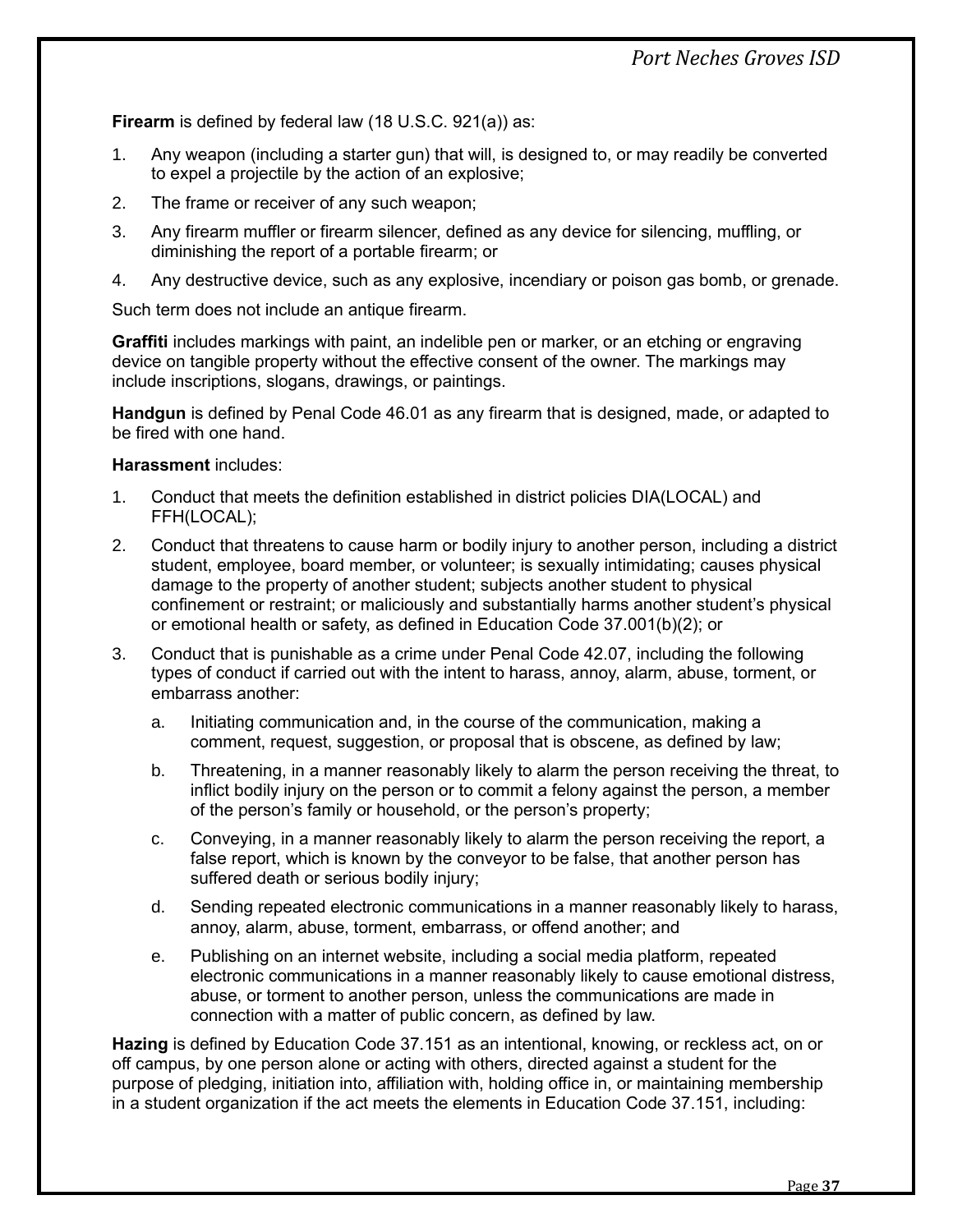**Firearm** is defined by federal law (18 U.S.C. 921(a)) as:

- 1. Any weapon (including a starter gun) that will, is designed to, or may readily be converted to expel a projectile by the action of an explosive;
- 2. The frame or receiver of any such weapon;
- 3. Any firearm muffler or firearm silencer, defined as any device for silencing, muffling, or diminishing the report of a portable [firearm;](https://www.law.cornell.edu/definitions/uscode.php?width=840&height=800&iframe=true&def_id=18-USC-849457050-943489799&term_occur=999&term_src=title:18:part:I:chapter:44:section:921) or
- 4. Any destructive device, such as any explosive, incendiary or poison gas bomb, or grenade.

Such term does not include an antique firearm.

**Graffiti** includes markings with paint, an indelible pen or marker, or an etching or engraving device on tangible property without the effective consent of the owner. The markings may include inscriptions, slogans, drawings, or paintings.

**Handgun** is defined by Penal Code 46.01 as any firearm that is designed, made, or adapted to be fired with one hand.

#### **Harassment** includes:

- 1. Conduct that meets the definition established in district policies DIA(LOCAL) and FFH(LOCAL);
- 2. Conduct that threatens to cause harm or bodily injury to another person, including a district student, employee, board member, or volunteer; is sexually intimidating; causes physical damage to the property of another student; subjects another student to physical confinement or restraint; or maliciously and substantially harms another student's physical or emotional health or safety, as defined in Education Code 37.001(b)(2); or
- 3. Conduct that is punishable as a crime under Penal Code 42.07, including the following types of conduct if carried out with the intent to harass, annoy, alarm, abuse, torment, or embarrass another:
	- a. Initiating communication and, in the course of the communication, making a comment, request, suggestion, or proposal that is obscene, as defined by law;
	- b. Threatening, in a manner reasonably likely to alarm the person receiving the threat, to inflict bodily injury on the person or to commit a felony against the person, a member of the person's family or household, or the person's property;
	- c. Conveying, in a manner reasonably likely to alarm the person receiving the report, a false report, which is known by the conveyor to be false, that another person has suffered death or serious bodily injury;
	- d. Sending repeated electronic communications in a manner reasonably likely to harass, annoy, alarm, abuse, torment, embarrass, or offend another; and
	- e. Publishing on an internet website, including a social media platform, repeated electronic communications in a manner reasonably likely to cause emotional distress, abuse, or torment to another person, unless the communications are made in connection with a matter of public concern, as defined by law.

**Hazing** is defined by Education Code 37.151 as an intentional, knowing, or reckless act, on or off campus, by one person alone or acting with others, directed against a student for the purpose of pledging, initiation into, affiliation with, holding office in, or maintaining membership in a student organization if the act meets the elements in Education Code 37.151, including: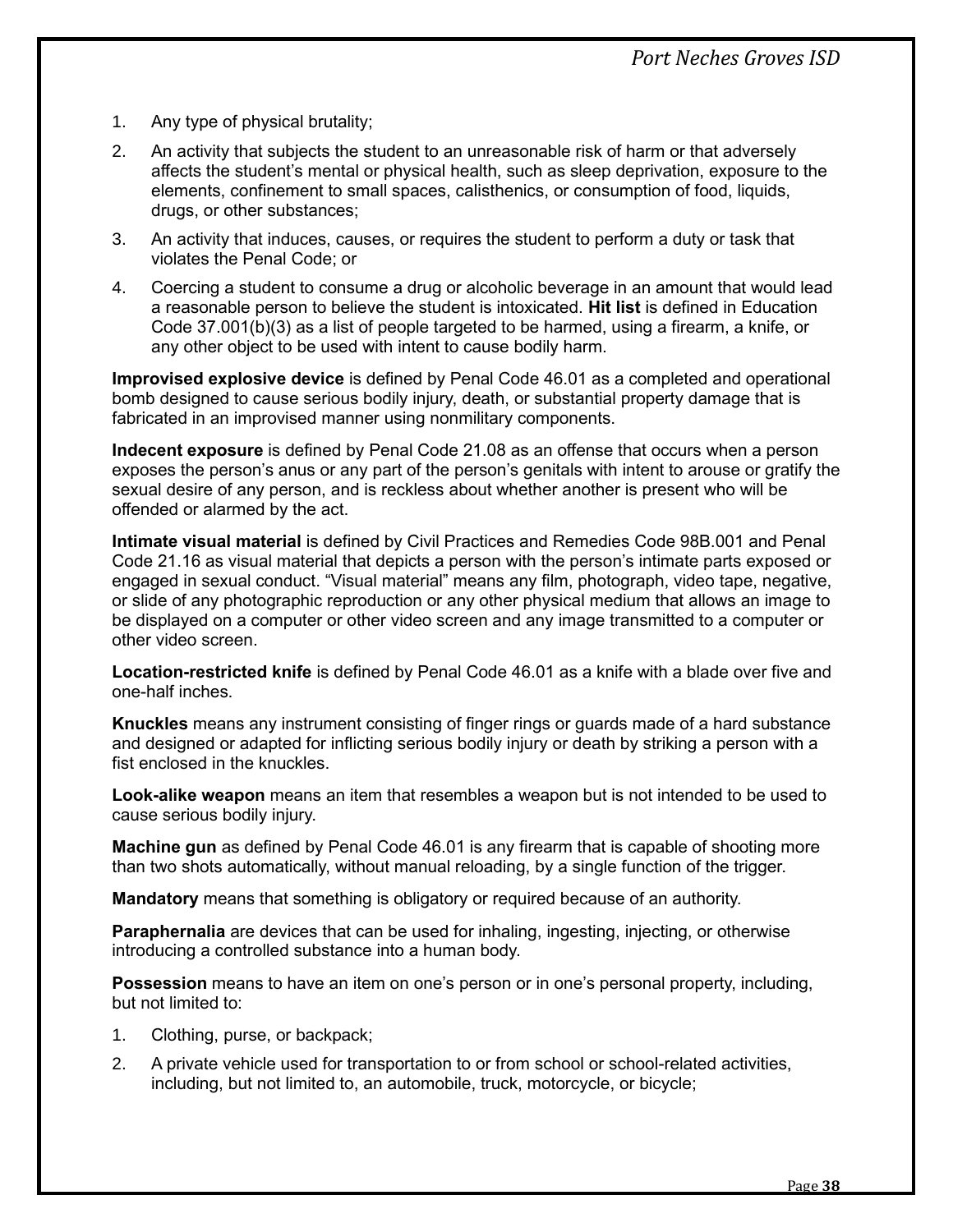- 1. Any type of physical brutality;
- 2. An activity that subjects the student to an unreasonable risk of harm or that adversely affects the student's mental or physical health, such as sleep deprivation, exposure to the elements, confinement to small spaces, calisthenics, or consumption of food, liquids, drugs, or other substances;
- 3. An activity that induces, causes, or requires the student to perform a duty or task that violates the Penal Code; or
- 4. Coercing a student to consume a drug or alcoholic beverage in an amount that would lead a reasonable person to believe the student is intoxicated. **Hit list** is defined in Education Code 37.001(b)(3) as a list of people targeted to be harmed, using a firearm, a knife, or any other object to be used with intent to cause bodily harm.

**Improvised explosive device** is defined by Penal Code 46.01 as a completed and operational bomb designed to cause serious bodily injury, death, or substantial property damage that is fabricated in an improvised manner using nonmilitary components.

**Indecent exposure** is defined by Penal Code 21.08 as an offense that occurs when a person exposes the person's anus or any part of the person's genitals with intent to arouse or gratify the sexual desire of any person, and is reckless about whether another is present who will be offended or alarmed by the act.

**Intimate visual material** is defined by Civil Practices and Remedies Code 98B.001 and Penal Code 21.16 as visual material that depicts a person with the person's intimate parts exposed or engaged in sexual conduct. "Visual material" means any film, photograph, video tape, negative, or slide of any photographic reproduction or any other physical medium that allows an image to be displayed on a computer or other video screen and any image transmitted to a computer or other video screen.

**Location-restricted knife** is defined by Penal Code 46.01 as a knife with a blade over five and one-half inches.

**Knuckles** means any instrument consisting of finger rings or guards made of a hard substance and designed or adapted for inflicting serious bodily injury or death by striking a person with a fist enclosed in the knuckles.

**Look-alike weapon** means an item that resembles a weapon but is not intended to be used to cause serious bodily injury.

**Machine gun** as defined by Penal Code 46.01 is any firearm that is capable of shooting more than two shots automatically, without manual reloading, by a single function of the trigger.

**Mandatory** means that something is obligatory or required because of an authority.

**Paraphernalia** are devices that can be used for inhaling, ingesting, injecting, or otherwise introducing a controlled substance into a human body.

**Possession** means to have an item on one's person or in one's personal property, including, but not limited to:

- 1. Clothing, purse, or backpack;
- 2. A private vehicle used for transportation to or from school or school-related activities, including, but not limited to, an automobile, truck, motorcycle, or bicycle;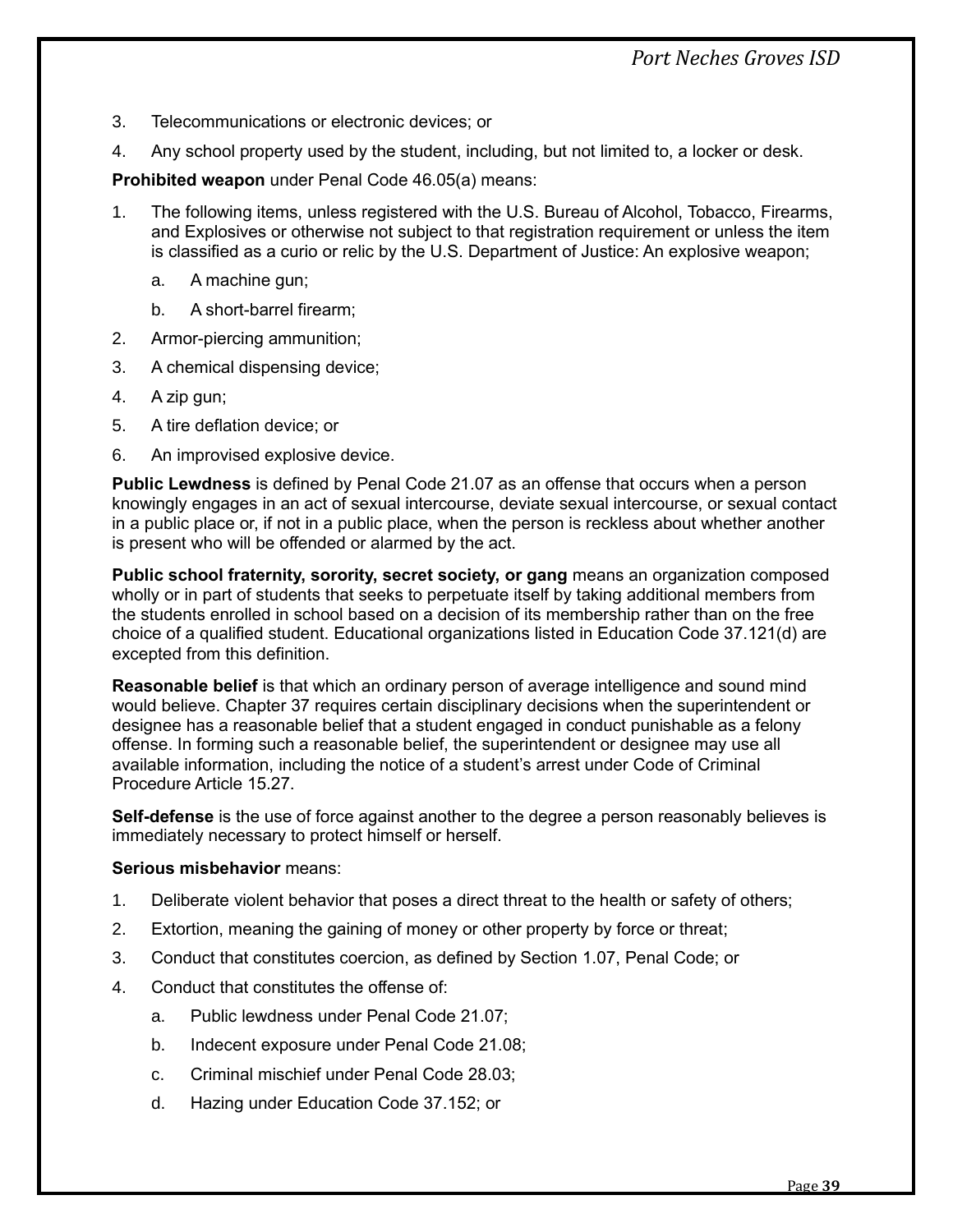*Port Neches Groves ISD*

- 3. Telecommunications or electronic devices; or
- 4. Any school property used by the student, including, but not limited to, a locker or desk.

**Prohibited weapon** under Penal Code 46.05(a) means:

- 1. The following items, unless registered with the U.S. Bureau of Alcohol, Tobacco, Firearms, and Explosives or otherwise not subject to that registration requirement or unless the item is classified as a curio or relic by the U.S. Department of Justice: An explosive weapon;
	- a. A machine gun;
	- b. A short-barrel firearm;
- 2. Armor-piercing ammunition;
- 3. A chemical dispensing device;
- 4. A zip gun;
- 5. A tire deflation device; or
- 6. An improvised explosive device.

**Public Lewdness** is defined by Penal Code 21.07 as an offense that occurs when a person knowingly engages in an act of sexual intercourse, deviate sexual intercourse, or sexual contact in a public place or, if not in a public place, when the person is reckless about whether another is present who will be offended or alarmed by the act.

**Public school fraternity, sorority, secret society, or gang** means an organization composed wholly or in part of students that seeks to perpetuate itself by taking additional members from the students enrolled in school based on a decision of its membership rather than on the free choice of a qualified student. Educational organizations listed in Education Code 37.121(d) are excepted from this definition.

**Reasonable belief** is that which an ordinary person of average intelligence and sound mind would believe. Chapter 37 requires certain disciplinary decisions when the superintendent or designee has a reasonable belief that a student engaged in conduct punishable as a felony offense. In forming such a reasonable belief, the superintendent or designee may use all available information, including the notice of a student's arrest under Code of Criminal Procedure Article 15.27.

**Self-defense** is the use of force against another to the degree a person reasonably believes is immediately necessary to protect himself or herself.

#### **Serious misbehavior** means:

- 1. Deliberate violent behavior that poses a direct threat to the health or safety of others;
- 2. Extortion, meaning the gaining of money or other property by force or threat;
- 3. Conduct that constitutes coercion, as defined by Section 1.07, Penal Code; or
- 4. Conduct that constitutes the offense of:
	- a. Public lewdness under Penal Code 21.07;
	- b. Indecent exposure under Penal Code 21.08;
	- c. Criminal mischief under Penal Code 28.03;
	- d. Hazing under Education Code 37.152; or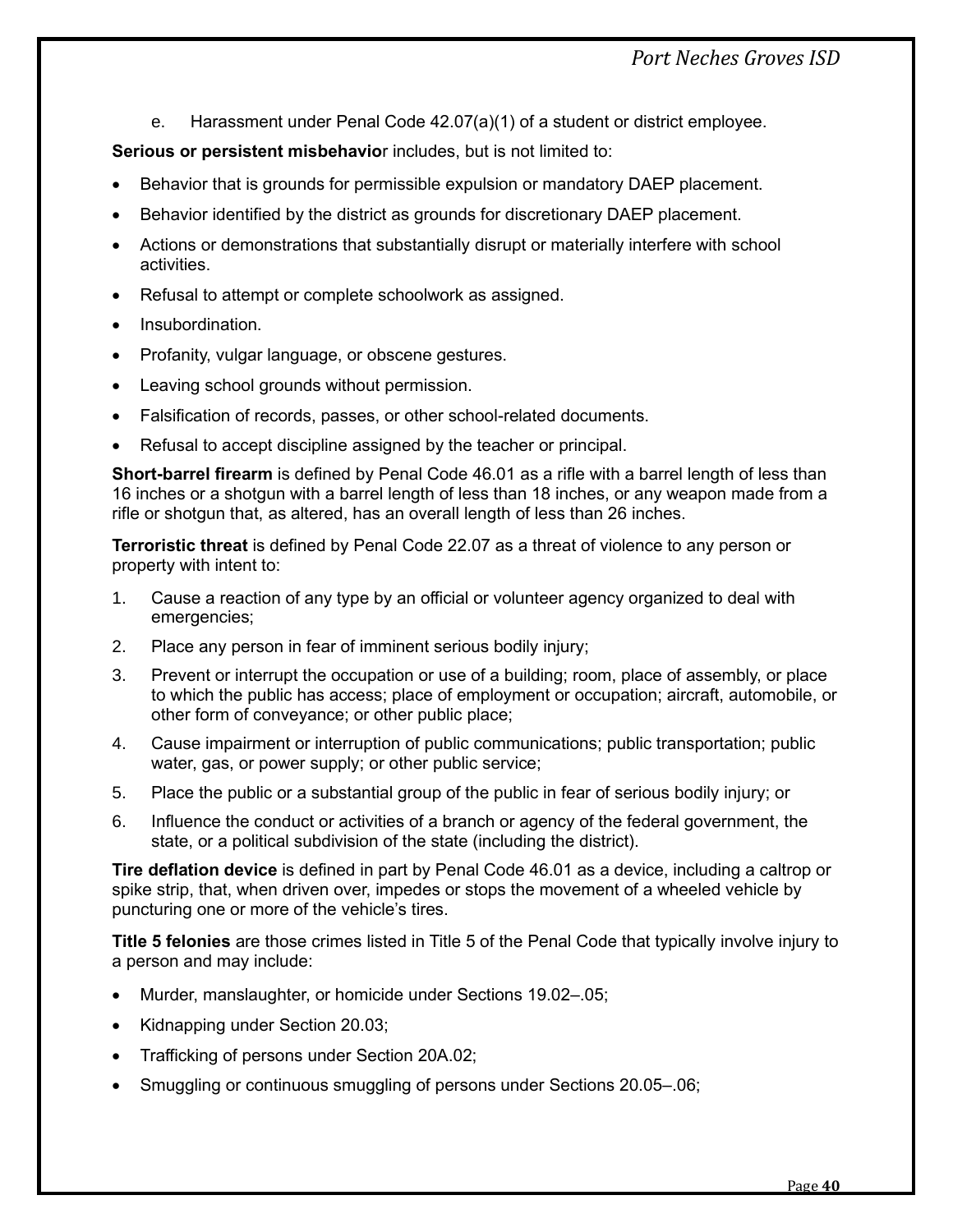e. Harassment under Penal Code 42.07(a)(1) of a student or district employee.

**Serious or persistent misbehavio**r includes, but is not limited to:

- Behavior that is grounds for permissible expulsion or mandatory DAEP placement.
- Behavior identified by the district as grounds for discretionary DAEP placement.
- Actions or demonstrations that substantially disrupt or materially interfere with school activities.
- Refusal to attempt or complete schoolwork as assigned.
- Insubordination.
- Profanity, vulgar language, or obscene gestures.
- Leaving school grounds without permission.
- Falsification of records, passes, or other school-related documents.
- Refusal to accept discipline assigned by the teacher or principal.

**Short-barrel firearm** is defined by Penal Code 46.01 as a rifle with a barrel length of less than 16 inches or a shotgun with a barrel length of less than 18 inches, or any weapon made from a rifle or shotgun that, as altered, has an overall length of less than 26 inches.

**Terroristic threat** is defined by Penal Code 22.07 as a threat of violence to any person or property with intent to:

- 1. Cause a reaction of any type by an official or volunteer agency organized to deal with emergencies;
- 2. Place any person in fear of imminent serious bodily injury;
- 3. Prevent or interrupt the occupation or use of a building; room, place of assembly, or place to which the public has access; place of employment or occupation; aircraft, automobile, or other form of conveyance; or other public place;
- 4. Cause impairment or interruption of public communications; public transportation; public water, gas, or power supply; or other public service;
- 5. Place the public or a substantial group of the public in fear of serious bodily injury; or
- 6. Influence the conduct or activities of a branch or agency of the federal government, the state, or a political subdivision of the state (including the district).

**Tire deflation device** is defined in part by Penal Code 46.01 as a device, including a caltrop or spike strip, that, when driven over, impedes or stops the movement of a wheeled vehicle by puncturing one or more of the vehicle's tires.

**Title 5 felonies** are those crimes listed in Title 5 of the Penal Code that typically involve injury to a person and may include:

- Murder, manslaughter, or homicide under Sections 19.02–.05;
- Kidnapping under Section 20.03;
- Trafficking of persons under Section 20A.02;
- Smuggling or continuous smuggling of persons under Sections 20.05–.06;